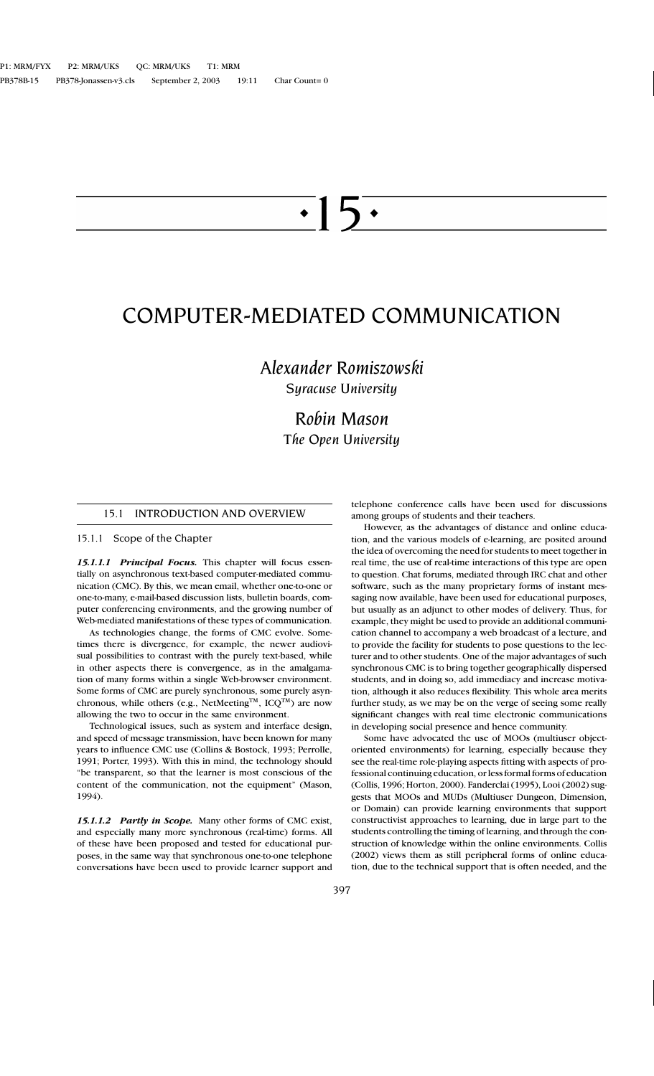# $\cdot$ ]5 $\cdot$

## COMPUTER-MEDIATED COMMUNICATION

*Alexander Romiszowski*

*Syracuse University*

*Robin Mason The Open University*

## 15.1 INTRODUCTION AND OVERVIEW

15.1.1 Scope of the Chapter

*15.1.1.1 Principal Focus.* This chapter will focus essentially on asynchronous text-based computer-mediated communication (CMC). By this, we mean email, whether one-to-one or one-to-many, e-mail-based discussion lists, bulletin boards, computer conferencing environments, and the growing number of Web-mediated manifestations of these types of communication.

As technologies change, the forms of CMC evolve. Sometimes there is divergence, for example, the newer audiovisual possibilities to contrast with the purely text-based, while in other aspects there is convergence, as in the amalgamation of many forms within a single Web-browser environment. Some forms of CMC are purely synchronous, some purely asynchronous, while others (e.g., NetMeeting<sup>TM</sup>, ICQ<sup>TM</sup>) are now allowing the two to occur in the same environment.

Technological issues, such as system and interface design, and speed of message transmission, have been known for many years to influence CMC use (Collins & Bostock, 1993; Perrolle, 1991; Porter, 1993). With this in mind, the technology should "be transparent, so that the learner is most conscious of the content of the communication, not the equipment" (Mason, 1994).

*15.1.1.2 Partly in Scope.* Many other forms of CMC exist, and especially many more synchronous (real-time) forms. All of these have been proposed and tested for educational purposes, in the same way that synchronous one-to-one telephone conversations have been used to provide learner support and telephone conference calls have been used for discussions among groups of students and their teachers.

However, as the advantages of distance and online education, and the various models of e-learning, are posited around the idea of overcoming the need for students to meet together in real time, the use of real-time interactions of this type are open to question. Chat forums, mediated through IRC chat and other software, such as the many proprietary forms of instant messaging now available, have been used for educational purposes, but usually as an adjunct to other modes of delivery. Thus, for example, they might be used to provide an additional communication channel to accompany a web broadcast of a lecture, and to provide the facility for students to pose questions to the lecturer and to other students. One of the major advantages of such synchronous CMC is to bring together geographically dispersed students, and in doing so, add immediacy and increase motivation, although it also reduces flexibility. This whole area merits further study, as we may be on the verge of seeing some really significant changes with real time electronic communications in developing social presence and hence community.

Some have advocated the use of MOOs (multiuser objectoriented environments) for learning, especially because they see the real-time role-playing aspects fitting with aspects of professional continuing education, or less formal forms of education (Collis, 1996; Horton, 2000). Fanderclai (1995), Looi (2002) suggests that MOOs and MUDs (Multiuser Dungeon, Dimension, or Domain) can provide learning environments that support constructivist approaches to learning, due in large part to the students controlling the timing of learning, and through the construction of knowledge within the online environments. Collis (2002) views them as still peripheral forms of online education, due to the technical support that is often needed, and the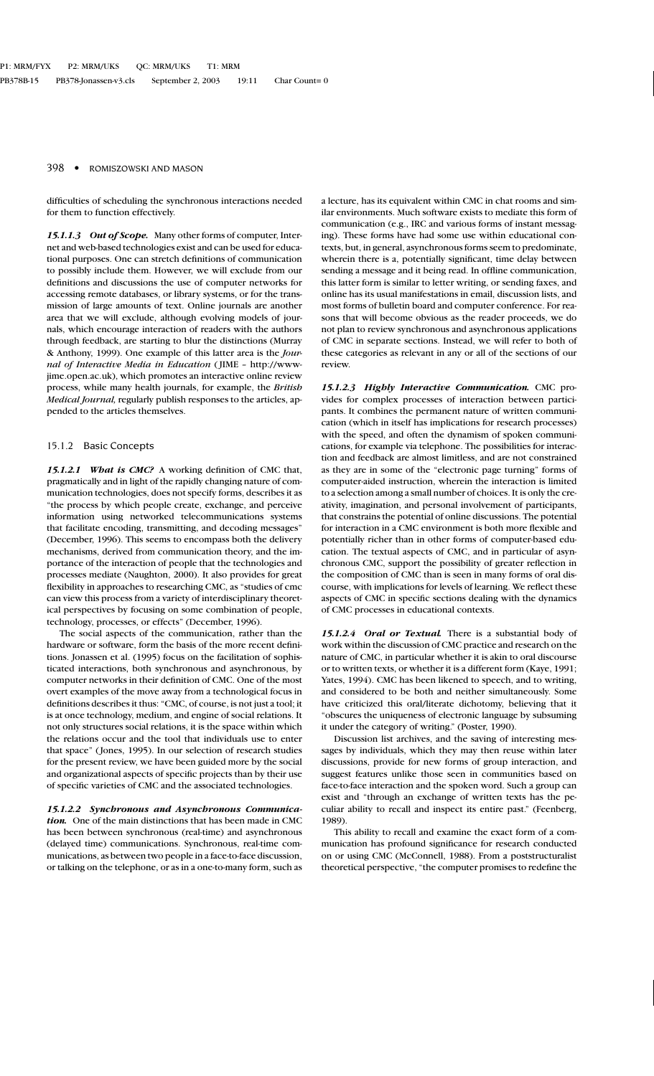difficulties of scheduling the synchronous interactions needed for them to function effectively.

*15.1.1.3 Out of Scope.* Many other forms of computer, Internet and web-based technologies exist and can be used for educational purposes. One can stretch definitions of communication to possibly include them. However, we will exclude from our definitions and discussions the use of computer networks for accessing remote databases, or library systems, or for the transmission of large amounts of text. Online journals are another area that we will exclude, although evolving models of journals, which encourage interaction of readers with the authors through feedback, are starting to blur the distinctions (Murray & Anthony, 1999). One example of this latter area is the *Journal of Interactive Media in Education* ( JIME – http://wwwjime.open.ac.uk), which promotes an interactive online review process, while many health journals, for example, the *British Medical Journal,* regularly publish responses to the articles, appended to the articles themselves.

## 15.1.2 Basic Concepts

*15.1.2.1 What is CMC?* A working definition of CMC that, pragmatically and in light of the rapidly changing nature of communication technologies, does not specify forms, describes it as "the process by which people create, exchange, and perceive information using networked telecommunications systems that facilitate encoding, transmitting, and decoding messages" (December, 1996). This seems to encompass both the delivery mechanisms, derived from communication theory, and the importance of the interaction of people that the technologies and processes mediate (Naughton, 2000). It also provides for great flexibility in approaches to researching CMC, as "studies of cmc can view this process from a variety of interdisciplinary theoretical perspectives by focusing on some combination of people, technology, processes, or effects" (December, 1996).

The social aspects of the communication, rather than the hardware or software, form the basis of the more recent definitions. Jonassen et al. (1995) focus on the facilitation of sophisticated interactions, both synchronous and asynchronous, by computer networks in their definition of CMC. One of the most overt examples of the move away from a technological focus in definitions describes it thus: "CMC, of course, is not just a tool; it is at once technology, medium, and engine of social relations. It not only structures social relations, it is the space within which the relations occur and the tool that individuals use to enter that space" (Jones, 1995). In our selection of research studies for the present review, we have been guided more by the social and organizational aspects of specific projects than by their use of specific varieties of CMC and the associated technologies.

## *15.1.2.2 Synchronous and Asynchronous Communica-*

*tion.* One of the main distinctions that has been made in CMC has been between synchronous (real-time) and asynchronous (delayed time) communications. Synchronous, real-time communications, as between two people in a face-to-face discussion, or talking on the telephone, or as in a one-to-many form, such as a lecture, has its equivalent within CMC in chat rooms and similar environments. Much software exists to mediate this form of communication (e.g., IRC and various forms of instant messaging). These forms have had some use within educational contexts, but, in general, asynchronous forms seem to predominate, wherein there is a, potentially significant, time delay between sending a message and it being read. In offline communication, this latter form is similar to letter writing, or sending faxes, and online has its usual manifestations in email, discussion lists, and most forms of bulletin board and computer conference. For reasons that will become obvious as the reader proceeds, we do not plan to review synchronous and asynchronous applications of CMC in separate sections. Instead, we will refer to both of these categories as relevant in any or all of the sections of our review.

*15.1.2.3 Highly Interactive Communication.* CMC provides for complex processes of interaction between participants. It combines the permanent nature of written communication (which in itself has implications for research processes) with the speed, and often the dynamism of spoken communications, for example via telephone. The possibilities for interaction and feedback are almost limitless, and are not constrained as they are in some of the "electronic page turning" forms of computer-aided instruction, wherein the interaction is limited to a selection among a small number of choices. It is only the creativity, imagination, and personal involvement of participants, that constrains the potential of online discussions. The potential for interaction in a CMC environment is both more flexible and potentially richer than in other forms of computer-based education. The textual aspects of CMC, and in particular of asynchronous CMC, support the possibility of greater reflection in the composition of CMC than is seen in many forms of oral discourse, with implications for levels of learning. We reflect these aspects of CMC in specific sections dealing with the dynamics of CMC processes in educational contexts.

*15.1.2.4 Oral or Textual.* There is a substantial body of work within the discussion of CMC practice and research on the nature of CMC, in particular whether it is akin to oral discourse or to written texts, or whether it is a different form (Kaye, 1991; Yates, 1994). CMC has been likened to speech, and to writing, and considered to be both and neither simultaneously. Some have criticized this oral/literate dichotomy, believing that it "obscures the uniqueness of electronic language by subsuming it under the category of writing." (Poster, 1990).

Discussion list archives, and the saving of interesting messages by individuals, which they may then reuse within later discussions, provide for new forms of group interaction, and suggest features unlike those seen in communities based on face-to-face interaction and the spoken word. Such a group can exist and "through an exchange of written texts has the peculiar ability to recall and inspect its entire past." (Feenberg, 1989).

This ability to recall and examine the exact form of a communication has profound significance for research conducted on or using CMC (McConnell, 1988). From a poststructuralist theoretical perspective, "the computer promises to redefine the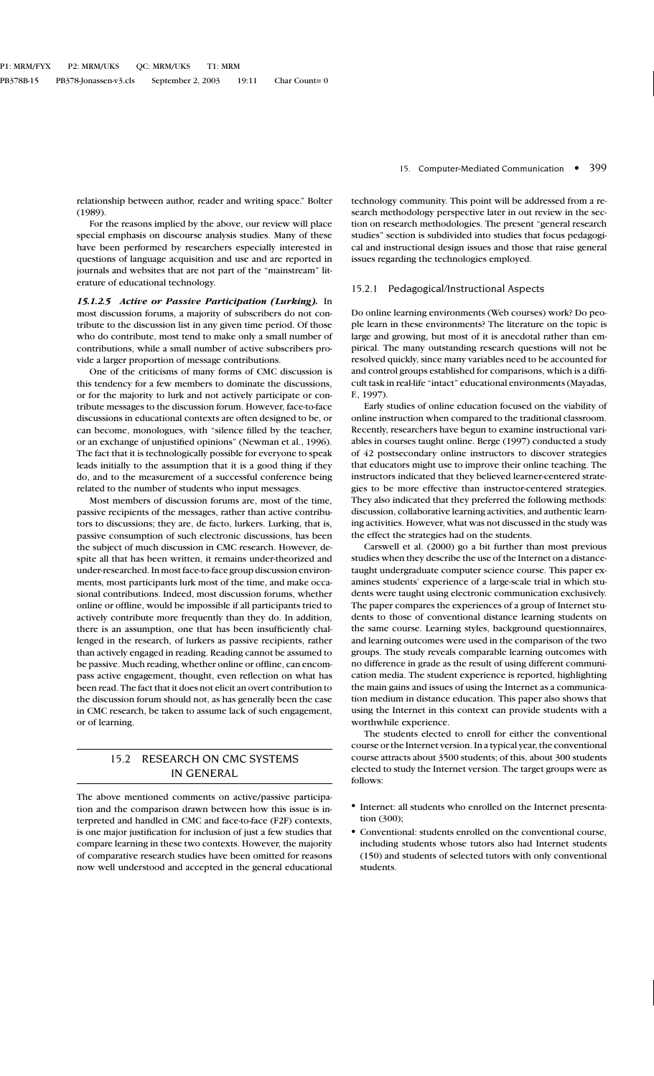relationship between author, reader and writing space." Bolter (1989).

For the reasons implied by the above, our review will place special emphasis on discourse analysis studies. Many of these have been performed by researchers especially interested in questions of language acquisition and use and are reported in journals and websites that are not part of the "mainstream" literature of educational technology.

*15.1.2.5 Active or Passive Participation (Lurking).* In most discussion forums, a majority of subscribers do not contribute to the discussion list in any given time period. Of those who do contribute, most tend to make only a small number of contributions, while a small number of active subscribers provide a larger proportion of message contributions.

One of the criticisms of many forms of CMC discussion is this tendency for a few members to dominate the discussions, or for the majority to lurk and not actively participate or contribute messages to the discussion forum. However, face-to-face discussions in educational contexts are often designed to be, or can become, monologues, with "silence filled by the teacher, or an exchange of unjustified opinions" (Newman et al., 1996). The fact that it is technologically possible for everyone to speak leads initially to the assumption that it is a good thing if they do, and to the measurement of a successful conference being related to the number of students who input messages.

Most members of discussion forums are, most of the time, passive recipients of the messages, rather than active contributors to discussions; they are, de facto, lurkers. Lurking, that is, passive consumption of such electronic discussions, has been the subject of much discussion in CMC research. However, despite all that has been written, it remains under-theorized and under-researched. In most face-to-face group discussion environments, most participants lurk most of the time, and make occasional contributions. Indeed, most discussion forums, whether online or offline, would be impossible if all participants tried to actively contribute more frequently than they do. In addition, there is an assumption, one that has been insufficiently challenged in the research, of lurkers as passive recipients, rather than actively engaged in reading. Reading cannot be assumed to be passive. Much reading, whether online or offline, can encompass active engagement, thought, even reflection on what has been read. The fact that it does not elicit an overt contribution to the discussion forum should not, as has generally been the case in CMC research, be taken to assume lack of such engagement, or of learning.

## 15.2 RESEARCH ON CMC SYSTEMS IN GENERAL

The above mentioned comments on active/passive participation and the comparison drawn between how this issue is interpreted and handled in CMC and face-to-face (F2F) contexts, is one major justification for inclusion of just a few studies that compare learning in these two contexts. However, the majority of comparative research studies have been omitted for reasons now well understood and accepted in the general educational technology community. This point will be addressed from a research methodology perspective later in out review in the section on research methodologies. The present "general research studies" section is subdivided into studies that focus pedagogical and instructional design issues and those that raise general issues regarding the technologies employed.

## 15.2.1 Pedagogical/Instructional Aspects

Do online learning environments (Web courses) work? Do people learn in these environments? The literature on the topic is large and growing, but most of it is anecdotal rather than empirical. The many outstanding research questions will not be resolved quickly, since many variables need to be accounted for and control groups established for comparisons, which is a difficult task in real-life "intact" educational environments (Mayadas, F., 1997).

Early studies of online education focused on the viability of online instruction when compared to the traditional classroom. Recently, researchers have begun to examine instructional variables in courses taught online. Berge (1997) conducted a study of 42 postsecondary online instructors to discover strategies that educators might use to improve their online teaching. The instructors indicated that they believed learner-centered strategies to be more effective than instructor-centered strategies. They also indicated that they preferred the following methods: discussion, collaborative learning activities, and authentic learning activities. However, what was not discussed in the study was the effect the strategies had on the students.

Carswell et al. (2000) go a bit further than most previous studies when they describe the use of the Internet on a distancetaught undergraduate computer science course. This paper examines students' experience of a large-scale trial in which students were taught using electronic communication exclusively. The paper compares the experiences of a group of Internet students to those of conventional distance learning students on the same course. Learning styles, background questionnaires, and learning outcomes were used in the comparison of the two groups. The study reveals comparable learning outcomes with no difference in grade as the result of using different communication media. The student experience is reported, highlighting the main gains and issues of using the Internet as a communication medium in distance education. This paper also shows that using the Internet in this context can provide students with a worthwhile experience.

The students elected to enroll for either the conventional course or the Internet version. In a typical year, the conventional course attracts about 3500 students; of this, about 300 students elected to study the Internet version. The target groups were as follows:

- Internet: all students who enrolled on the Internet presentation (300);
- Conventional: students enrolled on the conventional course, including students whose tutors also had Internet students (150) and students of selected tutors with only conventional students.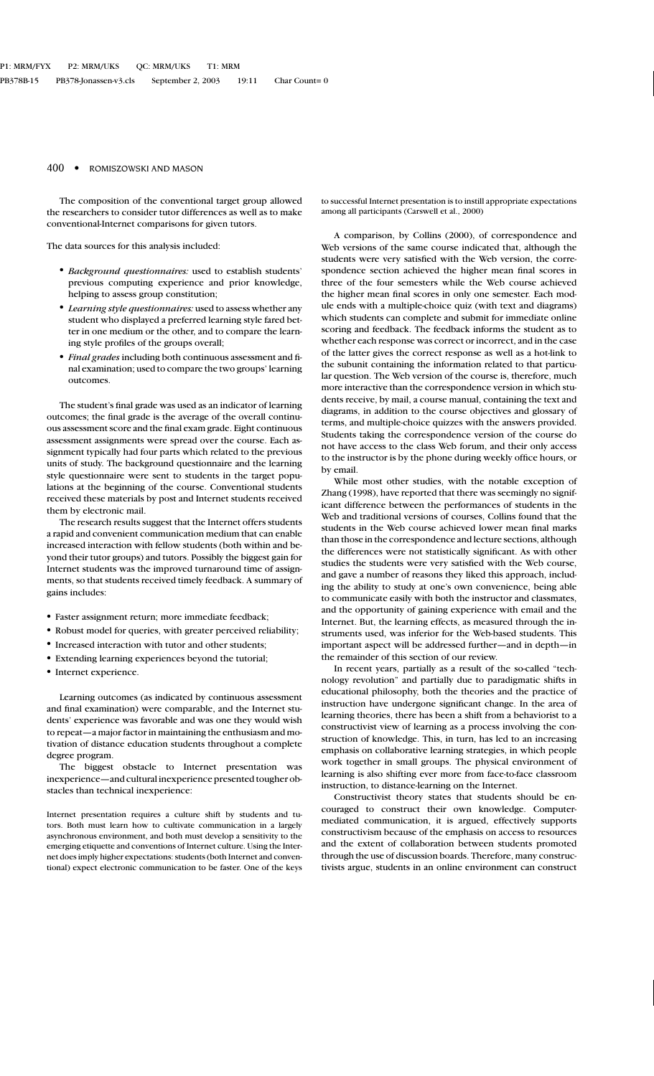The composition of the conventional target group allowed the researchers to consider tutor differences as well as to make conventional-Internet comparisons for given tutors.

The data sources for this analysis included:

- *Background questionnaires:* used to establish students' previous computing experience and prior knowledge, helping to assess group constitution;
- *Learning style questionnaires:* used to assess whether any student who displayed a preferred learning style fared better in one medium or the other, and to compare the learning style profiles of the groups overall;
- *Final grades* including both continuous assessment and final examination; used to compare the two groups' learning outcomes.

The student's final grade was used as an indicator of learning outcomes; the final grade is the average of the overall continuous assessment score and the final exam grade. Eight continuous assessment assignments were spread over the course. Each assignment typically had four parts which related to the previous units of study. The background questionnaire and the learning style questionnaire were sent to students in the target populations at the beginning of the course. Conventional students received these materials by post and Internet students received them by electronic mail.

The research results suggest that the Internet offers students a rapid and convenient communication medium that can enable increased interaction with fellow students (both within and beyond their tutor groups) and tutors. Possibly the biggest gain for Internet students was the improved turnaround time of assignments, so that students received timely feedback. A summary of gains includes:

- Faster assignment return; more immediate feedback;
- Robust model for queries, with greater perceived reliability;
- Increased interaction with tutor and other students;
- Extending learning experiences beyond the tutorial;
- Internet experience.

Learning outcomes (as indicated by continuous assessment and final examination) were comparable, and the Internet students' experience was favorable and was one they would wish to repeat—a major factor in maintaining the enthusiasm and motivation of distance education students throughout a complete degree program.

The biggest obstacle to Internet presentation was inexperience—and cultural inexperience presented tougher obstacles than technical inexperience:

Internet presentation requires a culture shift by students and tutors. Both must learn how to cultivate communication in a largely asynchronous environment, and both must develop a sensitivity to the emerging etiquette and conventions of Internet culture. Using the Internet does imply higher expectations: students (both Internet and conventional) expect electronic communication to be faster. One of the keys

to successful Internet presentation is to instill appropriate expectations among all participants (Carswell et al., 2000)

A comparison, by Collins (2000), of correspondence and Web versions of the same course indicated that, although the students were very satisfied with the Web version, the correspondence section achieved the higher mean final scores in three of the four semesters while the Web course achieved the higher mean final scores in only one semester. Each module ends with a multiple-choice quiz (with text and diagrams) which students can complete and submit for immediate online scoring and feedback. The feedback informs the student as to whether each response was correct or incorrect, and in the case of the latter gives the correct response as well as a hot-link to the subunit containing the information related to that particular question. The Web version of the course is, therefore, much more interactive than the correspondence version in which students receive, by mail, a course manual, containing the text and diagrams, in addition to the course objectives and glossary of terms, and multiple-choice quizzes with the answers provided. Students taking the correspondence version of the course do not have access to the class Web forum, and their only access to the instructor is by the phone during weekly office hours, or by email.

While most other studies, with the notable exception of Zhang (1998), have reported that there was seemingly no significant difference between the performances of students in the Web and traditional versions of courses, Collins found that the students in the Web course achieved lower mean final marks than those in the correspondence and lecture sections, although the differences were not statistically significant. As with other studies the students were very satisfied with the Web course, and gave a number of reasons they liked this approach, including the ability to study at one's own convenience, being able to communicate easily with both the instructor and classmates, and the opportunity of gaining experience with email and the Internet. But, the learning effects, as measured through the instruments used, was inferior for the Web-based students. This important aspect will be addressed further—and in depth—in the remainder of this section of our review.

In recent years, partially as a result of the so-called "technology revolution" and partially due to paradigmatic shifts in educational philosophy, both the theories and the practice of instruction have undergone significant change. In the area of learning theories, there has been a shift from a behaviorist to a constructivist view of learning as a process involving the construction of knowledge. This, in turn, has led to an increasing emphasis on collaborative learning strategies, in which people work together in small groups. The physical environment of learning is also shifting ever more from face-to-face classroom instruction, to distance-learning on the Internet.

Constructivist theory states that students should be encouraged to construct their own knowledge. Computermediated communication, it is argued, effectively supports constructivism because of the emphasis on access to resources and the extent of collaboration between students promoted through the use of discussion boards. Therefore, many constructivists argue, students in an online environment can construct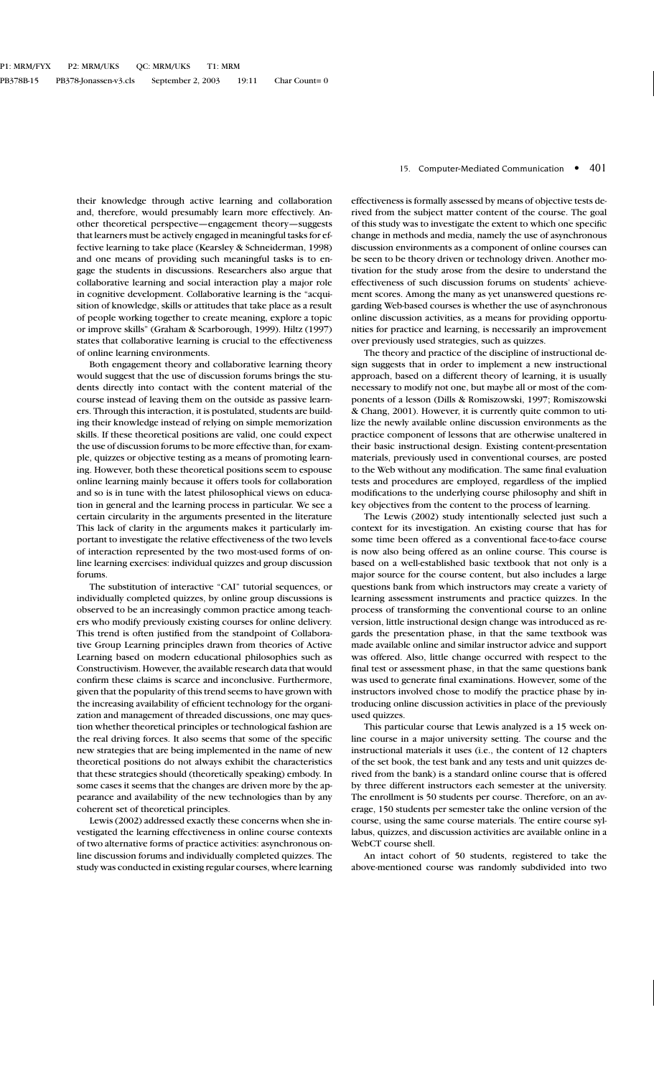their knowledge through active learning and collaboration and, therefore, would presumably learn more effectively. Another theoretical perspective—engagement theory—suggests that learners must be actively engaged in meaningful tasks for effective learning to take place (Kearsley & Schneiderman, 1998) and one means of providing such meaningful tasks is to engage the students in discussions. Researchers also argue that collaborative learning and social interaction play a major role in cognitive development. Collaborative learning is the "acquisition of knowledge, skills or attitudes that take place as a result of people working together to create meaning, explore a topic or improve skills" (Graham & Scarborough, 1999). Hiltz (1997) states that collaborative learning is crucial to the effectiveness of online learning environments.

Both engagement theory and collaborative learning theory would suggest that the use of discussion forums brings the students directly into contact with the content material of the course instead of leaving them on the outside as passive learners. Through this interaction, it is postulated, students are building their knowledge instead of relying on simple memorization skills. If these theoretical positions are valid, one could expect the use of discussion forums to be more effective than, for example, quizzes or objective testing as a means of promoting learning. However, both these theoretical positions seem to espouse online learning mainly because it offers tools for collaboration and so is in tune with the latest philosophical views on education in general and the learning process in particular. We see a certain circularity in the arguments presented in the literature This lack of clarity in the arguments makes it particularly important to investigate the relative effectiveness of the two levels of interaction represented by the two most-used forms of online learning exercises: individual quizzes and group discussion forums.

The substitution of interactive "CAI" tutorial sequences, or individually completed quizzes, by online group discussions is observed to be an increasingly common practice among teachers who modify previously existing courses for online delivery. This trend is often justified from the standpoint of Collaborative Group Learning principles drawn from theories of Active Learning based on modern educational philosophies such as Constructivism. However, the available research data that would confirm these claims is scarce and inconclusive. Furthermore, given that the popularity of this trend seems to have grown with the increasing availability of efficient technology for the organization and management of threaded discussions, one may question whether theoretical principles or technological fashion are the real driving forces. It also seems that some of the specific new strategies that are being implemented in the name of new theoretical positions do not always exhibit the characteristics that these strategies should (theoretically speaking) embody. In some cases it seems that the changes are driven more by the appearance and availability of the new technologies than by any coherent set of theoretical principles.

Lewis (2002) addressed exactly these concerns when she investigated the learning effectiveness in online course contexts of two alternative forms of practice activities: asynchronous online discussion forums and individually completed quizzes. The study was conducted in existing regular courses, where learning effectiveness is formally assessed by means of objective tests derived from the subject matter content of the course. The goal of this study was to investigate the extent to which one specific change in methods and media, namely the use of asynchronous discussion environments as a component of online courses can be seen to be theory driven or technology driven. Another motivation for the study arose from the desire to understand the effectiveness of such discussion forums on students' achievement scores. Among the many as yet unanswered questions regarding Web-based courses is whether the use of asynchronous online discussion activities, as a means for providing opportunities for practice and learning, is necessarily an improvement over previously used strategies, such as quizzes.

The theory and practice of the discipline of instructional design suggests that in order to implement a new instructional approach, based on a different theory of learning, it is usually necessary to modify not one, but maybe all or most of the components of a lesson (Dills & Romiszowski, 1997; Romiszowski & Chang, 2001). However, it is currently quite common to utilize the newly available online discussion environments as the practice component of lessons that are otherwise unaltered in their basic instructional design. Existing content-presentation materials, previously used in conventional courses, are posted to the Web without any modification. The same final evaluation tests and procedures are employed, regardless of the implied modifications to the underlying course philosophy and shift in key objectives from the content to the process of learning.

The Lewis (2002) study intentionally selected just such a context for its investigation. An existing course that has for some time been offered as a conventional face-to-face course is now also being offered as an online course. This course is based on a well-established basic textbook that not only is a major source for the course content, but also includes a large questions bank from which instructors may create a variety of learning assessment instruments and practice quizzes. In the process of transforming the conventional course to an online version, little instructional design change was introduced as regards the presentation phase, in that the same textbook was made available online and similar instructor advice and support was offered. Also, little change occurred with respect to the final test or assessment phase, in that the same questions bank was used to generate final examinations. However, some of the instructors involved chose to modify the practice phase by introducing online discussion activities in place of the previously used quizzes.

This particular course that Lewis analyzed is a 15 week online course in a major university setting. The course and the instructional materials it uses (i.e., the content of 12 chapters of the set book, the test bank and any tests and unit quizzes derived from the bank) is a standard online course that is offered by three different instructors each semester at the university. The enrollment is 50 students per course. Therefore, on an average, 150 students per semester take the online version of the course, using the same course materials. The entire course syllabus, quizzes, and discussion activities are available online in a WebCT course shell.

An intact cohort of 50 students, registered to take the above-mentioned course was randomly subdivided into two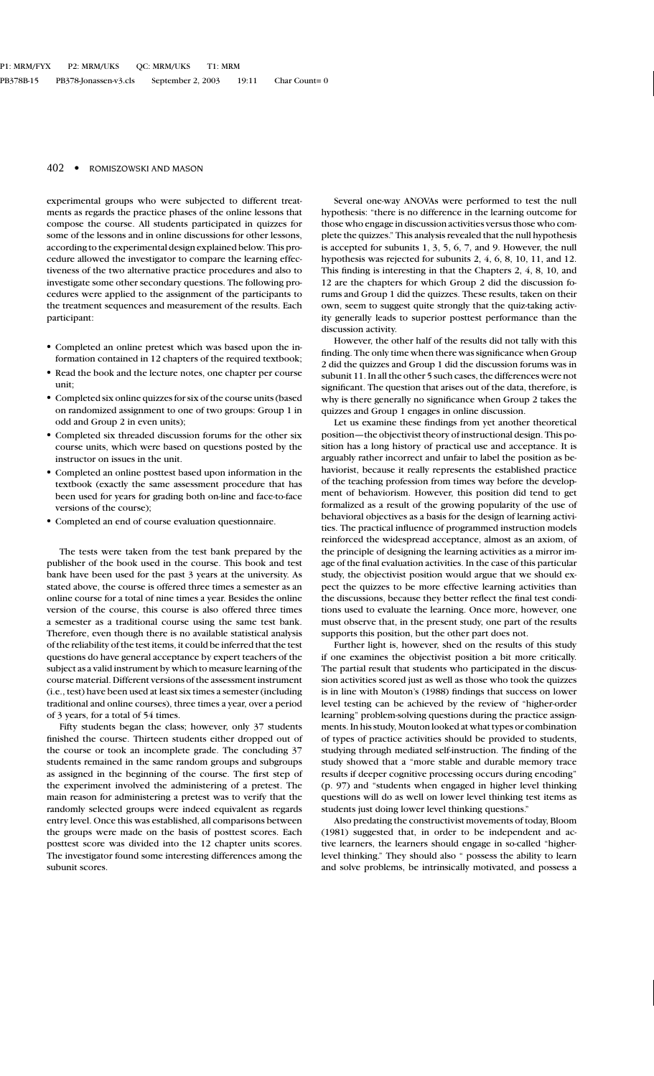experimental groups who were subjected to different treatments as regards the practice phases of the online lessons that compose the course. All students participated in quizzes for some of the lessons and in online discussions for other lessons, according to the experimental design explained below. This procedure allowed the investigator to compare the learning effectiveness of the two alternative practice procedures and also to investigate some other secondary questions. The following procedures were applied to the assignment of the participants to the treatment sequences and measurement of the results. Each participant:

- Completed an online pretest which was based upon the information contained in 12 chapters of the required textbook;
- Read the book and the lecture notes, one chapter per course unit;
- Completed six online quizzes for six of the course units (based on randomized assignment to one of two groups: Group 1 in odd and Group 2 in even units);
- Completed six threaded discussion forums for the other six course units, which were based on questions posted by the instructor on issues in the unit.
- Completed an online posttest based upon information in the textbook (exactly the same assessment procedure that has been used for years for grading both on-line and face-to-face versions of the course);
- Completed an end of course evaluation questionnaire.

The tests were taken from the test bank prepared by the publisher of the book used in the course. This book and test bank have been used for the past 3 years at the university. As stated above, the course is offered three times a semester as an online course for a total of nine times a year. Besides the online version of the course, this course is also offered three times a semester as a traditional course using the same test bank. Therefore, even though there is no available statistical analysis of the reliability of the test items, it could be inferred that the test questions do have general acceptance by expert teachers of the subject as a valid instrument by which to measure learning of the course material. Different versions of the assessment instrument (i.e., test) have been used at least six times a semester (including traditional and online courses), three times a year, over a period of 3 years, for a total of 54 times.

Fifty students began the class; however, only 37 students finished the course. Thirteen students either dropped out of the course or took an incomplete grade. The concluding 37 students remained in the same random groups and subgroups as assigned in the beginning of the course. The first step of the experiment involved the administering of a pretest. The main reason for administering a pretest was to verify that the randomly selected groups were indeed equivalent as regards entry level. Once this was established, all comparisons between the groups were made on the basis of posttest scores. Each posttest score was divided into the 12 chapter units scores. The investigator found some interesting differences among the subunit scores.

Several one-way ANOVAs were performed to test the null hypothesis: "there is no difference in the learning outcome for those who engage in discussion activities versus those who complete the quizzes." This analysis revealed that the null hypothesis is accepted for subunits 1, 3, 5, 6, 7, and 9. However, the null hypothesis was rejected for subunits 2, 4, 6, 8, 10, 11, and 12. This finding is interesting in that the Chapters 2, 4, 8, 10, and 12 are the chapters for which Group 2 did the discussion forums and Group 1 did the quizzes. These results, taken on their own, seem to suggest quite strongly that the quiz-taking activity generally leads to superior posttest performance than the discussion activity.

However, the other half of the results did not tally with this finding. The only time when there was significance when Group 2 did the quizzes and Group 1 did the discussion forums was in subunit 11. In all the other 5 such cases, the differences were not significant. The question that arises out of the data, therefore, is why is there generally no significance when Group 2 takes the quizzes and Group 1 engages in online discussion.

Let us examine these findings from yet another theoretical position—the objectivist theory of instructional design. This position has a long history of practical use and acceptance. It is arguably rather incorrect and unfair to label the position as behaviorist, because it really represents the established practice of the teaching profession from times way before the development of behaviorism. However, this position did tend to get formalized as a result of the growing popularity of the use of behavioral objectives as a basis for the design of learning activities. The practical influence of programmed instruction models reinforced the widespread acceptance, almost as an axiom, of the principle of designing the learning activities as a mirror image of the final evaluation activities. In the case of this particular study, the objectivist position would argue that we should expect the quizzes to be more effective learning activities than the discussions, because they better reflect the final test conditions used to evaluate the learning. Once more, however, one must observe that, in the present study, one part of the results supports this position, but the other part does not.

Further light is, however, shed on the results of this study if one examines the objectivist position a bit more critically. The partial result that students who participated in the discussion activities scored just as well as those who took the quizzes is in line with Mouton's (1988) findings that success on lower level testing can be achieved by the review of "higher-order learning" problem-solving questions during the practice assignments. In his study, Mouton looked at what types or combination of types of practice activities should be provided to students, studying through mediated self-instruction. The finding of the study showed that a "more stable and durable memory trace results if deeper cognitive processing occurs during encoding" (p. 97) and "students when engaged in higher level thinking questions will do as well on lower level thinking test items as students just doing lower level thinking questions."

Also predating the constructivist movements of today, Bloom (1981) suggested that, in order to be independent and active learners, the learners should engage in so-called "higherlevel thinking." They should also " possess the ability to learn and solve problems, be intrinsically motivated, and possess a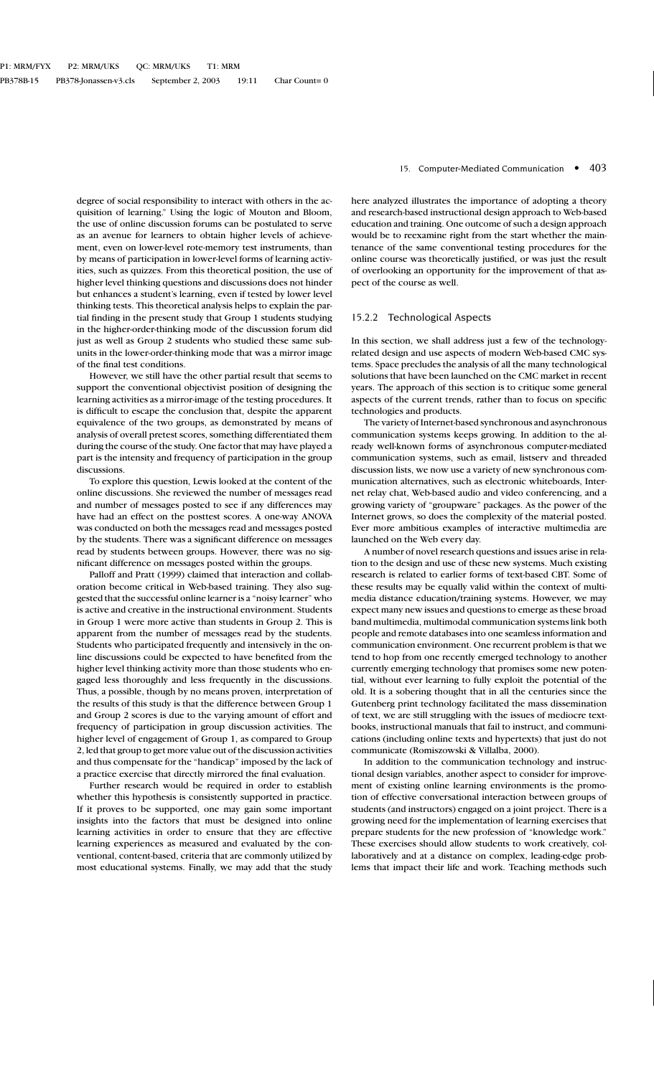degree of social responsibility to interact with others in the acquisition of learning." Using the logic of Mouton and Bloom, the use of online discussion forums can be postulated to serve as an avenue for learners to obtain higher levels of achievement, even on lower-level rote-memory test instruments, than by means of participation in lower-level forms of learning activities, such as quizzes. From this theoretical position, the use of higher level thinking questions and discussions does not hinder but enhances a student's learning, even if tested by lower level thinking tests. This theoretical analysis helps to explain the partial finding in the present study that Group 1 students studying in the higher-order-thinking mode of the discussion forum did just as well as Group 2 students who studied these same subunits in the lower-order-thinking mode that was a mirror image of the final test conditions.

However, we still have the other partial result that seems to support the conventional objectivist position of designing the learning activities as a mirror-image of the testing procedures. It is difficult to escape the conclusion that, despite the apparent equivalence of the two groups, as demonstrated by means of analysis of overall pretest scores, something differentiated them during the course of the study. One factor that may have played a part is the intensity and frequency of participation in the group discussions.

To explore this question, Lewis looked at the content of the online discussions. She reviewed the number of messages read and number of messages posted to see if any differences may have had an effect on the posttest scores. A one-way ANOVA was conducted on both the messages read and messages posted by the students. There was a significant difference on messages read by students between groups. However, there was no significant difference on messages posted within the groups.

Palloff and Pratt (1999) claimed that interaction and collaboration become critical in Web-based training. They also suggested that the successful online learner is a "noisy learner" who is active and creative in the instructional environment. Students in Group 1 were more active than students in Group 2. This is apparent from the number of messages read by the students. Students who participated frequently and intensively in the online discussions could be expected to have benefited from the higher level thinking activity more than those students who engaged less thoroughly and less frequently in the discussions. Thus, a possible, though by no means proven, interpretation of the results of this study is that the difference between Group 1 and Group 2 scores is due to the varying amount of effort and frequency of participation in group discussion activities. The higher level of engagement of Group 1, as compared to Group 2, led that group to get more value out of the discussion activities and thus compensate for the "handicap" imposed by the lack of a practice exercise that directly mirrored the final evaluation.

Further research would be required in order to establish whether this hypothesis is consistently supported in practice. If it proves to be supported, one may gain some important insights into the factors that must be designed into online learning activities in order to ensure that they are effective learning experiences as measured and evaluated by the conventional, content-based, criteria that are commonly utilized by most educational systems. Finally, we may add that the study here analyzed illustrates the importance of adopting a theory and research-based instructional design approach to Web-based education and training. One outcome of such a design approach would be to reexamine right from the start whether the maintenance of the same conventional testing procedures for the online course was theoretically justified, or was just the result of overlooking an opportunity for the improvement of that aspect of the course as well.

## 15.2.2 Technological Aspects

In this section, we shall address just a few of the technologyrelated design and use aspects of modern Web-based CMC systems. Space precludes the analysis of all the many technological solutions that have been launched on the CMC market in recent years. The approach of this section is to critique some general aspects of the current trends, rather than to focus on specific technologies and products.

The variety of Internet-based synchronous and asynchronous communication systems keeps growing. In addition to the already well-known forms of asynchronous computer-mediated communication systems, such as email, listserv and threaded discussion lists, we now use a variety of new synchronous communication alternatives, such as electronic whiteboards, Internet relay chat, Web-based audio and video conferencing, and a growing variety of "groupware" packages. As the power of the Internet grows, so does the complexity of the material posted. Ever more ambitious examples of interactive multimedia are launched on the Web every day.

A number of novel research questions and issues arise in relation to the design and use of these new systems. Much existing research is related to earlier forms of text-based CBT. Some of these results may be equally valid within the context of multimedia distance education/training systems. However, we may expect many new issues and questions to emerge as these broad band multimedia, multimodal communication systems link both people and remote databases into one seamless information and communication environment. One recurrent problem is that we tend to hop from one recently emerged technology to another currently emerging technology that promises some new potential, without ever learning to fully exploit the potential of the old. It is a sobering thought that in all the centuries since the Gutenberg print technology facilitated the mass dissemination of text, we are still struggling with the issues of mediocre textbooks, instructional manuals that fail to instruct, and communications (including online texts and hypertexts) that just do not communicate (Romiszowski & Villalba, 2000).

In addition to the communication technology and instructional design variables, another aspect to consider for improvement of existing online learning environments is the promotion of effective conversational interaction between groups of students (and instructors) engaged on a joint project. There is a growing need for the implementation of learning exercises that prepare students for the new profession of "knowledge work." These exercises should allow students to work creatively, collaboratively and at a distance on complex, leading-edge problems that impact their life and work. Teaching methods such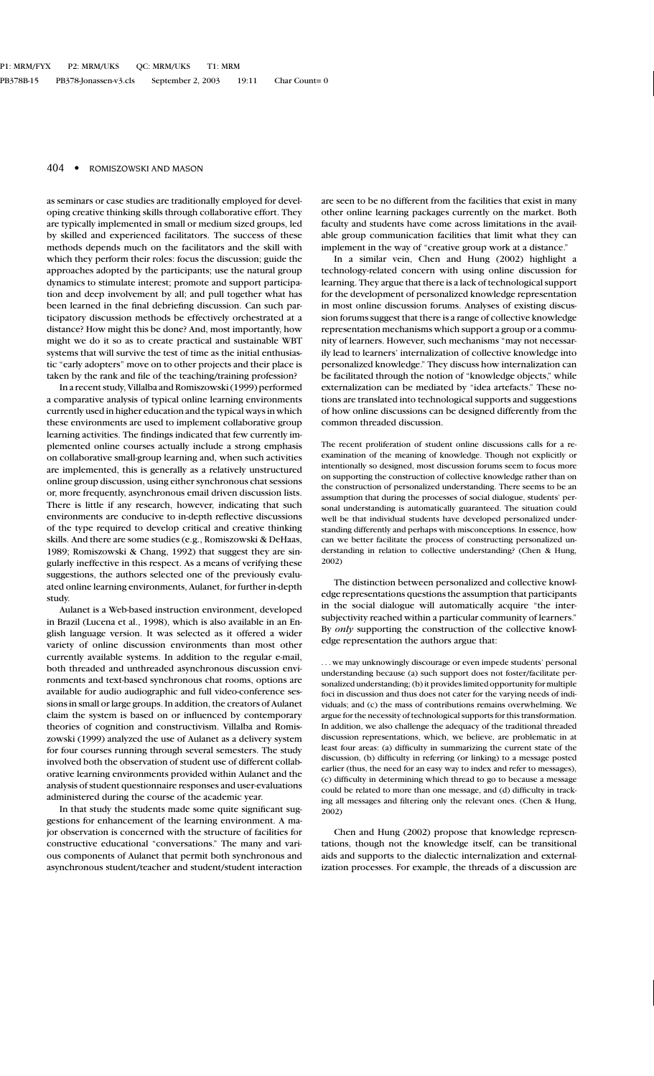as seminars or case studies are traditionally employed for developing creative thinking skills through collaborative effort. They are typically implemented in small or medium sized groups, led by skilled and experienced facilitators. The success of these methods depends much on the facilitators and the skill with which they perform their roles: focus the discussion; guide the approaches adopted by the participants; use the natural group dynamics to stimulate interest; promote and support participation and deep involvement by all; and pull together what has been learned in the final debriefing discussion. Can such participatory discussion methods be effectively orchestrated at a distance? How might this be done? And, most importantly, how might we do it so as to create practical and sustainable WBT systems that will survive the test of time as the initial enthusiastic "early adopters" move on to other projects and their place is taken by the rank and file of the teaching/training profession?

In a recent study, Villalba and Romiszowski (1999) performed a comparative analysis of typical online learning environments currently used in higher education and the typical ways in which these environments are used to implement collaborative group learning activities. The findings indicated that few currently implemented online courses actually include a strong emphasis on collaborative small-group learning and, when such activities are implemented, this is generally as a relatively unstructured online group discussion, using either synchronous chat sessions or, more frequently, asynchronous email driven discussion lists. There is little if any research, however, indicating that such environments are conducive to in-depth reflective discussions of the type required to develop critical and creative thinking skills. And there are some studies (e.g., Romiszowski & DeHaas, 1989; Romiszowski & Chang, 1992) that suggest they are singularly ineffective in this respect. As a means of verifying these suggestions, the authors selected one of the previously evaluated online learning environments, Aulanet, for further in-depth study.

Aulanet is a Web-based instruction environment, developed in Brazil (Lucena et al., 1998), which is also available in an English language version. It was selected as it offered a wider variety of online discussion environments than most other currently available systems. In addition to the regular e-mail, both threaded and unthreaded asynchronous discussion environments and text-based synchronous chat rooms, options are available for audio audiographic and full video-conference sessions in small or large groups. In addition, the creators of Aulanet claim the system is based on or influenced by contemporary theories of cognition and constructivism. Villalba and Romiszowski (1999) analyzed the use of Aulanet as a delivery system for four courses running through several semesters. The study involved both the observation of student use of different collaborative learning environments provided within Aulanet and the analysis of student questionnaire responses and user-evaluations administered during the course of the academic year.

In that study the students made some quite significant suggestions for enhancement of the learning environment. A major observation is concerned with the structure of facilities for constructive educational "conversations." The many and various components of Aulanet that permit both synchronous and asynchronous student/teacher and student/student interaction

are seen to be no different from the facilities that exist in many other online learning packages currently on the market. Both faculty and students have come across limitations in the available group communication facilities that limit what they can implement in the way of "creative group work at a distance."

In a similar vein, Chen and Hung (2002) highlight a technology-related concern with using online discussion for learning. They argue that there is a lack of technological support for the development of personalized knowledge representation in most online discussion forums. Analyses of existing discussion forums suggest that there is a range of collective knowledge representation mechanisms which support a group or a community of learners. However, such mechanisms "may not necessarily lead to learners' internalization of collective knowledge into personalized knowledge." They discuss how internalization can be facilitated through the notion of "knowledge objects," while externalization can be mediated by "idea artefacts." These notions are translated into technological supports and suggestions of how online discussions can be designed differently from the common threaded discussion.

The recent proliferation of student online discussions calls for a reexamination of the meaning of knowledge. Though not explicitly or intentionally so designed, most discussion forums seem to focus more on supporting the construction of collective knowledge rather than on the construction of personalized understanding. There seems to be an assumption that during the processes of social dialogue, students' personal understanding is automatically guaranteed. The situation could well be that individual students have developed personalized understanding differently and perhaps with misconceptions. In essence, how can we better facilitate the process of constructing personalized understanding in relation to collective understanding? (Chen & Hung, 2002)

The distinction between personalized and collective knowledge representations questions the assumption that participants in the social dialogue will automatically acquire "the intersubjectivity reached within a particular community of learners." By *only* supporting the construction of the collective knowledge representation the authors argue that:

. . . we may unknowingly discourage or even impede students' personal understanding because (a) such support does not foster/facilitate personalized understanding; (b) it provides limited opportunity for multiple foci in discussion and thus does not cater for the varying needs of individuals; and (c) the mass of contributions remains overwhelming. We argue for the necessity of technological supports for this transformation. In addition, we also challenge the adequacy of the traditional threaded discussion representations, which, we believe, are problematic in at least four areas: (a) difficulty in summarizing the current state of the discussion, (b) difficulty in referring (or linking) to a message posted earlier (thus, the need for an easy way to index and refer to messages), (c) difficulty in determining which thread to go to because a message could be related to more than one message, and (d) difficulty in tracking all messages and filtering only the relevant ones. (Chen & Hung, 2002)

Chen and Hung (2002) propose that knowledge representations, though not the knowledge itself, can be transitional aids and supports to the dialectic internalization and externalization processes. For example, the threads of a discussion are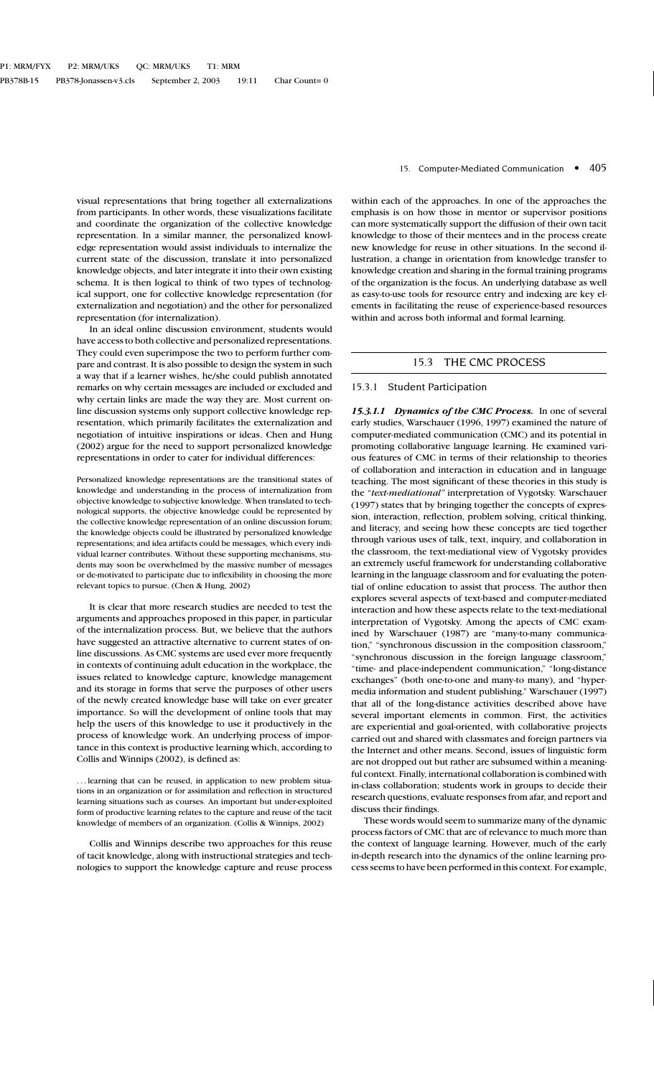visual representations that bring together all externalizations from participants. In other words, these visualizations facilitate and coordinate the organization of the collective knowledge representation. In a similar manner, the personalized knowledge representation would assist individuals to internalize the current state of the discussion, translate it into personalized knowledge objects, and later integrate it into their own existing schema. It is then logical to think of two types of technological support, one for collective knowledge representation (for externalization and negotiation) and the other for personalized representation (for internalization).

In an ideal online discussion environment, students would have access to both collective and personalized representations. They could even superimpose the two to perform further compare and contrast. It is also possible to design the system in such a way that if a learner wishes, he/she could publish annotated remarks on why certain messages are included or excluded and why certain links are made the way they are. Most current online discussion systems only support collective knowledge representation, which primarily facilitates the externalization and negotiation of intuitive inspirations or ideas. Chen and Hung (2002) argue for the need to support personalized knowledge representations in order to cater for individual differences:

Personalized knowledge representations are the transitional states of knowledge and understanding in the process of internalization from objective knowledge to subjective knowledge. When translated to technological supports, the objective knowledge could be represented by the collective knowledge representation of an online discussion forum; the knowledge objects could be illustrated by personalized knowledge representations; and idea artifacts could be messages, which every individual learner contributes. Without these supporting mechanisms, students may soon be overwhelmed by the massive number of messages or de-motivated to participate due to inflexibility in choosing the more relevant topics to pursue. (Chen & Hung, 2002)

It is clear that more research studies are needed to test the arguments and approaches proposed in this paper, in particular of the internalization process. But, we believe that the authors have suggested an attractive alternative to current states of online discussions. As CMC systems are used ever more frequently in contexts of continuing adult education in the workplace, the issues related to knowledge capture, knowledge management and its storage in forms that serve the purposes of other users of the newly created knowledge base will take on ever greater importance. So will the development of online tools that may help the users of this knowledge to use it productively in the process of knowledge work. An underlying process of importance in this context is productive learning which, according to Collis and Winnips (2002), is defined as:

. . . learning that can be reused, in application to new problem situations in an organization or for assimilation and reflection in structured learning situations such as courses. An important but under-exploited form of productive learning relates to the capture and reuse of the tacit knowledge of members of an organization. (Collis & Winnips, 2002)

Collis and Winnips describe two approaches for this reuse of tacit knowledge, along with instructional strategies and technologies to support the knowledge capture and reuse process within each of the approaches. In one of the approaches the emphasis is on how those in mentor or supervisor positions can more systematically support the diffusion of their own tacit knowledge to those of their mentees and in the process create new knowledge for reuse in other situations. In the second illustration, a change in orientation from knowledge transfer to knowledge creation and sharing in the formal training programs of the organization is the focus. An underlying database as well as easy-to-use tools for resource entry and indexing are key elements in facilitating the reuse of experience-based resources within and across both informal and formal learning.

## 15.3 THE CMC PROCESS

## 15.3.1 Student Participation

*15.3.1.1 Dynamics of the CMC Process.* In one of several early studies, Warschauer (1996, 1997) examined the nature of computer-mediated communication (CMC) and its potential in promoting collaborative language learning. He examined various features of CMC in terms of their relationship to theories of collaboration and interaction in education and in language teaching. The most significant of these theories in this study is the "*text-mediational"* interpretation of Vygotsky. Warschauer (1997) states that by bringing together the concepts of expression, interaction, reflection, problem solving, critical thinking, and literacy, and seeing how these concepts are tied together through various uses of talk, text, inquiry, and collaboration in the classroom, the text-mediational view of Vygotsky provides an extremely useful framework for understanding collaborative learning in the language classroom and for evaluating the potential of online education to assist that process. The author then explores several aspects of text-based and computer-mediated interaction and how these aspects relate to the text-mediational interpretation of Vygotsky. Among the apects of CMC examined by Warschauer (1987) are "many-to-many communication," "synchronous discussion in the composition classroom," "synchronous discussion in the foreign language classroom," "time- and place-independent communication," "long-distance exchanges" (both one-to-one and many-to many), and "hypermedia information and student publishing." Warschauer (1997) that all of the long-distance activities described above have several important elements in common. First, the activities are experiential and goal-oriented, with collaborative projects carried out and shared with classmates and foreign partners via the Internet and other means. Second, issues of linguistic form are not dropped out but rather are subsumed within a meaningful context. Finally, international collaboration is combined with in-class collaboration; students work in groups to decide their research questions, evaluate responses from afar, and report and discuss their findings.

These words would seem to summarize many of the dynamic process factors of CMC that are of relevance to much more than the context of language learning. However, much of the early in-depth research into the dynamics of the online learning process seems to have been performed in this context. For example,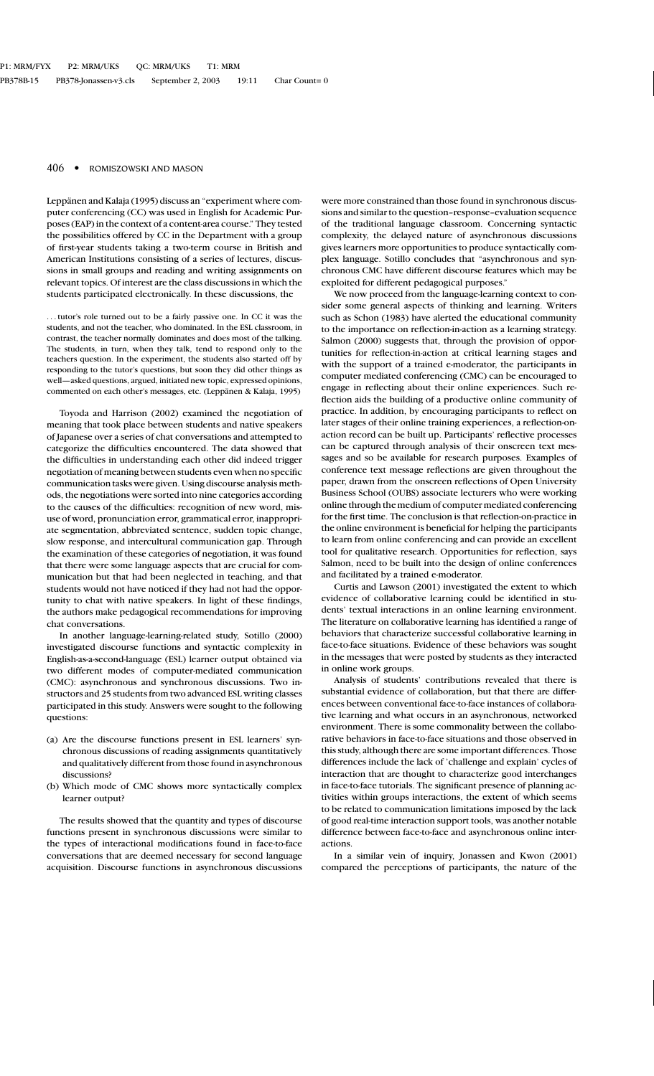Leppänen and Kalaja (1995) discuss an "experiment where computer conferencing (CC) was used in English for Academic Purposes (EAP) in the context of a content-area course." They tested the possibilities offered by CC in the Department with a group of first-year students taking a two-term course in British and American Institutions consisting of a series of lectures, discussions in small groups and reading and writing assignments on relevant topics. Of interest are the class discussions in which the students participated electronically. In these discussions, the

. . . tutor's role turned out to be a fairly passive one. In CC it was the students, and not the teacher, who dominated. In the ESL classroom, in contrast, the teacher normally dominates and does most of the talking. The students, in turn, when they talk, tend to respond only to the teachers question. In the experiment, the students also started off by responding to the tutor's questions, but soon they did other things as well—asked questions, argued, initiated new topic, expressed opinions, commented on each other's messages, etc. (Leppänen & Kalaja, 1995)

Toyoda and Harrison (2002) examined the negotiation of meaning that took place between students and native speakers of Japanese over a series of chat conversations and attempted to categorize the difficulties encountered. The data showed that the difficulties in understanding each other did indeed trigger negotiation of meaning between students even when no specific communication tasks were given. Using discourse analysis methods, the negotiations were sorted into nine categories according to the causes of the difficulties: recognition of new word, misuse of word, pronunciation error, grammatical error, inappropriate segmentation, abbreviated sentence, sudden topic change, slow response, and intercultural communication gap. Through the examination of these categories of negotiation, it was found that there were some language aspects that are crucial for communication but that had been neglected in teaching, and that students would not have noticed if they had not had the opportunity to chat with native speakers. In light of these findings, the authors make pedagogical recommendations for improving chat conversations.

In another language-learning-related study, Sotillo (2000) investigated discourse functions and syntactic complexity in English-as-a-second-language (ESL) learner output obtained via two different modes of computer-mediated communication (CMC): asynchronous and synchronous discussions. Two instructors and 25 students from two advanced ESL writing classes participated in this study. Answers were sought to the following questions:

- (a) Are the discourse functions present in ESL learners' synchronous discussions of reading assignments quantitatively and qualitatively different from those found in asynchronous discussions?
- (b) Which mode of CMC shows more syntactically complex learner output?

The results showed that the quantity and types of discourse functions present in synchronous discussions were similar to the types of interactional modifications found in face-to-face conversations that are deemed necessary for second language acquisition. Discourse functions in asynchronous discussions were more constrained than those found in synchronous discussions and similar to the question–response–evaluation sequence of the traditional language classroom. Concerning syntactic complexity, the delayed nature of asynchronous discussions gives learners more opportunities to produce syntactically complex language. Sotillo concludes that "asynchronous and synchronous CMC have different discourse features which may be exploited for different pedagogical purposes."

We now proceed from the language-learning context to consider some general aspects of thinking and learning. Writers such as Schon (1983) have alerted the educational community to the importance on reflection-in-action as a learning strategy. Salmon (2000) suggests that, through the provision of opportunities for reflection-in-action at critical learning stages and with the support of a trained e-moderator, the participants in computer mediated conferencing (CMC) can be encouraged to engage in reflecting about their online experiences. Such reflection aids the building of a productive online community of practice. In addition, by encouraging participants to reflect on later stages of their online training experiences, a reflection-onaction record can be built up. Participants' reflective processes can be captured through analysis of their onscreen text messages and so be available for research purposes. Examples of conference text message reflections are given throughout the paper, drawn from the onscreen reflections of Open University Business School (OUBS) associate lecturers who were working online through the medium of computer mediated conferencing for the first time. The conclusion is that reflection-on-practice in the online environment is beneficial for helping the participants to learn from online conferencing and can provide an excellent tool for qualitative research. Opportunities for reflection, says Salmon, need to be built into the design of online conferences and facilitated by a trained e-moderator.

Curtis and Lawson (2001) investigated the extent to which evidence of collaborative learning could be identified in students' textual interactions in an online learning environment. The literature on collaborative learning has identified a range of behaviors that characterize successful collaborative learning in face-to-face situations. Evidence of these behaviors was sought in the messages that were posted by students as they interacted in online work groups.

Analysis of students' contributions revealed that there is substantial evidence of collaboration, but that there are differences between conventional face-to-face instances of collaborative learning and what occurs in an asynchronous, networked environment. There is some commonality between the collaborative behaviors in face-to-face situations and those observed in this study, although there are some important differences. Those differences include the lack of 'challenge and explain' cycles of interaction that are thought to characterize good interchanges in face-to-face tutorials. The significant presence of planning activities within groups interactions, the extent of which seems to be related to communication limitations imposed by the lack of good real-time interaction support tools, was another notable difference between face-to-face and asynchronous online interactions.

In a similar vein of inquiry, Jonassen and Kwon (2001) compared the perceptions of participants, the nature of the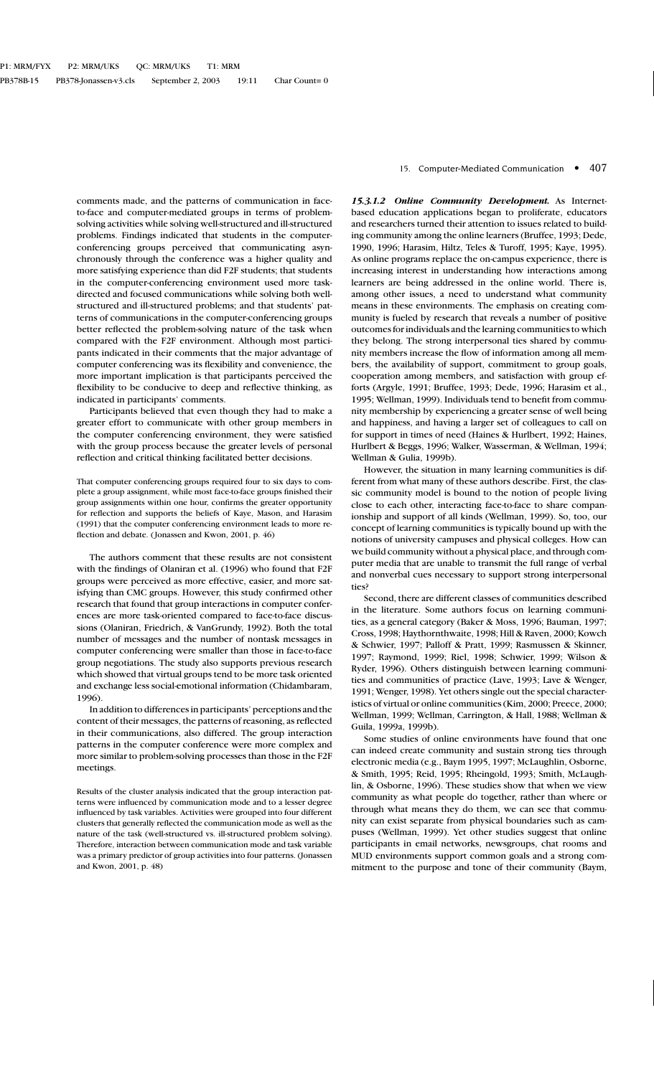comments made, and the patterns of communication in faceto-face and computer-mediated groups in terms of problemsolving activities while solving well-structured and ill-structured problems. Findings indicated that students in the computerconferencing groups perceived that communicating asynchronously through the conference was a higher quality and more satisfying experience than did F2F students; that students in the computer-conferencing environment used more taskdirected and focused communications while solving both wellstructured and ill-structured problems; and that students' patterns of communications in the computer-conferencing groups better reflected the problem-solving nature of the task when compared with the F2F environment. Although most participants indicated in their comments that the major advantage of computer conferencing was its flexibility and convenience, the more important implication is that participants perceived the flexibility to be conducive to deep and reflective thinking, as indicated in participants' comments.

Participants believed that even though they had to make a greater effort to communicate with other group members in the computer conferencing environment, they were satisfied with the group process because the greater levels of personal reflection and critical thinking facilitated better decisions.

That computer conferencing groups required four to six days to complete a group assignment, while most face-to-face groups finished their group assignments within one hour, confirms the greater opportunity for reflection and supports the beliefs of Kaye, Mason, and Harasim (1991) that the computer conferencing environment leads to more reflection and debate. (Jonassen and Kwon, 2001, p. 46)

The authors comment that these results are not consistent with the findings of Olaniran et al. (1996) who found that F2F groups were perceived as more effective, easier, and more satisfying than CMC groups. However, this study confirmed other research that found that group interactions in computer conferences are more task-oriented compared to face-to-face discussions (Olaniran, Friedrich, & VanGrundy, 1992). Both the total number of messages and the number of nontask messages in computer conferencing were smaller than those in face-to-face group negotiations. The study also supports previous research which showed that virtual groups tend to be more task oriented and exchange less social-emotional information (Chidambaram, 1996).

In addition to differences in participants' perceptions and the content of their messages, the patterns of reasoning, as reflected in their communications, also differed. The group interaction patterns in the computer conference were more complex and more similar to problem-solving processes than those in the F2F meetings.

Results of the cluster analysis indicated that the group interaction patterns were influenced by communication mode and to a lesser degree influenced by task variables. Activities were grouped into four different clusters that generally reflected the communication mode as well as the nature of the task (well-structured vs. ill-structured problem solving). Therefore, interaction between communication mode and task variable was a primary predictor of group activities into four patterns. (Jonassen and Kwon, 2001, p. 48)

*15.3.1.2 Online Community Development.* As Internetbased education applications began to proliferate, educators and researchers turned their attention to issues related to building community among the online learners (Bruffee, 1993; Dede, 1990, 1996; Harasim, Hiltz, Teles & Turoff, 1995; Kaye, 1995). As online programs replace the on-campus experience, there is increasing interest in understanding how interactions among learners are being addressed in the online world. There is, among other issues, a need to understand what community means in these environments. The emphasis on creating community is fueled by research that reveals a number of positive outcomes for individuals and the learning communities to which they belong. The strong interpersonal ties shared by community members increase the flow of information among all members, the availability of support, commitment to group goals, cooperation among members, and satisfaction with group efforts (Argyle, 1991; Bruffee, 1993; Dede, 1996; Harasim et al., 1995; Wellman, 1999). Individuals tend to benefit from community membership by experiencing a greater sense of well being and happiness, and having a larger set of colleagues to call on for support in times of need (Haines & Hurlbert, 1992; Haines, Hurlbert & Beggs, 1996; Walker, Wasserman, & Wellman, 1994; Wellman & Gulia, 1999b).

However, the situation in many learning communities is different from what many of these authors describe. First, the classic community model is bound to the notion of people living close to each other, interacting face-to-face to share companionship and support of all kinds (Wellman, 1999). So, too, our concept of learning communities is typically bound up with the notions of university campuses and physical colleges. How can we build community without a physical place, and through computer media that are unable to transmit the full range of verbal and nonverbal cues necessary to support strong interpersonal ties?

Second, there are different classes of communities described in the literature. Some authors focus on learning communities, as a general category (Baker & Moss, 1996; Bauman, 1997; Cross, 1998; Haythornthwaite, 1998; Hill & Raven, 2000; Kowch & Schwier, 1997; Palloff & Pratt, 1999; Rasmussen & Skinner, 1997; Raymond, 1999; Riel, 1998; Schwier, 1999; Wilson & Ryder, 1996). Others distinguish between learning communities and communities of practice (Lave, 1993; Lave & Wenger, 1991; Wenger, 1998). Yet others single out the special characteristics of virtual or online communities (Kim, 2000; Preece, 2000; Wellman, 1999; Wellman, Carrington, & Hall, 1988; Wellman & Guila, 1999a, 1999b).

Some studies of online environments have found that one can indeed create community and sustain strong ties through electronic media (e.g., Baym 1995, 1997; McLaughlin, Osborne, & Smith, 1995; Reid, 1995; Rheingold, 1993; Smith, McLaughlin, & Osborne, 1996). These studies show that when we view community as what people do together, rather than where or through what means they do them, we can see that community can exist separate from physical boundaries such as campuses (Wellman, 1999). Yet other studies suggest that online participants in email networks, newsgroups, chat rooms and MUD environments support common goals and a strong commitment to the purpose and tone of their community (Baym,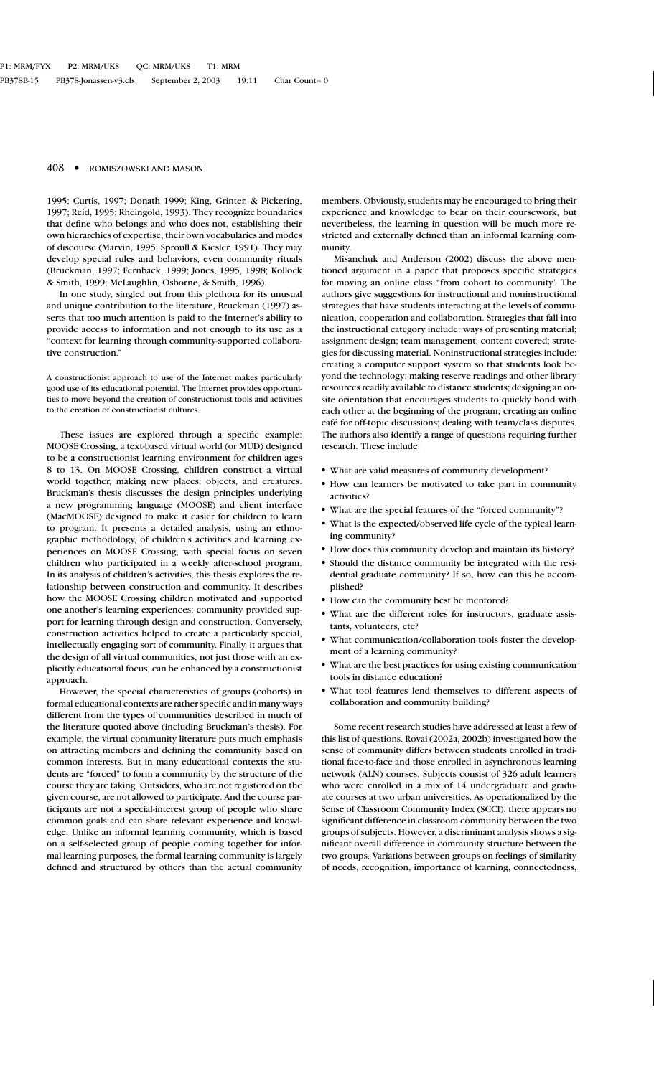1995; Curtis, 1997; Donath 1999; King, Grinter, & Pickering, 1997; Reid, 1995; Rheingold, 1993). They recognize boundaries that define who belongs and who does not, establishing their own hierarchies of expertise, their own vocabularies and modes of discourse (Marvin, 1995; Sproull & Kiesler, 1991). They may develop special rules and behaviors, even community rituals (Bruckman, 1997; Fernback, 1999; Jones, 1995, 1998; Kollock & Smith, 1999; McLaughlin, Osborne, & Smith, 1996).

In one study, singled out from this plethora for its unusual and unique contribution to the literature, Bruckman (1997) asserts that too much attention is paid to the Internet's ability to provide access to information and not enough to its use as a "context for learning through community-supported collaborative construction."

A constructionist approach to use of the Internet makes particularly good use of its educational potential. The Internet provides opportunities to move beyond the creation of constructionist tools and activities to the creation of constructionist cultures.

These issues are explored through a specific example: MOOSE Crossing, a text-based virtual world (or MUD) designed to be a constructionist learning environment for children ages 8 to 13. On MOOSE Crossing, children construct a virtual world together, making new places, objects, and creatures. Bruckman's thesis discusses the design principles underlying a new programming language (MOOSE) and client interface (MacMOOSE) designed to make it easier for children to learn to program. It presents a detailed analysis, using an ethnographic methodology, of children's activities and learning experiences on MOOSE Crossing, with special focus on seven children who participated in a weekly after-school program. In its analysis of children's activities, this thesis explores the relationship between construction and community. It describes how the MOOSE Crossing children motivated and supported one another's learning experiences: community provided support for learning through design and construction. Conversely, construction activities helped to create a particularly special, intellectually engaging sort of community. Finally, it argues that the design of all virtual communities, not just those with an explicitly educational focus, can be enhanced by a constructionist approach.

However, the special characteristics of groups (cohorts) in formal educational contexts are rather specific and in many ways different from the types of communities described in much of the literature quoted above (including Bruckman's thesis). For example, the virtual community literature puts much emphasis on attracting members and defining the community based on common interests. But in many educational contexts the students are "forced" to form a community by the structure of the course they are taking. Outsiders, who are not registered on the given course, are not allowed to participate. And the course participants are not a special-interest group of people who share common goals and can share relevant experience and knowledge. Unlike an informal learning community, which is based on a self-selected group of people coming together for informal learning purposes, the formal learning community is largely defined and structured by others than the actual community

members. Obviously, students may be encouraged to bring their experience and knowledge to bear on their coursework, but nevertheless, the learning in question will be much more restricted and externally defined than an informal learning community.

Misanchuk and Anderson (2002) discuss the above mentioned argument in a paper that proposes specific strategies for moving an online class "from cohort to community." The authors give suggestions for instructional and noninstructional strategies that have students interacting at the levels of communication, cooperation and collaboration. Strategies that fall into the instructional category include: ways of presenting material; assignment design; team management; content covered; strategies for discussing material. Noninstructional strategies include: creating a computer support system so that students look beyond the technology; making reserve readings and other library resources readily available to distance students; designing an onsite orientation that encourages students to quickly bond with each other at the beginning of the program; creating an online café for off-topic discussions; dealing with team/class disputes. The authors also identify a range of questions requiring further research. These include:

- What are valid measures of community development?
- How can learners be motivated to take part in community activities?
- What are the special features of the "forced community"?
- What is the expected/observed life cycle of the typical learning community?
- How does this community develop and maintain its history?
- Should the distance community be integrated with the residential graduate community? If so, how can this be accomplished?
- How can the community best be mentored?
- What are the different roles for instructors, graduate assistants, volunteers, etc?
- What communication/collaboration tools foster the development of a learning community?
- What are the best practices for using existing communication tools in distance education?
- What tool features lend themselves to different aspects of collaboration and community building?

Some recent research studies have addressed at least a few of this list of questions. Rovai (2002a, 2002b) investigated how the sense of community differs between students enrolled in traditional face-to-face and those enrolled in asynchronous learning network (ALN) courses. Subjects consist of 326 adult learners who were enrolled in a mix of 14 undergraduate and graduate courses at two urban universities. As operationalized by the Sense of Classroom Community Index (SCCI), there appears no significant difference in classroom community between the two groups of subjects. However, a discriminant analysis shows a significant overall difference in community structure between the two groups. Variations between groups on feelings of similarity of needs, recognition, importance of learning, connectedness,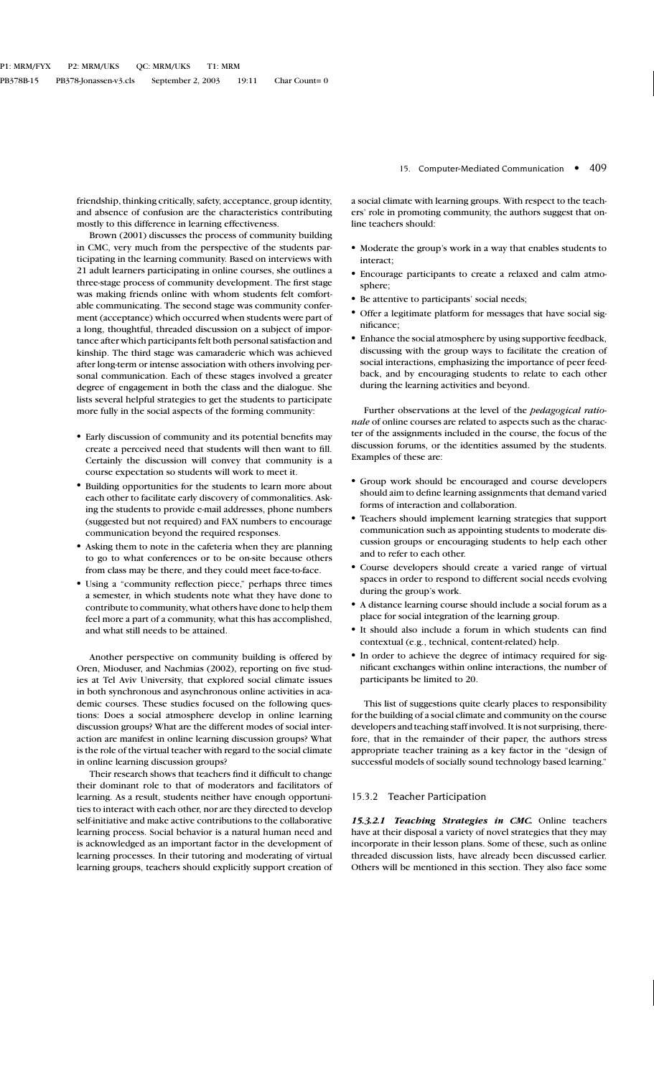friendship, thinking critically, safety, acceptance, group identity, and absence of confusion are the characteristics contributing mostly to this difference in learning effectiveness.

Brown (2001) discusses the process of community building in CMC, very much from the perspective of the students participating in the learning community. Based on interviews with 21 adult learners participating in online courses, she outlines a three-stage process of community development. The first stage was making friends online with whom students felt comfortable communicating. The second stage was community conferment (acceptance) which occurred when students were part of a long, thoughtful, threaded discussion on a subject of importance after which participants felt both personal satisfaction and kinship. The third stage was camaraderie which was achieved after long-term or intense association with others involving personal communication. Each of these stages involved a greater degree of engagement in both the class and the dialogue. She lists several helpful strategies to get the students to participate more fully in the social aspects of the forming community:

- Early discussion of community and its potential benefits may create a perceived need that students will then want to fill. Certainly the discussion will convey that community is a course expectation so students will work to meet it.
- Building opportunities for the students to learn more about each other to facilitate early discovery of commonalities. Asking the students to provide e-mail addresses, phone numbers (suggested but not required) and FAX numbers to encourage communication beyond the required responses.
- Asking them to note in the cafeteria when they are planning to go to what conferences or to be on-site because others from class may be there, and they could meet face-to-face.
- Using a "community reflection piece," perhaps three times a semester, in which students note what they have done to contribute to community, what others have done to help them feel more a part of a community, what this has accomplished, and what still needs to be attained.

Another perspective on community building is offered by Oren, Mioduser, and Nachmias (2002), reporting on five studies at Tel Aviv University, that explored social climate issues in both synchronous and asynchronous online activities in academic courses. These studies focused on the following questions: Does a social atmosphere develop in online learning discussion groups? What are the different modes of social interaction are manifest in online learning discussion groups? What is the role of the virtual teacher with regard to the social climate in online learning discussion groups?

Their research shows that teachers find it difficult to change their dominant role to that of moderators and facilitators of learning. As a result, students neither have enough opportunities to interact with each other, nor are they directed to develop self-initiative and make active contributions to the collaborative learning process. Social behavior is a natural human need and is acknowledged as an important factor in the development of learning processes. In their tutoring and moderating of virtual learning groups, teachers should explicitly support creation of a social climate with learning groups. With respect to the teachers' role in promoting community, the authors suggest that online teachers should:

- Moderate the group's work in a way that enables students to interact;
- Encourage participants to create a relaxed and calm atmosphere;
- Be attentive to participants' social needs;
- Offer a legitimate platform for messages that have social significance;
- Enhance the social atmosphere by using supportive feedback, discussing with the group ways to facilitate the creation of social interactions, emphasizing the importance of peer feedback, and by encouraging students to relate to each other during the learning activities and beyond.

Further observations at the level of the *pedagogical rationale* of online courses are related to aspects such as the character of the assignments included in the course, the focus of the discussion forums, or the identities assumed by the students. Examples of these are:

- Group work should be encouraged and course developers should aim to define learning assignments that demand varied forms of interaction and collaboration.
- Teachers should implement learning strategies that support communication such as appointing students to moderate discussion groups or encouraging students to help each other and to refer to each other.
- Course developers should create a varied range of virtual spaces in order to respond to different social needs evolving during the group's work.
- A distance learning course should include a social forum as a place for social integration of the learning group.
- It should also include a forum in which students can find contextual (e.g., technical, content-related) help.
- In order to achieve the degree of intimacy required for significant exchanges within online interactions, the number of participants be limited to 20.

This list of suggestions quite clearly places to responsibility for the building of a social climate and community on the course developers and teaching staff involved. It is not surprising, therefore, that in the remainder of their paper, the authors stress appropriate teacher training as a key factor in the "design of successful models of socially sound technology based learning."

## 15.3.2 Teacher Participation

*15.3.2.1 Teaching Strategies in CMC.* Online teachers have at their disposal a variety of novel strategies that they may incorporate in their lesson plans. Some of these, such as online threaded discussion lists, have already been discussed earlier. Others will be mentioned in this section. They also face some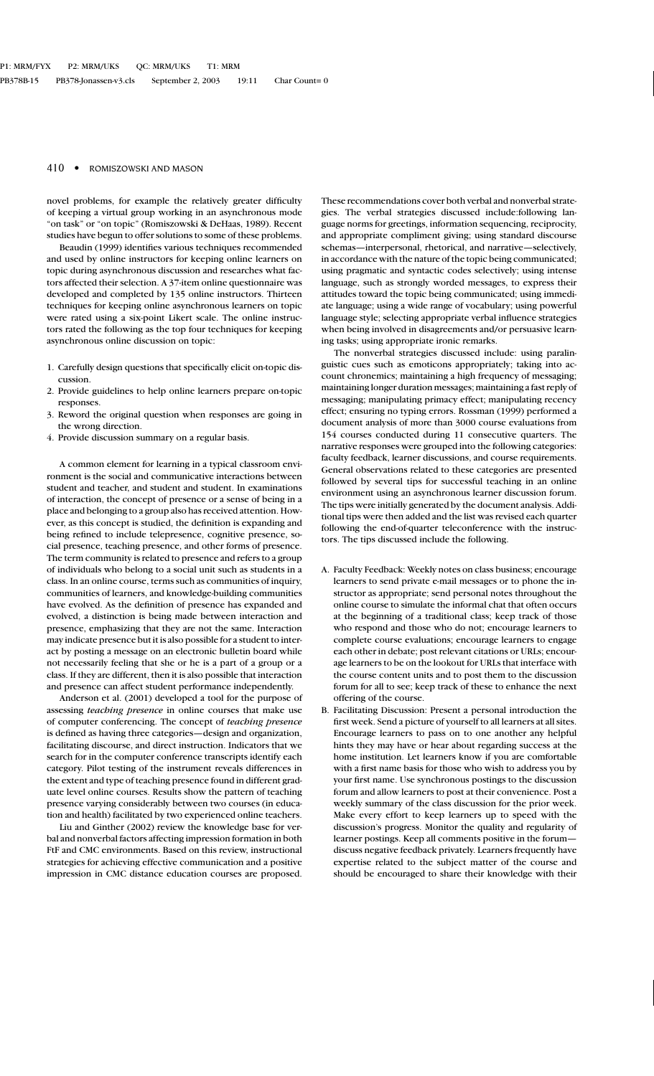novel problems, for example the relatively greater difficulty of keeping a virtual group working in an asynchronous mode "on task" or "on topic" (Romiszowski & DeHaas, 1989). Recent studies have begun to offer solutions to some of these problems.

Beaudin (1999) identifies various techniques recommended and used by online instructors for keeping online learners on topic during asynchronous discussion and researches what factors affected their selection. A 37-item online questionnaire was developed and completed by 135 online instructors. Thirteen techniques for keeping online asynchronous learners on topic were rated using a six-point Likert scale. The online instructors rated the following as the top four techniques for keeping asynchronous online discussion on topic:

- 1. Carefully design questions that specifically elicit on-topic discussion.
- 2. Provide guidelines to help online learners prepare on-topic responses.
- 3. Reword the original question when responses are going in the wrong direction.
- 4. Provide discussion summary on a regular basis.

A common element for learning in a typical classroom environment is the social and communicative interactions between student and teacher, and student and student. In examinations of interaction, the concept of presence or a sense of being in a place and belonging to a group also has received attention. However, as this concept is studied, the definition is expanding and being refined to include telepresence, cognitive presence, social presence, teaching presence, and other forms of presence. The term community is related to presence and refers to a group of individuals who belong to a social unit such as students in a class. In an online course, terms such as communities of inquiry, communities of learners, and knowledge-building communities have evolved. As the definition of presence has expanded and evolved, a distinction is being made between interaction and presence, emphasizing that they are not the same. Interaction may indicate presence but it is also possible for a student to interact by posting a message on an electronic bulletin board while not necessarily feeling that she or he is a part of a group or a class. If they are different, then it is also possible that interaction and presence can affect student performance independently.

Anderson et al. (2001) developed a tool for the purpose of assessing *teaching presence* in online courses that make use of computer conferencing. The concept of *teaching presence* is defined as having three categories—design and organization, facilitating discourse, and direct instruction. Indicators that we search for in the computer conference transcripts identify each category. Pilot testing of the instrument reveals differences in the extent and type of teaching presence found in different graduate level online courses. Results show the pattern of teaching presence varying considerably between two courses (in education and health) facilitated by two experienced online teachers.

Liu and Ginther (2002) review the knowledge base for verbal and nonverbal factors affecting impression formation in both FtF and CMC environments. Based on this review, instructional strategies for achieving effective communication and a positive impression in CMC distance education courses are proposed. These recommendations cover both verbal and nonverbal strategies. The verbal strategies discussed include:following language norms for greetings, information sequencing, reciprocity, and appropriate compliment giving; using standard discourse schemas—interpersonal, rhetorical, and narrative—selectively, in accordance with the nature of the topic being communicated; using pragmatic and syntactic codes selectively; using intense language, such as strongly worded messages, to express their attitudes toward the topic being communicated; using immediate language; using a wide range of vocabulary; using powerful language style; selecting appropriate verbal influence strategies when being involved in disagreements and/or persuasive learning tasks; using appropriate ironic remarks.

The nonverbal strategies discussed include: using paralinguistic cues such as emoticons appropriately; taking into account chronemics; maintaining a high frequency of messaging; maintaining longer duration messages; maintaining a fast reply of messaging; manipulating primacy effect; manipulating recency effect; ensuring no typing errors. Rossman (1999) performed a document analysis of more than 3000 course evaluations from 154 courses conducted during 11 consecutive quarters. The narrative responses were grouped into the following categories: faculty feedback, learner discussions, and course requirements. General observations related to these categories are presented followed by several tips for successful teaching in an online environment using an asynchronous learner discussion forum. The tips were initially generated by the document analysis. Additional tips were then added and the list was revised each quarter following the end-of-quarter teleconference with the instructors. The tips discussed include the following.

- A. Faculty Feedback: Weekly notes on class business; encourage learners to send private e-mail messages or to phone the instructor as appropriate; send personal notes throughout the online course to simulate the informal chat that often occurs at the beginning of a traditional class; keep track of those who respond and those who do not; encourage learners to complete course evaluations; encourage learners to engage each other in debate; post relevant citations or URLs; encourage learners to be on the lookout for URLs that interface with the course content units and to post them to the discussion forum for all to see; keep track of these to enhance the next offering of the course.
- B. Facilitating Discussion: Present a personal introduction the first week. Send a picture of yourself to all learners at all sites. Encourage learners to pass on to one another any helpful hints they may have or hear about regarding success at the home institution. Let learners know if you are comfortable with a first name basis for those who wish to address you by your first name. Use synchronous postings to the discussion forum and allow learners to post at their convenience. Post a weekly summary of the class discussion for the prior week. Make every effort to keep learners up to speed with the discussion's progress. Monitor the quality and regularity of learner postings. Keep all comments positive in the forum discuss negative feedback privately. Learners frequently have expertise related to the subject matter of the course and should be encouraged to share their knowledge with their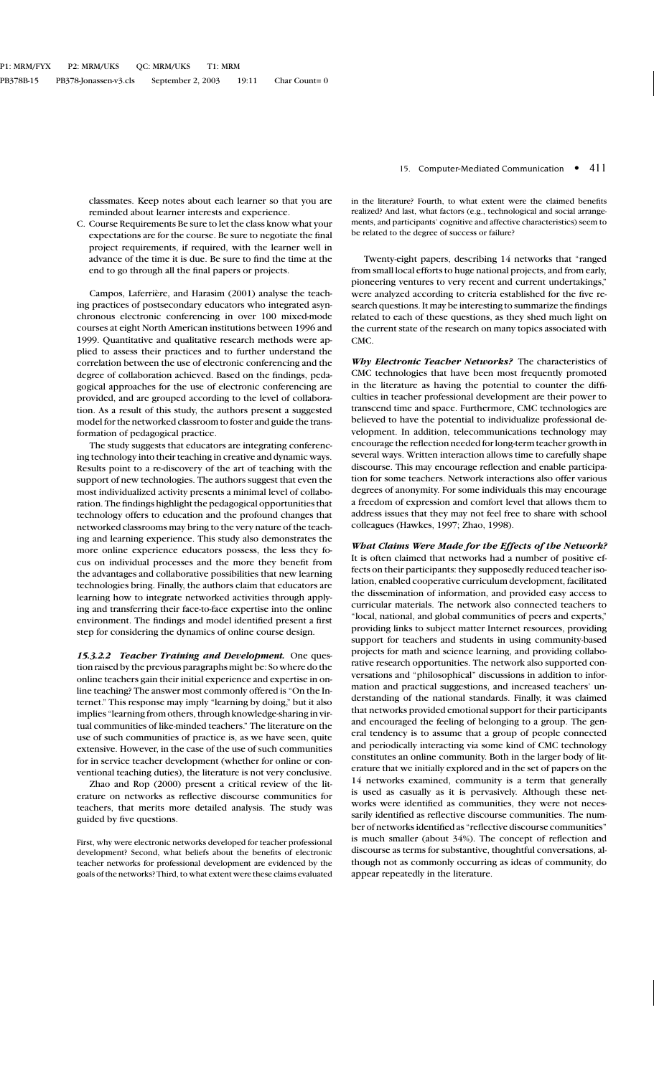classmates. Keep notes about each learner so that you are reminded about learner interests and experience.

C. Course Requirements Be sure to let the class know what your expectations are for the course. Be sure to negotiate the final project requirements, if required, with the learner well in advance of the time it is due. Be sure to find the time at the end to go through all the final papers or projects.

Campos, Laferrière, and Harasim (2001) analyse the teaching practices of postsecondary educators who integrated asynchronous electronic conferencing in over 100 mixed-mode courses at eight North American institutions between 1996 and 1999. Quantitative and qualitative research methods were applied to assess their practices and to further understand the correlation between the use of electronic conferencing and the degree of collaboration achieved. Based on the findings, pedagogical approaches for the use of electronic conferencing are provided, and are grouped according to the level of collaboration. As a result of this study, the authors present a suggested model for the networked classroom to foster and guide the transformation of pedagogical practice.

The study suggests that educators are integrating conferencing technology into their teaching in creative and dynamic ways. Results point to a re-discovery of the art of teaching with the support of new technologies. The authors suggest that even the most individualized activity presents a minimal level of collaboration. The findings highlight the pedagogical opportunities that technology offers to education and the profound changes that networked classrooms may bring to the very nature of the teaching and learning experience. This study also demonstrates the more online experience educators possess, the less they focus on individual processes and the more they benefit from the advantages and collaborative possibilities that new learning technologies bring. Finally, the authors claim that educators are learning how to integrate networked activities through applying and transferring their face-to-face expertise into the online environment. The findings and model identified present a first step for considering the dynamics of online course design.

*15.3.2.2 Teacher Training and Development.* One question raised by the previous paragraphs might be: So where do the online teachers gain their initial experience and expertise in online teaching? The answer most commonly offered is "On the Internet." This response may imply "learning by doing," but it also implies "learning from others, through knowledge-sharing in virtual communities of like-minded teachers." The literature on the use of such communities of practice is, as we have seen, quite extensive. However, in the case of the use of such communities for in service teacher development (whether for online or conventional teaching duties), the literature is not very conclusive.

Zhao and Rop (2000) present a critical review of the literature on networks as reflective discourse communities for teachers, that merits more detailed analysis. The study was guided by five questions.

First, why were electronic networks developed for teacher professional development? Second, what beliefs about the benefits of electronic teacher networks for professional development are evidenced by the goals of the networks? Third, to what extent were these claims evaluated in the literature? Fourth, to what extent were the claimed benefits realized? And last, what factors (e.g., technological and social arrangements, and participants' cognitive and affective characteristics) seem to be related to the degree of success or failure?

Twenty-eight papers, describing 14 networks that "ranged from small local efforts to huge national projects, and from early, pioneering ventures to very recent and current undertakings," were analyzed according to criteria established for the five research questions. It may be interesting to summarize the findings related to each of these questions, as they shed much light on the current state of the research on many topics associated with CMC.

*Why Electronic Teacher Networks?* The characteristics of CMC technologies that have been most frequently promoted in the literature as having the potential to counter the difficulties in teacher professional development are their power to transcend time and space. Furthermore, CMC technologies are believed to have the potential to individualize professional development. In addition, telecommunications technology may encourage the reflection needed for long-term teacher growth in several ways. Written interaction allows time to carefully shape discourse. This may encourage reflection and enable participation for some teachers. Network interactions also offer various degrees of anonymity. For some individuals this may encourage a freedom of expression and comfort level that allows them to address issues that they may not feel free to share with school colleagues (Hawkes, 1997; Zhao, 1998).

*What Claims Were Made for the Effects of the Network?* It is often claimed that networks had a number of positive effects on their participants: they supposedly reduced teacher isolation, enabled cooperative curriculum development, facilitated the dissemination of information, and provided easy access to curricular materials. The network also connected teachers to "local, national, and global communities of peers and experts," providing links to subject matter Internet resources, providing support for teachers and students in using community-based projects for math and science learning, and providing collaborative research opportunities. The network also supported conversations and "philosophical" discussions in addition to information and practical suggestions, and increased teachers' understanding of the national standards. Finally, it was claimed that networks provided emotional support for their participants and encouraged the feeling of belonging to a group. The general tendency is to assume that a group of people connected and periodically interacting via some kind of CMC technology constitutes an online community. Both in the larger body of literature that we initially explored and in the set of papers on the 14 networks examined, community is a term that generally is used as casually as it is pervasively. Although these networks were identified as communities, they were not necessarily identified as reflective discourse communities. The number of networks identified as "reflective discourse communities" is much smaller (about 34%). The concept of reflection and discourse as terms for substantive, thoughtful conversations, although not as commonly occurring as ideas of community, do appear repeatedly in the literature.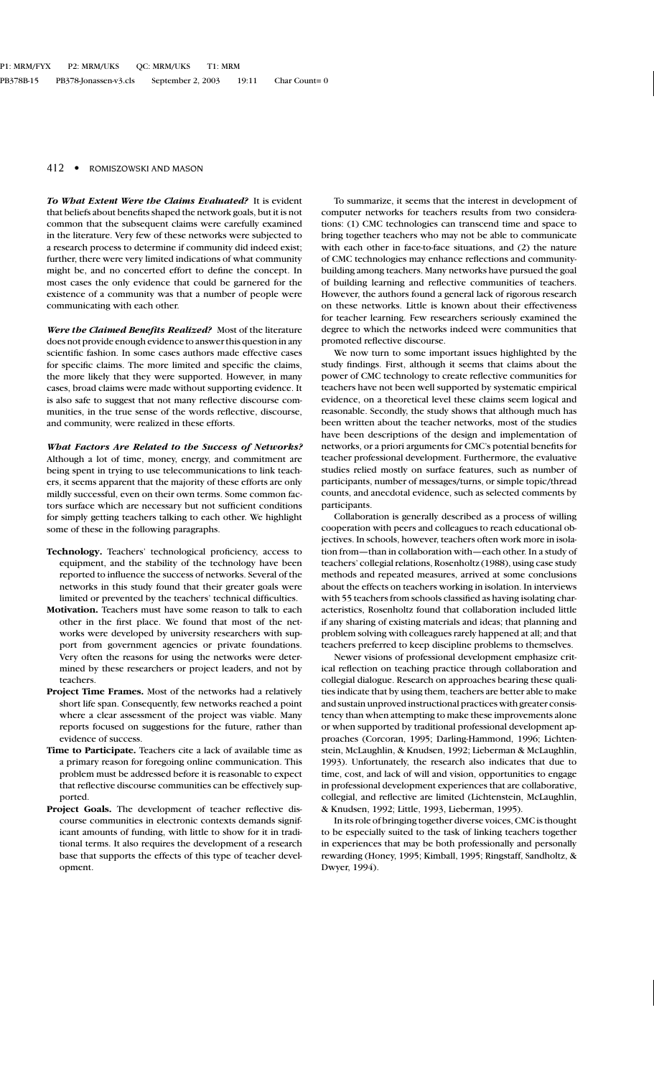*To What Extent Were the Claims Evaluated?* It is evident that beliefs about benefits shaped the network goals, but it is not common that the subsequent claims were carefully examined in the literature. Very few of these networks were subjected to a research process to determine if community did indeed exist; further, there were very limited indications of what community might be, and no concerted effort to define the concept. In most cases the only evidence that could be garnered for the existence of a community was that a number of people were communicating with each other.

*Were the Claimed Benefits Realized?* Most of the literature does not provide enough evidence to answer this question in any scientific fashion. In some cases authors made effective cases for specific claims. The more limited and specific the claims, the more likely that they were supported. However, in many cases, broad claims were made without supporting evidence. It is also safe to suggest that not many reflective discourse communities, in the true sense of the words reflective, discourse, and community, were realized in these efforts.

*What Factors Are Related to the Success of Networks?* Although a lot of time, money, energy, and commitment are being spent in trying to use telecommunications to link teachers, it seems apparent that the majority of these efforts are only mildly successful, even on their own terms. Some common factors surface which are necessary but not sufficient conditions for simply getting teachers talking to each other. We highlight some of these in the following paragraphs.

- **Technology.** Teachers' technological proficiency, access to equipment, and the stability of the technology have been reported to influence the success of networks. Several of the networks in this study found that their greater goals were limited or prevented by the teachers' technical difficulties.
- **Motivation.** Teachers must have some reason to talk to each other in the first place. We found that most of the networks were developed by university researchers with support from government agencies or private foundations. Very often the reasons for using the networks were determined by these researchers or project leaders, and not by teachers.
- **Project Time Frames.** Most of the networks had a relatively short life span. Consequently, few networks reached a point where a clear assessment of the project was viable. Many reports focused on suggestions for the future, rather than evidence of success.
- **Time to Participate.** Teachers cite a lack of available time as a primary reason for foregoing online communication. This problem must be addressed before it is reasonable to expect that reflective discourse communities can be effectively supported.
- **Project Goals.** The development of teacher reflective discourse communities in electronic contexts demands significant amounts of funding, with little to show for it in traditional terms. It also requires the development of a research base that supports the effects of this type of teacher development.

To summarize, it seems that the interest in development of computer networks for teachers results from two considerations: (1) CMC technologies can transcend time and space to bring together teachers who may not be able to communicate with each other in face-to-face situations, and (2) the nature of CMC technologies may enhance reflections and communitybuilding among teachers. Many networks have pursued the goal of building learning and reflective communities of teachers. However, the authors found a general lack of rigorous research on these networks. Little is known about their effectiveness for teacher learning. Few researchers seriously examined the degree to which the networks indeed were communities that promoted reflective discourse.

We now turn to some important issues highlighted by the study findings. First, although it seems that claims about the power of CMC technology to create reflective communities for teachers have not been well supported by systematic empirical evidence, on a theoretical level these claims seem logical and reasonable. Secondly, the study shows that although much has been written about the teacher networks, most of the studies have been descriptions of the design and implementation of networks, or a priori arguments for CMC's potential benefits for teacher professional development. Furthermore, the evaluative studies relied mostly on surface features, such as number of participants, number of messages/turns, or simple topic/thread counts, and anecdotal evidence, such as selected comments by participants.

Collaboration is generally described as a process of willing cooperation with peers and colleagues to reach educational objectives. In schools, however, teachers often work more in isolation from—than in collaboration with—each other. In a study of teachers' collegial relations, Rosenholtz (1988), using case study methods and repeated measures, arrived at some conclusions about the effects on teachers working in isolation. In interviews with 55 teachers from schools classified as having isolating characteristics, Rosenholtz found that collaboration included little if any sharing of existing materials and ideas; that planning and problem solving with colleagues rarely happened at all; and that teachers preferred to keep discipline problems to themselves.

Newer visions of professional development emphasize critical reflection on teaching practice through collaboration and collegial dialogue. Research on approaches bearing these qualities indicate that by using them, teachers are better able to make and sustain unproved instructional practices with greater consistency than when attempting to make these improvements alone or when supported by traditional professional development approaches (Corcoran, 1995; Darling-Hammond, 1996; Lichtenstein, McLaughlin, & Knudsen, 1992; Lieberman & McLaughlin, 1993). Unfortunately, the research also indicates that due to time, cost, and lack of will and vision, opportunities to engage in professional development experiences that are collaborative, collegial, and reflective are limited (Lichtenstein, McLaughlin, & Knudsen, 1992; Little, 1993, Lieberman, 1995).

In its role of bringing together diverse voices, CMC is thought to be especially suited to the task of linking teachers together in experiences that may be both professionally and personally rewarding (Honey, 1995; Kimball, 1995; Ringstaff, Sandholtz, & Dwyer, 1994).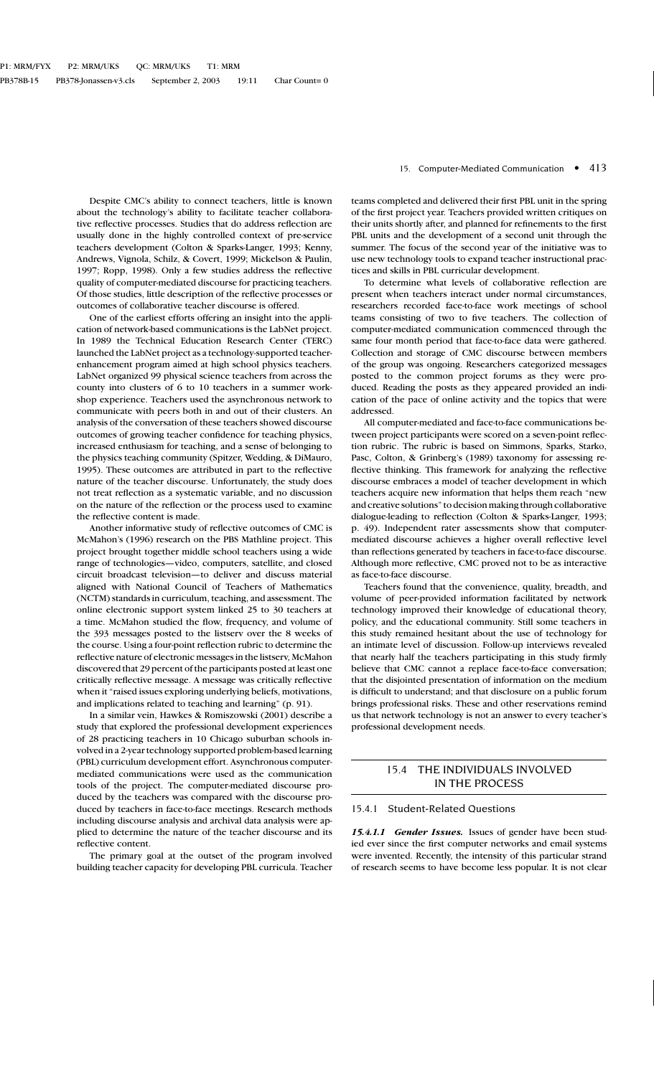Despite CMC's ability to connect teachers, little is known about the technology's ability to facilitate teacher collaborative reflective processes. Studies that do address reflection are usually done in the highly controlled context of pre-service teachers development (Colton & Sparks-Langer, 1993; Kenny, Andrews, Vignola, Schilz, & Covert, 1999; Mickelson & Paulin, 1997; Ropp, 1998). Only a few studies address the reflective quality of computer-mediated discourse for practicing teachers. Of those studies, little description of the reflective processes or outcomes of collaborative teacher discourse is offered.

One of the earliest efforts offering an insight into the application of network-based communications is the LabNet project. In 1989 the Technical Education Research Center (TERC) launched the LabNet project as a technology-supported teacherenhancement program aimed at high school physics teachers. LabNet organized 99 physical science teachers from across the county into clusters of 6 to 10 teachers in a summer workshop experience. Teachers used the asynchronous network to communicate with peers both in and out of their clusters. An analysis of the conversation of these teachers showed discourse outcomes of growing teacher confidence for teaching physics, increased enthusiasm for teaching, and a sense of belonging to the physics teaching community (Spitzer, Wedding, & DiMauro, 1995). These outcomes are attributed in part to the reflective nature of the teacher discourse. Unfortunately, the study does not treat reflection as a systematic variable, and no discussion on the nature of the reflection or the process used to examine the reflective content is made.

Another informative study of reflective outcomes of CMC is McMahon's (1996) research on the PBS Mathline project. This project brought together middle school teachers using a wide range of technologies—video, computers, satellite, and closed circuit broadcast television—to deliver and discuss material aligned with National Council of Teachers of Mathematics (NCTM) standards in curriculum, teaching, and assessment. The online electronic support system linked 25 to 30 teachers at a time. McMahon studied the flow, frequency, and volume of the 393 messages posted to the listserv over the 8 weeks of the course. Using a four-point reflection rubric to determine the reflective nature of electronic messages in the listserv, McMahon discovered that 29 percent of the participants posted at least one critically reflective message. A message was critically reflective when it "raised issues exploring underlying beliefs, motivations, and implications related to teaching and learning" (p. 91).

In a similar vein, Hawkes & Romiszowski (2001) describe a study that explored the professional development experiences of 28 practicing teachers in 10 Chicago suburban schools involved in a 2-year technology supported problem-based learning (PBL) curriculum development effort. Asynchronous computermediated communications were used as the communication tools of the project. The computer-mediated discourse produced by the teachers was compared with the discourse produced by teachers in face-to-face meetings. Research methods including discourse analysis and archival data analysis were applied to determine the nature of the teacher discourse and its reflective content.

The primary goal at the outset of the program involved building teacher capacity for developing PBL curricula. Teacher teams completed and delivered their first PBL unit in the spring of the first project year. Teachers provided written critiques on their units shortly after, and planned for refinements to the first PBL units and the development of a second unit through the summer. The focus of the second year of the initiative was to use new technology tools to expand teacher instructional practices and skills in PBL curricular development.

To determine what levels of collaborative reflection are present when teachers interact under normal circumstances, researchers recorded face-to-face work meetings of school teams consisting of two to five teachers. The collection of computer-mediated communication commenced through the same four month period that face-to-face data were gathered. Collection and storage of CMC discourse between members of the group was ongoing. Researchers categorized messages posted to the common project forums as they were produced. Reading the posts as they appeared provided an indication of the pace of online activity and the topics that were addressed.

All computer-mediated and face-to-face communications between project participants were scored on a seven-point reflection rubric. The rubric is based on Simmons, Sparks, Starko, Pasc, Colton, & Grinberg's (1989) taxonomy for assessing reflective thinking. This framework for analyzing the reflective discourse embraces a model of teacher development in which teachers acquire new information that helps them reach "new and creative solutions" to decision making through collaborative dialogue-leading to reflection (Colton & Sparks-Langer, 1993; p. 49). Independent rater assessments show that computermediated discourse achieves a higher overall reflective level than reflections generated by teachers in face-to-face discourse. Although more reflective, CMC proved not to be as interactive as face-to-face discourse.

Teachers found that the convenience, quality, breadth, and volume of peer-provided information facilitated by network technology improved their knowledge of educational theory, policy, and the educational community. Still some teachers in this study remained hesitant about the use of technology for an intimate level of discussion. Follow-up interviews revealed that nearly half the teachers participating in this study firmly believe that CMC cannot a replace face-to-face conversation; that the disjointed presentation of information on the medium is difficult to understand; and that disclosure on a public forum brings professional risks. These and other reservations remind us that network technology is not an answer to every teacher's professional development needs.

## 15.4 THE INDIVIDUALS INVOLVED IN THE PROCESS

15.4.1 Student-Related Questions

*15.4.1.1 Gender Issues.* Issues of gender have been studied ever since the first computer networks and email systems were invented. Recently, the intensity of this particular strand of research seems to have become less popular. It is not clear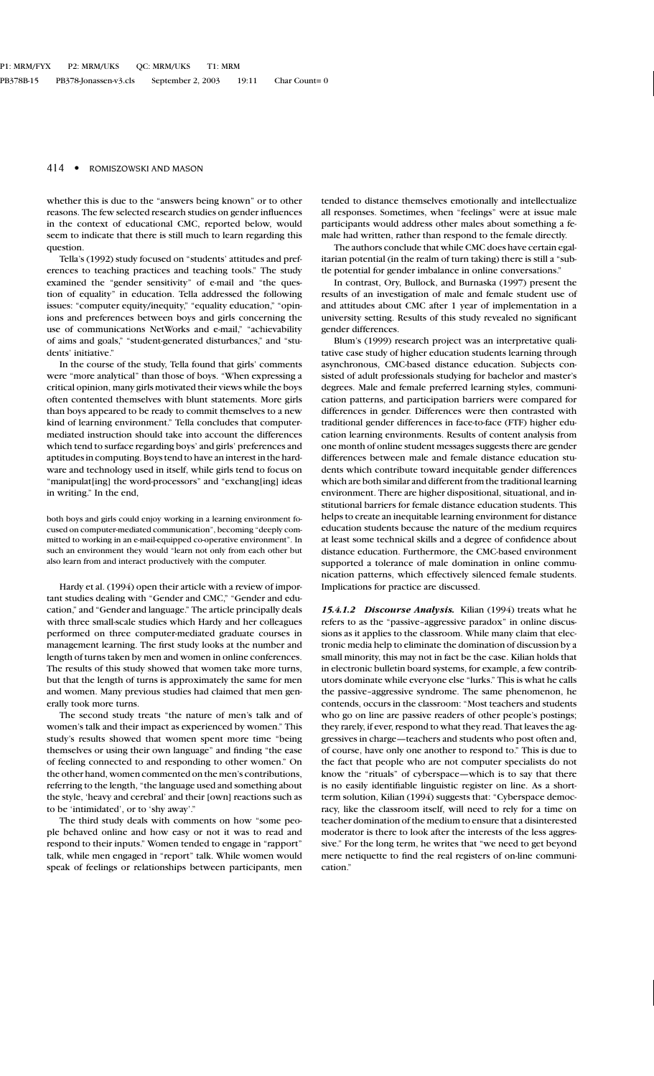whether this is due to the "answers being known" or to other reasons. The few selected research studies on gender influences in the context of educational CMC, reported below, would seem to indicate that there is still much to learn regarding this question.

Tella's (1992) study focused on "students' attitudes and preferences to teaching practices and teaching tools." The study examined the "gender sensitivity" of e-mail and "the question of equality" in education. Tella addressed the following issues: "computer equity/inequity," "equality education," "opinions and preferences between boys and girls concerning the use of communications NetWorks and e-mail," "achievability of aims and goals," "student-generated disturbances," and "students' initiative."

In the course of the study, Tella found that girls' comments were "more analytical" than those of boys. "When expressing a critical opinion, many girls motivated their views while the boys often contented themselves with blunt statements. More girls than boys appeared to be ready to commit themselves to a new kind of learning environment." Tella concludes that computermediated instruction should take into account the differences which tend to surface regarding boys' and girls' preferences and aptitudes in computing. Boys tend to have an interest in the hardware and technology used in itself, while girls tend to focus on "manipulat[ing] the word-processors" and "exchang[ing] ideas in writing." In the end,

both boys and girls could enjoy working in a learning environment focused on computer-mediated communication", becoming "deeply committed to working in an e-mail-equipped co-operative environment". In such an environment they would "learn not only from each other but also learn from and interact productively with the computer.

Hardy et al. (1994) open their article with a review of important studies dealing with "Gender and CMC," "Gender and education," and "Gender and language." The article principally deals with three small-scale studies which Hardy and her colleagues performed on three computer-mediated graduate courses in management learning. The first study looks at the number and length of turns taken by men and women in online conferences. The results of this study showed that women take more turns, but that the length of turns is approximately the same for men and women. Many previous studies had claimed that men generally took more turns.

The second study treats "the nature of men's talk and of women's talk and their impact as experienced by women." This study's results showed that women spent more time "being themselves or using their own language" and finding "the ease of feeling connected to and responding to other women." On the other hand, women commented on the men's contributions, referring to the length, "the language used and something about the style, 'heavy and cerebral' and their [own] reactions such as to be 'intimidated', or to 'shy away'."

The third study deals with comments on how "some people behaved online and how easy or not it was to read and respond to their inputs." Women tended to engage in "rapport" talk, while men engaged in "report" talk. While women would speak of feelings or relationships between participants, men tended to distance themselves emotionally and intellectualize all responses. Sometimes, when "feelings" were at issue male participants would address other males about something a female had written, rather than respond to the female directly.

The authors conclude that while CMC does have certain egalitarian potential (in the realm of turn taking) there is still a "subtle potential for gender imbalance in online conversations."

In contrast, Ory, Bullock, and Burnaska (1997) present the results of an investigation of male and female student use of and attitudes about CMC after 1 year of implementation in a university setting. Results of this study revealed no significant gender differences.

Blum's (1999) research project was an interpretative qualitative case study of higher education students learning through asynchronous, CMC-based distance education. Subjects consisted of adult professionals studying for bachelor and master's degrees. Male and female preferred learning styles, communication patterns, and participation barriers were compared for differences in gender. Differences were then contrasted with traditional gender differences in face-to-face (FTF) higher education learning environments. Results of content analysis from one month of online student messages suggests there are gender differences between male and female distance education students which contribute toward inequitable gender differences which are both similar and different from the traditional learning environment. There are higher dispositional, situational, and institutional barriers for female distance education students. This helps to create an inequitable learning environment for distance education students because the nature of the medium requires at least some technical skills and a degree of confidence about distance education. Furthermore, the CMC-based environment supported a tolerance of male domination in online communication patterns, which effectively silenced female students. Implications for practice are discussed.

*15.4.1.2 Discourse Analysis.* Kilian (1994) treats what he refers to as the "passive–aggressive paradox" in online discussions as it applies to the classroom. While many claim that electronic media help to eliminate the domination of discussion by a small minority, this may not in fact be the case. Kilian holds that in electronic bulletin board systems, for example, a few contributors dominate while everyone else "lurks." This is what he calls the passive–aggressive syndrome. The same phenomenon, he contends, occurs in the classroom: "Most teachers and students who go on line are passive readers of other people's postings; they rarely, if ever, respond to what they read. That leaves the aggressives in charge—teachers and students who post often and, of course, have only one another to respond to." This is due to the fact that people who are not computer specialists do not know the "rituals" of cyberspace—which is to say that there is no easily identifiable linguistic register on line. As a shortterm solution, Kilian (1994) suggests that: "Cyberspace democracy, like the classroom itself, will need to rely for a time on teacher domination of the medium to ensure that a disinterested moderator is there to look after the interests of the less aggressive." For the long term, he writes that "we need to get beyond mere netiquette to find the real registers of on-line communication."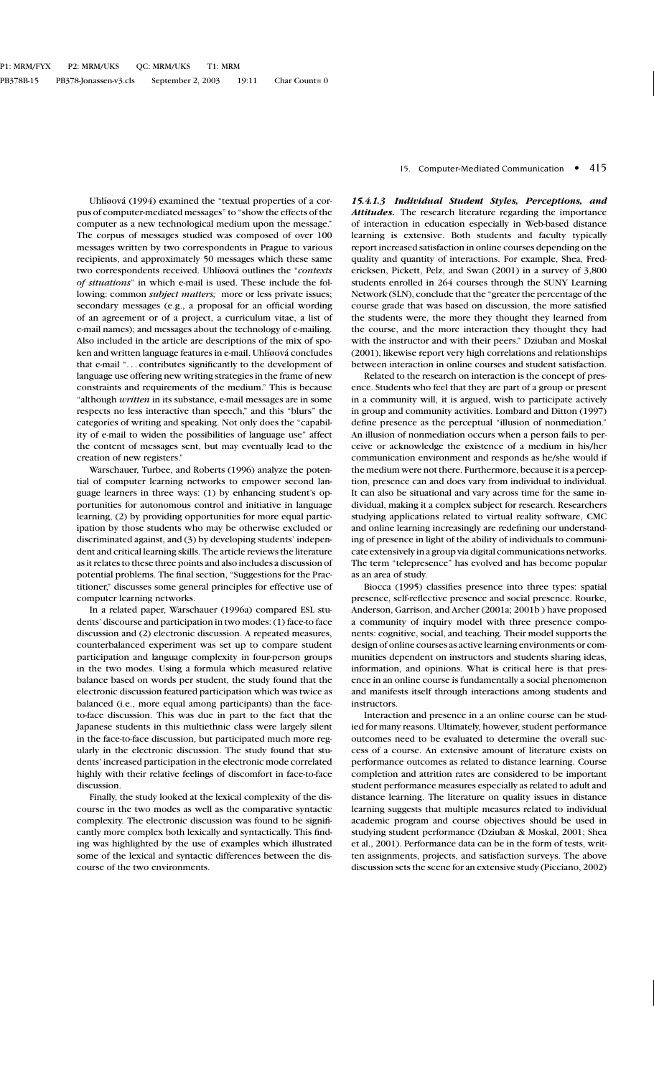Uhlíøová (1994) examined the "textual properties of a corpus of computer-mediated messages" to "show the effects of the computer as a new technological medium upon the message." The corpus of messages studied was composed of over 100 messages written by two correspondents in Prague to various recipients, and approximately 50 messages which these same two correspondents received. Uhlígová outlines the "*contexts of situations*" in which e-mail is used. These include the following: common *subject matters;* more or less private issues; secondary messages (e.g., a proposal for an official wording of an agreement or of a project, a curriculum vitae, a list of e-mail names); and messages about the technology of e-mailing. Also included in the article are descriptions of the mix of spoken and written language features in e-mail. Uhlíøová concludes that e-mail ". . . contributes significantly to the development of language use offering new writing strategies in the frame of new constraints and requirements of the medium." This is because "although *written* in its substance, e-mail messages are in some respects no less interactive than speech," and this "blurs" the categories of writing and speaking. Not only does the "capability of e-mail to widen the possibilities of language use" affect the content of messages sent, but may eventually lead to the creation of new registers."

Warschauer, Turbee, and Roberts (1996) analyze the potential of computer learning networks to empower second language learners in three ways: (1) by enhancing student's opportunities for autonomous control and initiative in language learning, (2) by providing opportunities for more equal participation by those students who may be otherwise excluded or discriminated against, and (3) by developing students' independent and critical learning skills. The article reviews the literature as it relates to these three points and also includes a discussion of potential problems. The final section, "Suggestions for the Practitioner," discusses some general principles for effective use of computer learning networks.

In a related paper, Warschauer (1996a) compared ESL students' discourse and participation in two modes: (1) face-to face discussion and (2) electronic discussion. A repeated measures, counterbalanced experiment was set up to compare student participation and language complexity in four-person groups in the two modes. Using a formula which measured relative balance based on words per student, the study found that the electronic discussion featured participation which was twice as balanced (i.e., more equal among participants) than the faceto-face discussion. This was due in part to the fact that the Japanese students in this multiethnic class were largely silent in the face-to-face discussion, but participated much more regularly in the electronic discussion. The study found that students' increased participation in the electronic mode correlated highly with their relative feelings of discomfort in face-to-face discussion.

Finally, the study looked at the lexical complexity of the discourse in the two modes as well as the comparative syntactic complexity. The electronic discussion was found to be significantly more complex both lexically and syntactically. This finding was highlighted by the use of examples which illustrated some of the lexical and syntactic differences between the discourse of the two environments.

*15.4.1.3 Individual Student Styles, Perceptions, and Attitudes.* The research literature regarding the importance of interaction in education especially in Web-based distance learning is extensive. Both students and faculty typically report increased satisfaction in online courses depending on the quality and quantity of interactions. For example, Shea, Fredericksen, Pickett, Pelz, and Swan (2001) in a survey of 3,800 students enrolled in 264 courses through the SUNY Learning Network (SLN), conclude that the "greater the percentage of the course grade that was based on discussion, the more satisfied the students were, the more they thought they learned from the course, and the more interaction they thought they had with the instructor and with their peers." Dziuban and Moskal (2001), likewise report very high correlations and relationships between interaction in online courses and student satisfaction.

Related to the research on interaction is the concept of presence. Students who feel that they are part of a group or present in a community will, it is argued, wish to participate actively in group and community activities. Lombard and Ditton (1997) define presence as the perceptual "illusion of nonmediation." An illusion of nonmediation occurs when a person fails to perceive or acknowledge the existence of a medium in his/her communication environment and responds as he/she would if the medium were not there. Furthermore, because it is a perception, presence can and does vary from individual to individual. It can also be situational and vary across time for the same individual, making it a complex subject for research. Researchers studying applications related to virtual reality software, CMC and online learning increasingly are redefining our understanding of presence in light of the ability of individuals to communicate extensively in a group via digital communications networks. The term "telepresence" has evolved and has become popular as an area of study.

Biocca (1995) classifies presence into three types: spatial presence, self-reflective presence and social presence. Rourke, Anderson, Garrison, and Archer (2001a; 2001b ) have proposed a community of inquiry model with three presence components: cognitive, social, and teaching. Their model supports the design of online courses as active learning environments or communities dependent on instructors and students sharing ideas, information, and opinions. What is critical here is that presence in an online course is fundamentally a social phenomenon and manifests itself through interactions among students and instructors.

Interaction and presence in a an online course can be studied for many reasons. Ultimately, however, student performance outcomes need to be evaluated to determine the overall success of a course. An extensive amount of literature exists on performance outcomes as related to distance learning. Course completion and attrition rates are considered to be important student performance measures especially as related to adult and distance learning. The literature on quality issues in distance learning suggests that multiple measures related to individual academic program and course objectives should be used in studying student performance (Dziuban & Moskal, 2001; Shea et al., 2001). Performance data can be in the form of tests, written assignments, projects, and satisfaction surveys. The above discussion sets the scene for an extensive study (Picciano, 2002)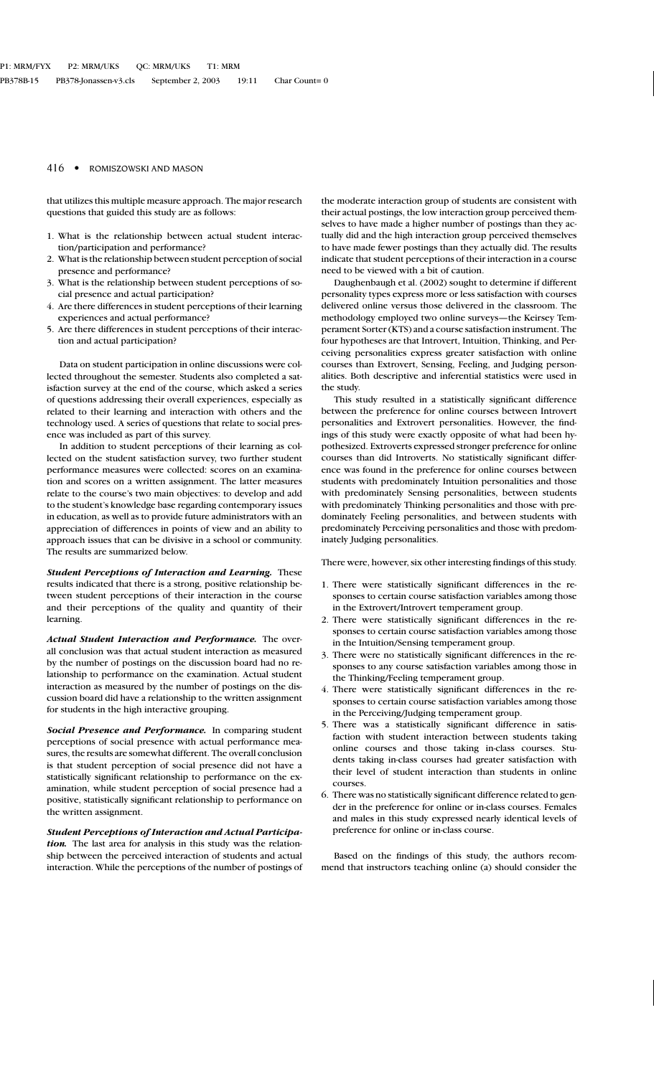that utilizes this multiple measure approach. The major research questions that guided this study are as follows:

- 1. What is the relationship between actual student interaction/participation and performance?
- 2. What is the relationship between student perception of social presence and performance?
- 3. What is the relationship between student perceptions of social presence and actual participation?
- 4. Are there differences in student perceptions of their learning experiences and actual performance?
- 5. Are there differences in student perceptions of their interaction and actual participation?

Data on student participation in online discussions were collected throughout the semester. Students also completed a satisfaction survey at the end of the course, which asked a series of questions addressing their overall experiences, especially as related to their learning and interaction with others and the technology used. A series of questions that relate to social presence was included as part of this survey.

In addition to student perceptions of their learning as collected on the student satisfaction survey, two further student performance measures were collected: scores on an examination and scores on a written assignment. The latter measures relate to the course's two main objectives: to develop and add to the student's knowledge base regarding contemporary issues in education, as well as to provide future administrators with an appreciation of differences in points of view and an ability to approach issues that can be divisive in a school or community. The results are summarized below.

*Student Perceptions of Interaction and Learning.* These results indicated that there is a strong, positive relationship between student perceptions of their interaction in the course and their perceptions of the quality and quantity of their learning.

*Actual Student Interaction and Performance.* The overall conclusion was that actual student interaction as measured by the number of postings on the discussion board had no relationship to performance on the examination. Actual student interaction as measured by the number of postings on the discussion board did have a relationship to the written assignment for students in the high interactive grouping.

*Social Presence and Performance.* In comparing student perceptions of social presence with actual performance measures, the results are somewhat different. The overall conclusion is that student perception of social presence did not have a statistically significant relationship to performance on the examination, while student perception of social presence had a positive, statistically significant relationship to performance on the written assignment.

*Student Perceptions of Interaction and Actual Participation.* The last area for analysis in this study was the relationship between the perceived interaction of students and actual interaction. While the perceptions of the number of postings of the moderate interaction group of students are consistent with their actual postings, the low interaction group perceived themselves to have made a higher number of postings than they actually did and the high interaction group perceived themselves to have made fewer postings than they actually did. The results indicate that student perceptions of their interaction in a course need to be viewed with a bit of caution.

Daughenbaugh et al. (2002) sought to determine if different personality types express more or less satisfaction with courses delivered online versus those delivered in the classroom. The methodology employed two online surveys—the Keirsey Temperament Sorter (KTS) and a course satisfaction instrument. The four hypotheses are that Introvert, Intuition, Thinking, and Perceiving personalities express greater satisfaction with online courses than Extrovert, Sensing, Feeling, and Judging personalities. Both descriptive and inferential statistics were used in the study.

This study resulted in a statistically significant difference between the preference for online courses between Introvert personalities and Extrovert personalities. However, the findings of this study were exactly opposite of what had been hypothesized. Extroverts expressed stronger preference for online courses than did Introverts. No statistically significant difference was found in the preference for online courses between students with predominately Intuition personalities and those with predominately Sensing personalities, between students with predominately Thinking personalities and those with predominately Feeling personalities, and between students with predominately Perceiving personalities and those with predominately Judging personalities.

There were, however, six other interesting findings of this study.

- 1. There were statistically significant differences in the responses to certain course satisfaction variables among those in the Extrovert/Introvert temperament group.
- 2. There were statistically significant differences in the responses to certain course satisfaction variables among those in the Intuition/Sensing temperament group.
- 3. There were no statistically significant differences in the responses to any course satisfaction variables among those in the Thinking/Feeling temperament group.
- 4. There were statistically significant differences in the responses to certain course satisfaction variables among those in the Perceiving/Judging temperament group.
- 5. There was a statistically significant difference in satisfaction with student interaction between students taking online courses and those taking in-class courses. Students taking in-class courses had greater satisfaction with their level of student interaction than students in online courses.
- 6. There was no statistically significant difference related to gender in the preference for online or in-class courses. Females and males in this study expressed nearly identical levels of preference for online or in-class course.

Based on the findings of this study, the authors recommend that instructors teaching online (a) should consider the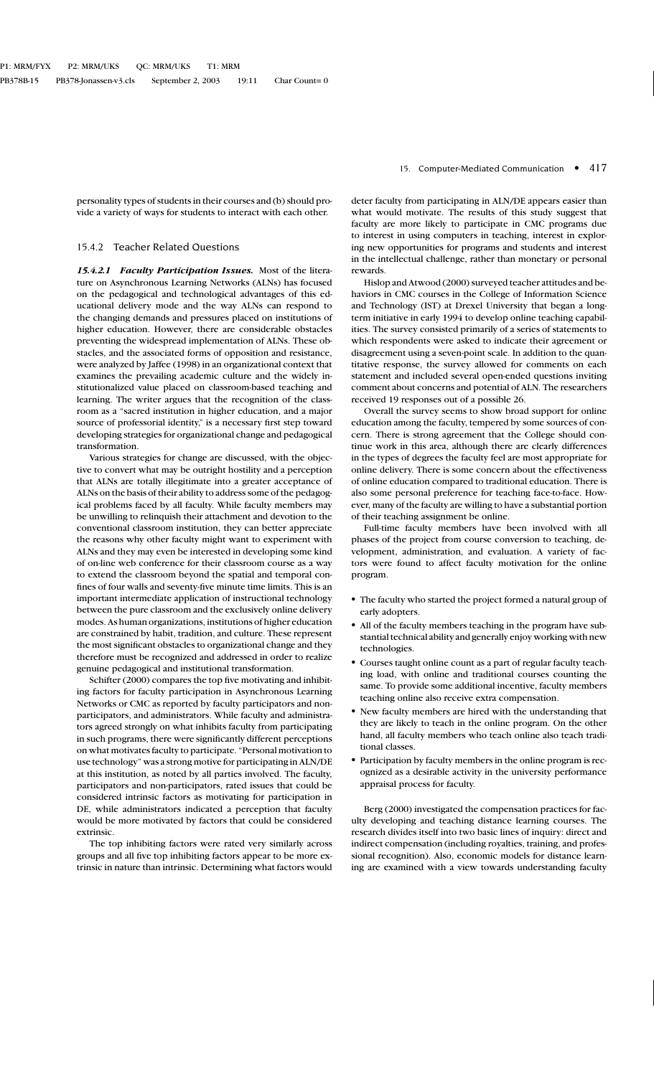personality types of students in their courses and (b) should provide a variety of ways for students to interact with each other.

## 15.4.2 Teacher Related Questions

*15.4.2.1 Faculty Participation Issues.* Most of the literature on Asynchronous Learning Networks (ALNs) has focused on the pedagogical and technological advantages of this educational delivery mode and the way ALNs can respond to the changing demands and pressures placed on institutions of higher education. However, there are considerable obstacles preventing the widespread implementation of ALNs. These obstacles, and the associated forms of opposition and resistance, were analyzed by Jaffee (1998) in an organizational context that examines the prevailing academic culture and the widely institutionalized value placed on classroom-based teaching and learning. The writer argues that the recognition of the classroom as a "sacred institution in higher education, and a major source of professorial identity," is a necessary first step toward developing strategies for organizational change and pedagogical transformation.

Various strategies for change are discussed, with the objective to convert what may be outright hostility and a perception that ALNs are totally illegitimate into a greater acceptance of ALNs on the basis of their ability to address some of the pedagogical problems faced by all faculty. While faculty members may be unwilling to relinquish their attachment and devotion to the conventional classroom institution, they can better appreciate the reasons why other faculty might want to experiment with ALNs and they may even be interested in developing some kind of on-line web conference for their classroom course as a way to extend the classroom beyond the spatial and temporal confines of four walls and seventy-five minute time limits. This is an important intermediate application of instructional technology between the pure classroom and the exclusively online delivery modes. As human organizations, institutions of higher education are constrained by habit, tradition, and culture. These represent the most significant obstacles to organizational change and they therefore must be recognized and addressed in order to realize genuine pedagogical and institutional transformation.

Schifter (2000) compares the top five motivating and inhibiting factors for faculty participation in Asynchronous Learning Networks or CMC as reported by faculty participators and nonparticipators, and administrators. While faculty and administrators agreed strongly on what inhibits faculty from participating in such programs, there were significantly different perceptions on what motivates faculty to participate. "Personal motivation to use technology" was a strong motive for participating in ALN/DE at this institution, as noted by all parties involved. The faculty, participators and non-participators, rated issues that could be considered intrinsic factors as motivating for participation in DE, while administrators indicated a perception that faculty would be more motivated by factors that could be considered extrinsic.

The top inhibiting factors were rated very similarly across groups and all five top inhibiting factors appear to be more extrinsic in nature than intrinsic. Determining what factors would deter faculty from participating in ALN/DE appears easier than what would motivate. The results of this study suggest that faculty are more likely to participate in CMC programs due to interest in using computers in teaching, interest in exploring new opportunities for programs and students and interest in the intellectual challenge, rather than monetary or personal rewards.

Hislop and Atwood (2000) surveyed teacher attitudes and behaviors in CMC courses in the College of Information Science and Technology (IST) at Drexel University that began a longterm initiative in early 1994 to develop online teaching capabilities. The survey consisted primarily of a series of statements to which respondents were asked to indicate their agreement or disagreement using a seven-point scale. In addition to the quantitative response, the survey allowed for comments on each statement and included several open-ended questions inviting comment about concerns and potential of ALN. The researchers received 19 responses out of a possible 26.

Overall the survey seems to show broad support for online education among the faculty, tempered by some sources of concern. There is strong agreement that the College should continue work in this area, although there are clearly differences in the types of degrees the faculty feel are most appropriate for online delivery. There is some concern about the effectiveness of online education compared to traditional education. There is also some personal preference for teaching face-to-face. However, many of the faculty are willing to have a substantial portion of their teaching assignment be online.

Full-time faculty members have been involved with all phases of the project from course conversion to teaching, development, administration, and evaluation. A variety of factors were found to affect faculty motivation for the online program.

- The faculty who started the project formed a natural group of early adopters.
- All of the faculty members teaching in the program have substantial technical ability and generally enjoy working with new technologies.
- Courses taught online count as a part of regular faculty teaching load, with online and traditional courses counting the same. To provide some additional incentive, faculty members teaching online also receive extra compensation.
- New faculty members are hired with the understanding that they are likely to teach in the online program. On the other hand, all faculty members who teach online also teach traditional classes.
- Participation by faculty members in the online program is recognized as a desirable activity in the university performance appraisal process for faculty.

Berg (2000) investigated the compensation practices for faculty developing and teaching distance learning courses. The research divides itself into two basic lines of inquiry: direct and indirect compensation (including royalties, training, and professional recognition). Also, economic models for distance learning are examined with a view towards understanding faculty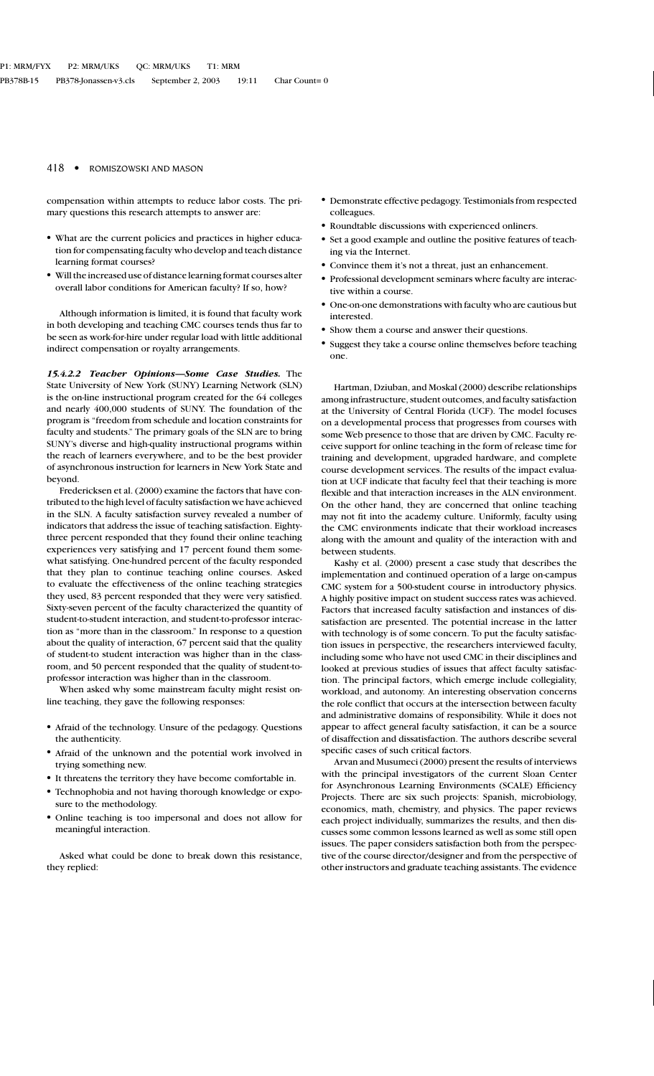compensation within attempts to reduce labor costs. The primary questions this research attempts to answer are:

- What are the current policies and practices in higher education for compensating faculty who develop and teach distance learning format courses?
- Will the increased use of distance learning format courses alter overall labor conditions for American faculty? If so, how?

Although information is limited, it is found that faculty work in both developing and teaching CMC courses tends thus far to be seen as work-for-hire under regular load with little additional indirect compensation or royalty arrangements.

*15.4.2.2 Teacher Opinions—Some Case Studies.* The State University of New York (SUNY) Learning Network (SLN) is the on-line instructional program created for the 64 colleges and nearly 400,000 students of SUNY. The foundation of the program is "freedom from schedule and location constraints for faculty and students." The primary goals of the SLN are to bring SUNY's diverse and high-quality instructional programs within the reach of learners everywhere, and to be the best provider of asynchronous instruction for learners in New York State and beyond.

Fredericksen et al. (2000) examine the factors that have contributed to the high level of faculty satisfaction we have achieved in the SLN. A faculty satisfaction survey revealed a number of indicators that address the issue of teaching satisfaction. Eightythree percent responded that they found their online teaching experiences very satisfying and 17 percent found them somewhat satisfying. One-hundred percent of the faculty responded that they plan to continue teaching online courses. Asked to evaluate the effectiveness of the online teaching strategies they used, 83 percent responded that they were very satisfied. Sixty-seven percent of the faculty characterized the quantity of student-to-student interaction, and student-to-professor interaction as "more than in the classroom." In response to a question about the quality of interaction, 67 percent said that the quality of student-to student interaction was higher than in the classroom, and 50 percent responded that the quality of student-toprofessor interaction was higher than in the classroom.

When asked why some mainstream faculty might resist online teaching, they gave the following responses:

- Afraid of the technology. Unsure of the pedagogy. Questions the authenticity.
- Afraid of the unknown and the potential work involved in trying something new.
- It threatens the territory they have become comfortable in.
- Technophobia and not having thorough knowledge or exposure to the methodology.
- Online teaching is too impersonal and does not allow for meaningful interaction.

Asked what could be done to break down this resistance, they replied:

- Demonstrate effective pedagogy. Testimonials from respected colleagues.
- Roundtable discussions with experienced onliners.
- Set a good example and outline the positive features of teaching via the Internet.
- Convince them it's not a threat, just an enhancement.
- Professional development seminars where faculty are interactive within a course.
- One-on-one demonstrations with faculty who are cautious but interested.
- Show them a course and answer their questions.
- Suggest they take a course online themselves before teaching one.

Hartman, Dziuban, and Moskal (2000) describe relationships among infrastructure, student outcomes, and faculty satisfaction at the University of Central Florida (UCF). The model focuses on a developmental process that progresses from courses with some Web presence to those that are driven by CMC. Faculty receive support for online teaching in the form of release time for training and development, upgraded hardware, and complete course development services. The results of the impact evaluation at UCF indicate that faculty feel that their teaching is more flexible and that interaction increases in the ALN environment. On the other hand, they are concerned that online teaching may not fit into the academy culture. Uniformly, faculty using the CMC environments indicate that their workload increases along with the amount and quality of the interaction with and between students.

Kashy et al. (2000) present a case study that describes the implementation and continued operation of a large on-campus CMC system for a 500-student course in introductory physics. A highly positive impact on student success rates was achieved. Factors that increased faculty satisfaction and instances of dissatisfaction are presented. The potential increase in the latter with technology is of some concern. To put the faculty satisfaction issues in perspective, the researchers interviewed faculty, including some who have not used CMC in their disciplines and looked at previous studies of issues that affect faculty satisfaction. The principal factors, which emerge include collegiality, workload, and autonomy. An interesting observation concerns the role conflict that occurs at the intersection between faculty and administrative domains of responsibility. While it does not appear to affect general faculty satisfaction, it can be a source of disaffection and dissatisfaction. The authors describe several specific cases of such critical factors.

Arvan and Musumeci (2000) present the results of interviews with the principal investigators of the current Sloan Center for Asynchronous Learning Environments (SCALE) Efficiency Projects. There are six such projects: Spanish, microbiology, economics, math, chemistry, and physics. The paper reviews each project individually, summarizes the results, and then discusses some common lessons learned as well as some still open issues. The paper considers satisfaction both from the perspective of the course director/designer and from the perspective of other instructors and graduate teaching assistants. The evidence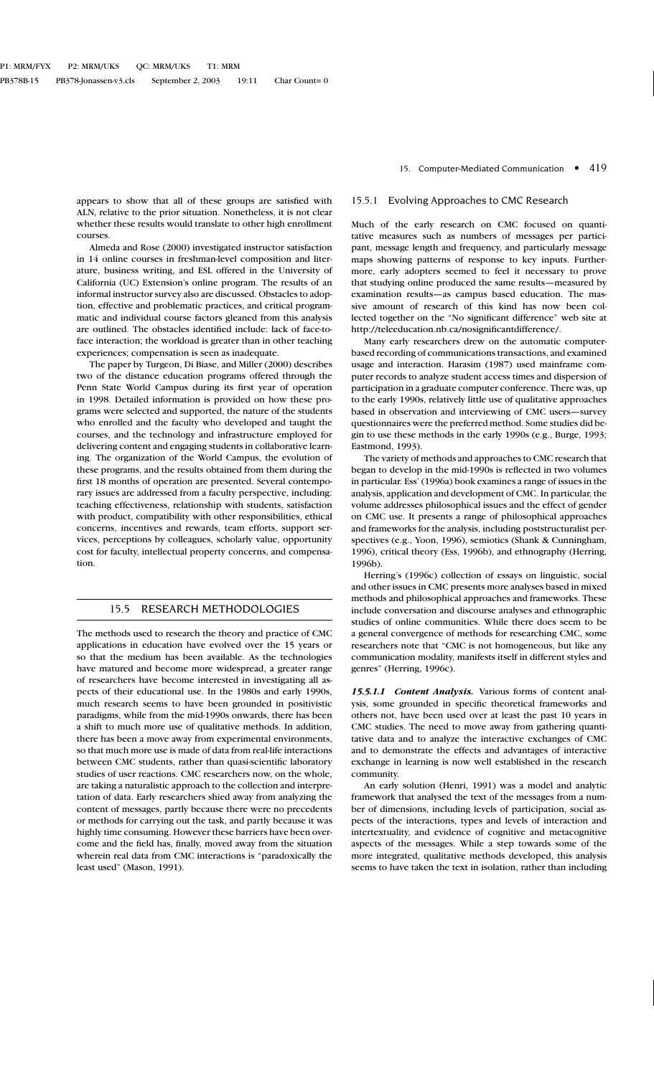appears to show that all of these groups are satisfied with ALN, relative to the prior situation. Nonetheless, it is not clear whether these results would translate to other high enrollment courses.

Almeda and Rose (2000) investigated instructor satisfaction in 14 online courses in freshman-level composition and literature, business writing, and ESL offered in the University of California (UC) Extension's online program. The results of an informal instructor survey also are discussed. Obstacles to adoption, effective and problematic practices, and critical programmatic and individual course factors gleaned from this analysis are outlined. The obstacles identified include: lack of face-toface interaction; the workload is greater than in other teaching experiences; compensation is seen as inadequate.

The paper by Turgeon, Di Biase, and Miller (2000) describes two of the distance education programs offered through the Penn State World Campus during its first year of operation in 1998. Detailed information is provided on how these programs were selected and supported, the nature of the students who enrolled and the faculty who developed and taught the courses, and the technology and infrastructure employed for delivering content and engaging students in collaborative learning. The organization of the World Campus, the evolution of these programs, and the results obtained from them during the first 18 months of operation are presented. Several contemporary issues are addressed from a faculty perspective, including: teaching effectiveness, relationship with students, satisfaction with product, compatibility with other responsibilities, ethical concerns, incentives and rewards, team efforts, support services, perceptions by colleagues, scholarly value, opportunity cost for faculty, intellectual property concerns, and compensation.

## 15.5 RESEARCH METHODOLOGIES

The methods used to research the theory and practice of CMC applications in education have evolved over the 15 years or so that the medium has been available. As the technologies have matured and become more widespread, a greater range of researchers have become interested in investigating all aspects of their educational use. In the 1980s and early 1990s, much research seems to have been grounded in positivistic paradigms, while from the mid-1990s onwards, there has been a shift to much more use of qualitative methods. In addition, there has been a move away from experimental environments, so that much more use is made of data from real-life interactions between CMC students, rather than quasi-scientific laboratory studies of user reactions. CMC researchers now, on the whole, are taking a naturalistic approach to the collection and interpretation of data. Early researchers shied away from analyzing the content of messages, partly because there were no precedents or methods for carrying out the task, and partly because it was highly time consuming. However these barriers have been overcome and the field has, finally, moved away from the situation wherein real data from CMC interactions is "paradoxically the least used" (Mason, 1991).

## 15.5.1 Evolving Approaches to CMC Research

Much of the early research on CMC focused on quantitative measures such as numbers of messages per participant, message length and frequency, and particularly message maps showing patterns of response to key inputs. Furthermore, early adopters seemed to feel it necessary to prove that studying online produced the same results—measured by examination results—as campus based education. The massive amount of research of this kind has now been collected together on the "No significant difference" web site at http://teleeducation.nb.ca/nosignificantdifference/.

Many early researchers drew on the automatic computerbased recording of communications transactions, and examined usage and interaction. Harasim (1987) used mainframe computer records to analyze student access times and dispersion of participation in a graduate computer conference. There was, up to the early 1990s, relatively little use of qualitative approaches based in observation and interviewing of CMC users—survey questionnaires were the preferred method. Some studies did begin to use these methods in the early 1990s (e.g., Burge, 1993; Eastmond, 1993).

The variety of methods and approaches to CMC research that began to develop in the mid-1990s is reflected in two volumes in particular. Ess' (1996a) book examines a range of issues in the analysis, application and development of CMC. In particular, the volume addresses philosophical issues and the effect of gender on CMC use. It presents a range of philosophical approaches and frameworks for the analysis, including poststructuralist perspectives (e.g., Yoon, 1996), semiotics (Shank & Cunningham, 1996), critical theory (Ess, 1996b), and ethnography (Herring, 1996b).

Herring's (1996c) collection of essays on linguistic, social and other issues in CMC presents more analyses based in mixed methods and philosophical approaches and frameworks. These include conversation and discourse analyses and ethnographic studies of online communities. While there does seem to be a general convergence of methods for researching CMC, some researchers note that "CMC is not homogeneous, but like any communication modality, manifests itself in different styles and genres" (Herring, 1996c).

*15.5.1.1 Content Analysis.* Various forms of content analysis, some grounded in specific theoretical frameworks and others not, have been used over at least the past 10 years in CMC studies. The need to move away from gathering quantitative data and to analyze the interactive exchanges of CMC and to demonstrate the effects and advantages of interactive exchange in learning is now well established in the research community.

An early solution (Henri, 1991) was a model and analytic framework that analysed the text of the messages from a number of dimensions, including levels of participation, social aspects of the interactions, types and levels of interaction and intertextuality, and evidence of cognitive and metacognitive aspects of the messages. While a step towards some of the more integrated, qualitative methods developed, this analysis seems to have taken the text in isolation, rather than including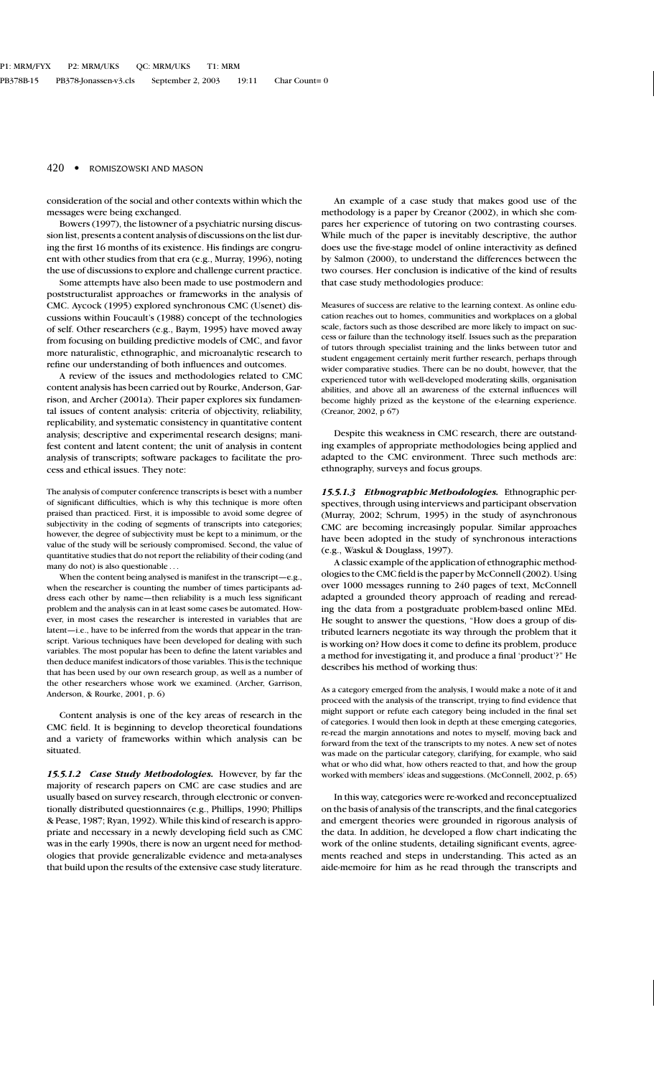consideration of the social and other contexts within which the messages were being exchanged.

Bowers (1997), the listowner of a psychiatric nursing discussion list, presents a content analysis of discussions on the list during the first 16 months of its existence. His findings are congruent with other studies from that era (e.g., Murray, 1996), noting the use of discussions to explore and challenge current practice.

Some attempts have also been made to use postmodern and poststructuralist approaches or frameworks in the analysis of CMC. Aycock (1995) explored synchronous CMC (Usenet) discussions within Foucault's (1988) concept of the technologies of self. Other researchers (e.g., Baym, 1995) have moved away from focusing on building predictive models of CMC, and favor more naturalistic, ethnographic, and microanalytic research to refine our understanding of both influences and outcomes.

A review of the issues and methodologies related to CMC content analysis has been carried out by Rourke, Anderson, Garrison, and Archer (2001a). Their paper explores six fundamental issues of content analysis: criteria of objectivity, reliability, replicability, and systematic consistency in quantitative content analysis; descriptive and experimental research designs; manifest content and latent content; the unit of analysis in content analysis of transcripts; software packages to facilitate the process and ethical issues. They note:

The analysis of computer conference transcripts is beset with a number of significant difficulties, which is why this technique is more often praised than practiced. First, it is impossible to avoid some degree of subjectivity in the coding of segments of transcripts into categories; however, the degree of subjectivity must be kept to a minimum, or the value of the study will be seriously compromised. Second, the value of quantitative studies that do not report the reliability of their coding (and many do not) is also questionable . . .

When the content being analysed is manifest in the transcript—e.g., when the researcher is counting the number of times participants address each other by name—then reliability is a much less significant problem and the analysis can in at least some cases be automated. However, in most cases the researcher is interested in variables that are latent—i.e., have to be inferred from the words that appear in the transcript. Various techniques have been developed for dealing with such variables. The most popular has been to define the latent variables and then deduce manifest indicators of those variables. This is the technique that has been used by our own research group, as well as a number of the other researchers whose work we examined. (Archer, Garrison, Anderson, & Rourke, 2001, p. 6)

Content analysis is one of the key areas of research in the CMC field. It is beginning to develop theoretical foundations and a variety of frameworks within which analysis can be situated.

*15.5.1.2 Case Study Methodologies.* However, by far the majority of research papers on CMC are case studies and are usually based on survey research, through electronic or conventionally distributed questionnaires (e.g., Phillips, 1990; Phillips & Pease, 1987; Ryan, 1992). While this kind of research is appropriate and necessary in a newly developing field such as CMC was in the early 1990s, there is now an urgent need for methodologies that provide generalizable evidence and meta-analyses that build upon the results of the extensive case study literature.

An example of a case study that makes good use of the methodology is a paper by Creanor (2002), in which she compares her experience of tutoring on two contrasting courses. While much of the paper is inevitably descriptive, the author does use the five-stage model of online interactivity as defined by Salmon (2000), to understand the differences between the two courses. Her conclusion is indicative of the kind of results that case study methodologies produce:

Measures of success are relative to the learning context. As online education reaches out to homes, communities and workplaces on a global scale, factors such as those described are more likely to impact on success or failure than the technology itself. Issues such as the preparation of tutors through specialist training and the links between tutor and student engagement certainly merit further research, perhaps through wider comparative studies. There can be no doubt, however, that the experienced tutor with well-developed moderating skills, organisation abilities, and above all an awareness of the external influences will become highly prized as the keystone of the e-learning experience. (Creanor, 2002, p 67)

Despite this weakness in CMC research, there are outstanding examples of appropriate methodologies being applied and adapted to the CMC environment. Three such methods are: ethnography, surveys and focus groups.

*15.5.1.3 Ethnographic Methodologies.* Ethnographic perspectives, through using interviews and participant observation (Murray, 2002; Schrum, 1995) in the study of asynchronous CMC are becoming increasingly popular. Similar approaches have been adopted in the study of synchronous interactions (e.g., Waskul & Douglass, 1997).

A classic example of the application of ethnographic methodologies to the CMC field is the paper by McConnell (2002). Using over 1000 messages running to 240 pages of text, McConnell adapted a grounded theory approach of reading and rereading the data from a postgraduate problem-based online MEd. He sought to answer the questions, "How does a group of distributed learners negotiate its way through the problem that it is working on? How does it come to define its problem, produce a method for investigating it, and produce a final 'product'?" He describes his method of working thus:

As a category emerged from the analysis, I would make a note of it and proceed with the analysis of the transcript, trying to find evidence that might support or refute each category being included in the final set of categories. I would then look in depth at these emerging categories, re-read the margin annotations and notes to myself, moving back and forward from the text of the transcripts to my notes. A new set of notes was made on the particular category, clarifying, for example, who said what or who did what, how others reacted to that, and how the group worked with members' ideas and suggestions. (McConnell, 2002, p. 65)

In this way, categories were re-worked and reconceptualized on the basis of analysis of the transcripts, and the final categories and emergent theories were grounded in rigorous analysis of the data. In addition, he developed a flow chart indicating the work of the online students, detailing significant events, agreements reached and steps in understanding. This acted as an aide-memoire for him as he read through the transcripts and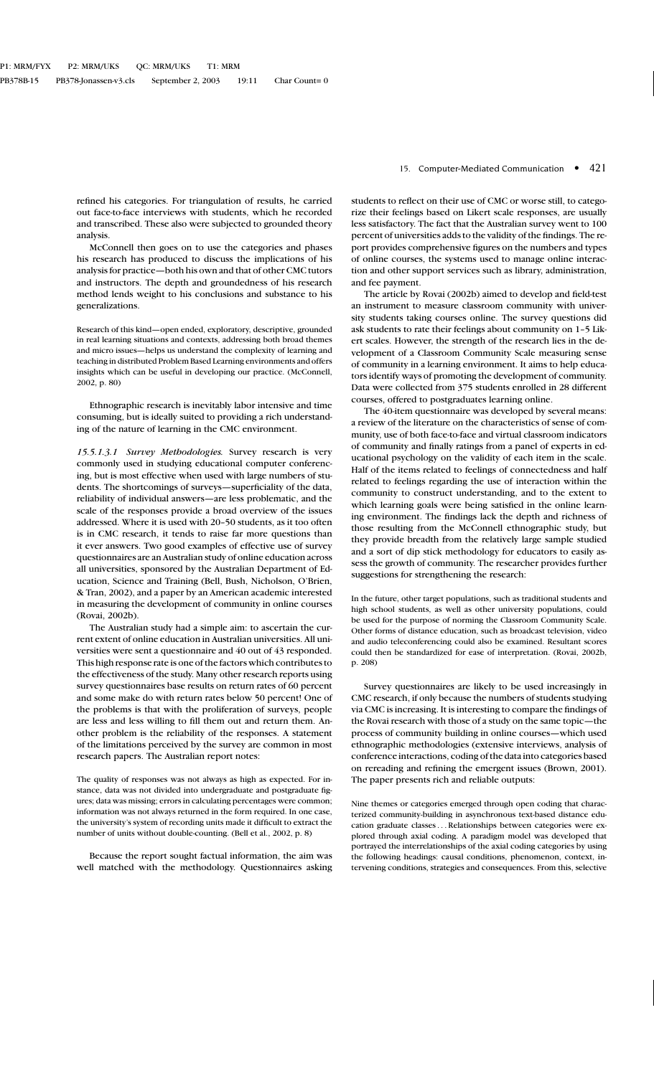refined his categories. For triangulation of results, he carried out face-to-face interviews with students, which he recorded and transcribed. These also were subjected to grounded theory analysis.

McConnell then goes on to use the categories and phases his research has produced to discuss the implications of his analysis for practice—both his own and that of other CMC tutors and instructors. The depth and groundedness of his research method lends weight to his conclusions and substance to his generalizations.

Research of this kind—open ended, exploratory, descriptive, grounded in real learning situations and contexts, addressing both broad themes and micro issues—helps us understand the complexity of learning and teaching in distributed Problem Based Learning environments and offers insights which can be useful in developing our practice. (McConnell, 2002, p. 80)

Ethnographic research is inevitably labor intensive and time consuming, but is ideally suited to providing a rich understanding of the nature of learning in the CMC environment.

*15.5.1.3.1 Survey Methodologies.* Survey research is very commonly used in studying educational computer conferencing, but is most effective when used with large numbers of students. The shortcomings of surveys—superficiality of the data, reliability of individual answers—are less problematic, and the scale of the responses provide a broad overview of the issues addressed. Where it is used with 20–50 students, as it too often is in CMC research, it tends to raise far more questions than it ever answers. Two good examples of effective use of survey questionnaires are an Australian study of online education across all universities, sponsored by the Australian Department of Education, Science and Training (Bell, Bush, Nicholson, O'Brien, & Tran, 2002), and a paper by an American academic interested in measuring the development of community in online courses (Rovai, 2002b).

The Australian study had a simple aim: to ascertain the current extent of online education in Australian universities. All universities were sent a questionnaire and 40 out of 43 responded. This high response rate is one of the factors which contributes to the effectiveness of the study. Many other research reports using survey questionnaires base results on return rates of 60 percent and some make do with return rates below 50 percent! One of the problems is that with the proliferation of surveys, people are less and less willing to fill them out and return them. Another problem is the reliability of the responses. A statement of the limitations perceived by the survey are common in most research papers. The Australian report notes:

The quality of responses was not always as high as expected. For instance, data was not divided into undergraduate and postgraduate figures; data was missing; errors in calculating percentages were common; information was not always returned in the form required. In one case, the university's system of recording units made it difficult to extract the number of units without double-counting. (Bell et al., 2002, p. 8)

Because the report sought factual information, the aim was well matched with the methodology. Questionnaires asking students to reflect on their use of CMC or worse still, to categorize their feelings based on Likert scale responses, are usually less satisfactory. The fact that the Australian survey went to 100 percent of universities adds to the validity of the findings. The report provides comprehensive figures on the numbers and types of online courses, the systems used to manage online interaction and other support services such as library, administration, and fee payment.

The article by Rovai (2002b) aimed to develop and field-test an instrument to measure classroom community with university students taking courses online. The survey questions did ask students to rate their feelings about community on 1–5 Likert scales. However, the strength of the research lies in the development of a Classroom Community Scale measuring sense of community in a learning environment. It aims to help educators identify ways of promoting the development of community. Data were collected from 375 students enrolled in 28 different courses, offered to postgraduates learning online.

The 40-item questionnaire was developed by several means: a review of the literature on the characteristics of sense of community, use of both face-to-face and virtual classroom indicators of community and finally ratings from a panel of experts in educational psychology on the validity of each item in the scale. Half of the items related to feelings of connectedness and half related to feelings regarding the use of interaction within the community to construct understanding, and to the extent to which learning goals were being satisfied in the online learning environment. The findings lack the depth and richness of those resulting from the McConnell ethnographic study, but they provide breadth from the relatively large sample studied and a sort of dip stick methodology for educators to easily assess the growth of community. The researcher provides further suggestions for strengthening the research:

In the future, other target populations, such as traditional students and high school students, as well as other university populations, could be used for the purpose of norming the Classroom Community Scale. Other forms of distance education, such as broadcast television, video and audio teleconferencing could also be examined. Resultant scores could then be standardized for ease of interpretation. (Rovai, 2002b, p. 208)

Survey questionnaires are likely to be used increasingly in CMC research, if only because the numbers of students studying via CMC is increasing. It is interesting to compare the findings of the Rovai research with those of a study on the same topic—the process of community building in online courses—which used ethnographic methodologies (extensive interviews, analysis of conference interactions, coding of the data into categories based on rereading and refining the emergent issues (Brown, 2001). The paper presents rich and reliable outputs:

Nine themes or categories emerged through open coding that characterized community-building in asynchronous text-based distance education graduate classes . . . Relationships between categories were explored through axial coding. A paradigm model was developed that portrayed the interrelationships of the axial coding categories by using the following headings: causal conditions, phenomenon, context, intervening conditions, strategies and consequences. From this, selective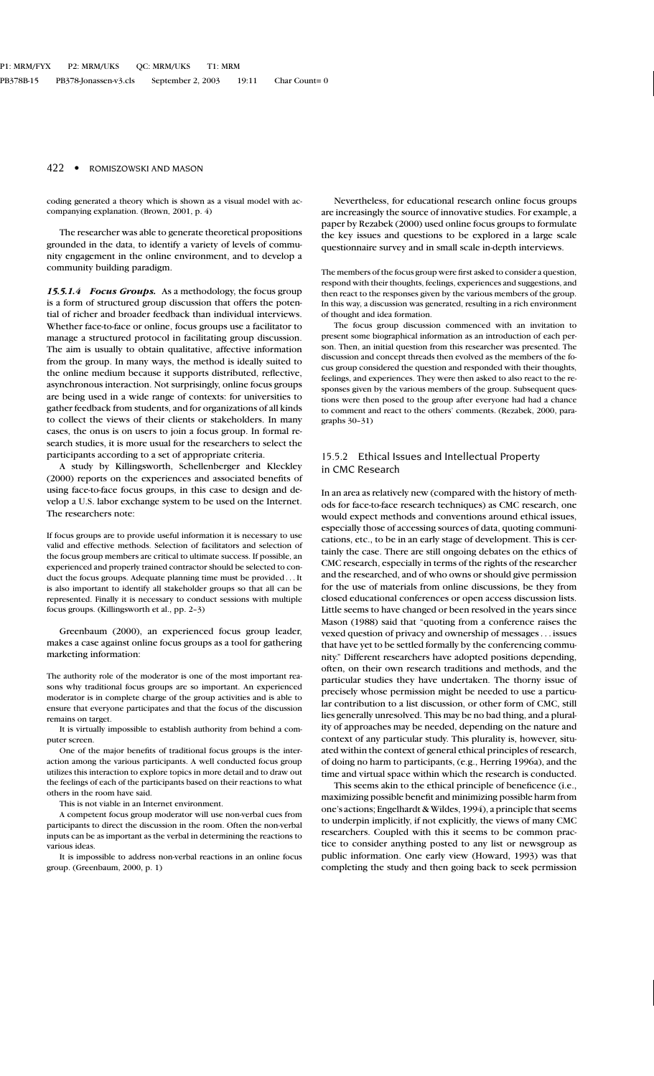coding generated a theory which is shown as a visual model with accompanying explanation. (Brown, 2001, p. 4)

The researcher was able to generate theoretical propositions grounded in the data, to identify a variety of levels of community engagement in the online environment, and to develop a community building paradigm.

*15.5.1.4 Focus Groups.* As a methodology, the focus group is a form of structured group discussion that offers the potential of richer and broader feedback than individual interviews. Whether face-to-face or online, focus groups use a facilitator to manage a structured protocol in facilitating group discussion. The aim is usually to obtain qualitative, affective information from the group. In many ways, the method is ideally suited to the online medium because it supports distributed, reflective, asynchronous interaction. Not surprisingly, online focus groups are being used in a wide range of contexts: for universities to gather feedback from students, and for organizations of all kinds to collect the views of their clients or stakeholders. In many cases, the onus is on users to join a focus group. In formal research studies, it is more usual for the researchers to select the participants according to a set of appropriate criteria.

A study by Killingsworth, Schellenberger and Kleckley (2000) reports on the experiences and associated benefits of using face-to-face focus groups, in this case to design and develop a U.S. labor exchange system to be used on the Internet. The researchers note:

If focus groups are to provide useful information it is necessary to use valid and effective methods. Selection of facilitators and selection of the focus group members are critical to ultimate success. If possible, an experienced and properly trained contractor should be selected to conduct the focus groups. Adequate planning time must be provided . . . It is also important to identify all stakeholder groups so that all can be represented. Finally it is necessary to conduct sessions with multiple focus groups. (Killingsworth et al., pp. 2–3)

Greenbaum (2000), an experienced focus group leader, makes a case against online focus groups as a tool for gathering marketing information:

The authority role of the moderator is one of the most important reasons why traditional focus groups are so important. An experienced moderator is in complete charge of the group activities and is able to ensure that everyone participates and that the focus of the discussion remains on target.

It is virtually impossible to establish authority from behind a computer screen.

One of the major benefits of traditional focus groups is the interaction among the various participants. A well conducted focus group utilizes this interaction to explore topics in more detail and to draw out the feelings of each of the participants based on their reactions to what others in the room have said.

This is not viable in an Internet environment.

A competent focus group moderator will use non-verbal cues from participants to direct the discussion in the room. Often the non-verbal inputs can be as important as the verbal in determining the reactions to various ideas.

It is impossible to address non-verbal reactions in an online focus group. (Greenbaum, 2000, p. 1)

Nevertheless, for educational research online focus groups are increasingly the source of innovative studies. For example, a paper by Rezabek (2000) used online focus groups to formulate the key issues and questions to be explored in a large scale questionnaire survey and in small scale in-depth interviews.

The members of the focus group were first asked to consider a question, respond with their thoughts, feelings, experiences and suggestions, and then react to the responses given by the various members of the group. In this way, a discussion was generated, resulting in a rich environment of thought and idea formation.

The focus group discussion commenced with an invitation to present some biographical information as an introduction of each person. Then, an initial question from this researcher was presented. The discussion and concept threads then evolved as the members of the focus group considered the question and responded with their thoughts, feelings, and experiences. They were then asked to also react to the responses given by the various members of the group. Subsequent questions were then posed to the group after everyone had had a chance to comment and react to the others' comments. (Rezabek, 2000, paragraphs 30–31)

## 15.5.2 Ethical Issues and Intellectual Property in CMC Research

In an area as relatively new (compared with the history of methods for face-to-face research techniques) as CMC research, one would expect methods and conventions around ethical issues, especially those of accessing sources of data, quoting communications, etc., to be in an early stage of development. This is certainly the case. There are still ongoing debates on the ethics of CMC research, especially in terms of the rights of the researcher and the researched, and of who owns or should give permission for the use of materials from online discussions, be they from closed educational conferences or open access discussion lists. Little seems to have changed or been resolved in the years since Mason (1988) said that "quoting from a conference raises the vexed question of privacy and ownership of messages... issues that have yet to be settled formally by the conferencing community." Different researchers have adopted positions depending, often, on their own research traditions and methods, and the particular studies they have undertaken. The thorny issue of precisely whose permission might be needed to use a particular contribution to a list discussion, or other form of CMC, still lies generally unresolved. This may be no bad thing, and a plurality of approaches may be needed, depending on the nature and context of any particular study. This plurality is, however, situated within the context of general ethical principles of research, of doing no harm to participants, (e.g., Herring 1996a), and the time and virtual space within which the research is conducted.

This seems akin to the ethical principle of beneficence (i.e., maximizing possible benefit and minimizing possible harm from one's actions; Engelhardt & Wildes, 1994), a principle that seems to underpin implicitly, if not explicitly, the views of many CMC researchers. Coupled with this it seems to be common practice to consider anything posted to any list or newsgroup as public information. One early view (Howard, 1993) was that completing the study and then going back to seek permission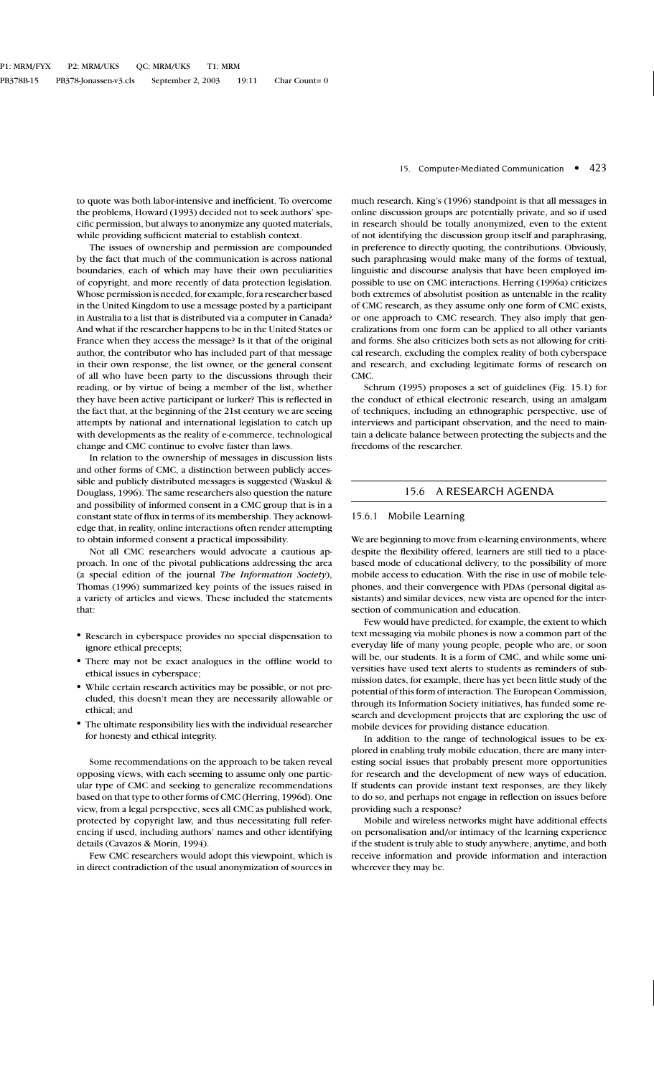to quote was both labor-intensive and inefficient. To overcome the problems, Howard (1993) decided not to seek authors' specific permission, but always to anonymize any quoted materials, while providing sufficient material to establish context.

The issues of ownership and permission are compounded by the fact that much of the communication is across national boundaries, each of which may have their own peculiarities of copyright, and more recently of data protection legislation. Whose permission is needed, for example, for a researcher based in the United Kingdom to use a message posted by a participant in Australia to a list that is distributed via a computer in Canada? And what if the researcher happens to be in the United States or France when they access the message? Is it that of the original author, the contributor who has included part of that message in their own response, the list owner, or the general consent of all who have been party to the discussions through their reading, or by virtue of being a member of the list, whether they have been active participant or lurker? This is reflected in the fact that, at the beginning of the 21st century we are seeing attempts by national and international legislation to catch up with developments as the reality of e-commerce, technological change and CMC continue to evolve faster than laws.

In relation to the ownership of messages in discussion lists and other forms of CMC, a distinction between publicly accessible and publicly distributed messages is suggested (Waskul & Douglass, 1996). The same researchers also question the nature and possibility of informed consent in a CMC group that is in a constant state of flux in terms of its membership. They acknowledge that, in reality, online interactions often render attempting to obtain informed consent a practical impossibility.

Not all CMC researchers would advocate a cautious approach. In one of the pivotal publications addressing the area (a special edition of the journal *The Information Society*), Thomas (1996) summarized key points of the issues raised in a variety of articles and views. These included the statements that:

- Research in cyberspace provides no special dispensation to ignore ethical precepts;
- There may not be exact analogues in the offline world to ethical issues in cyberspace;
- While certain research activities may be possible, or not precluded, this doesn't mean they are necessarily allowable or ethical; and
- The ultimate responsibility lies with the individual researcher for honesty and ethical integrity.

Some recommendations on the approach to be taken reveal opposing views, with each seeming to assume only one particular type of CMC and seeking to generalize recommendations based on that type to other forms of CMC (Herring, 1996d). One view, from a legal perspective, sees all CMC as published work, protected by copyright law, and thus necessitating full referencing if used, including authors' names and other identifying details (Cavazos & Morin, 1994).

Few CMC researchers would adopt this viewpoint, which is in direct contradiction of the usual anonymization of sources in much research. King's (1996) standpoint is that all messages in online discussion groups are potentially private, and so if used in research should be totally anonymized, even to the extent of not identifying the discussion group itself and paraphrasing, in preference to directly quoting, the contributions. Obviously, such paraphrasing would make many of the forms of textual, linguistic and discourse analysis that have been employed impossible to use on CMC interactions. Herring (1996a) criticizes both extremes of absolutist position as untenable in the reality of CMC research, as they assume only one form of CMC exists, or one approach to CMC research. They also imply that generalizations from one form can be applied to all other variants and forms. She also criticizes both sets as not allowing for critical research, excluding the complex reality of both cyberspace and research, and excluding legitimate forms of research on CMC.

Schrum (1995) proposes a set of guidelines (Fig. 15.1) for the conduct of ethical electronic research, using an amalgam of techniques, including an ethnographic perspective, use of interviews and participant observation, and the need to maintain a delicate balance between protecting the subjects and the freedoms of the researcher.

## 15.6 A RESEARCH AGENDA

## 15.6.1 Mobile Learning

We are beginning to move from e-learning environments, where despite the flexibility offered, learners are still tied to a placebased mode of educational delivery, to the possibility of more mobile access to education. With the rise in use of mobile telephones, and their convergence with PDAs (personal digital assistants) and similar devices, new vista are opened for the intersection of communication and education.

Few would have predicted, for example, the extent to which text messaging via mobile phones is now a common part of the everyday life of many young people, people who are, or soon will be, our students. It is a form of CMC, and while some universities have used text alerts to students as reminders of submission dates, for example, there has yet been little study of the potential of this form of interaction. The European Commission, through its Information Society initiatives, has funded some research and development projects that are exploring the use of mobile devices for providing distance education.

In addition to the range of technological issues to be explored in enabling truly mobile education, there are many interesting social issues that probably present more opportunities for research and the development of new ways of education. If students can provide instant text responses, are they likely to do so, and perhaps not engage in reflection on issues before providing such a response?

Mobile and wireless networks might have additional effects on personalisation and/or intimacy of the learning experience if the student is truly able to study anywhere, anytime, and both receive information and provide information and interaction wherever they may be.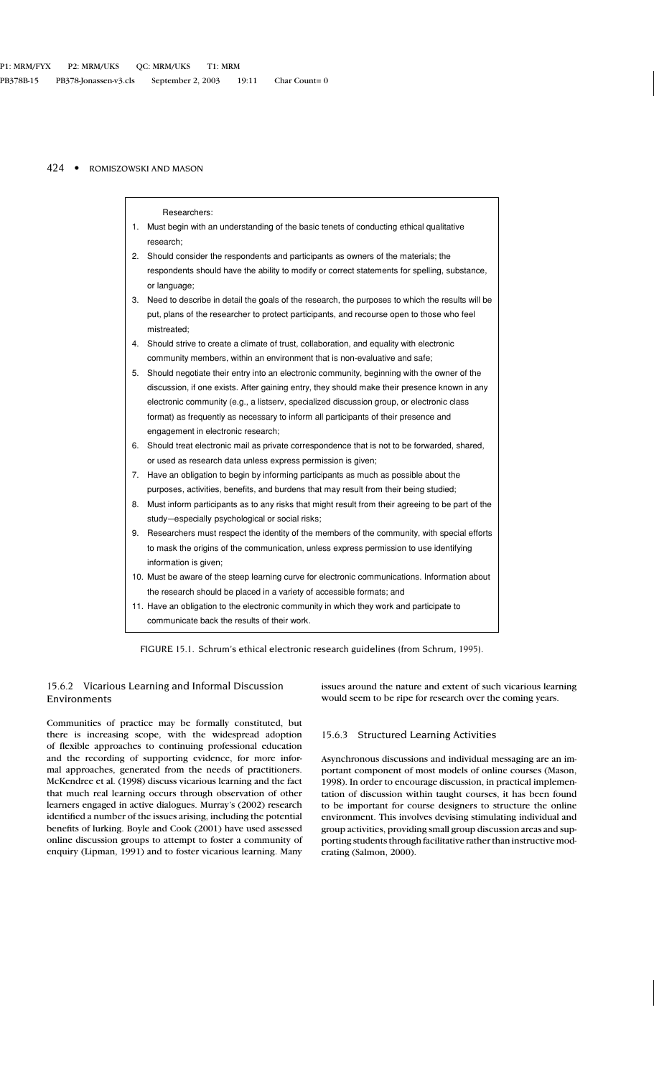Researchers:

- 1. Must begin with an understanding of the basic tenets of conducting ethical qualitative research;
- 2. Should consider the respondents and participants as owners of the materials; the respondents should have the ability to modify or correct statements for spelling, substance, or language;
- 3. Need to describe in detail the goals of the research, the purposes to which the results will be put, plans of the researcher to protect participants, and recourse open to those who feel mistreated;
- 4. Should strive to create a climate of trust, collaboration, and equality with electronic community members, within an environment that is non-evaluative and safe;
- 5. Should negotiate their entry into an electronic community, beginning with the owner of the discussion, if one exists. After gaining entry, they should make their presence known in any electronic community (e.g., a listserv, specialized discussion group, or electronic class format) as frequently as necessary to inform all participants of their presence and engagement in electronic research;
- 6. Should treat electronic mail as private correspondence that is not to be forwarded, shared, or used as research data unless express permission is given;
- 7. Have an obligation to begin by informing participants as much as possible about the purposes, activities, benefits, and burdens that may result from their being studied;
- 8. Must inform participants as to any risks that might result from their agreeing to be part of the study-especially psychological or social risks;
- 9. Researchers must respect the identity of the members of the community, with special efforts to mask the origins of the communication, unless express permission to use identifying information is given;
- 10. Must be aware of the steep learning curve for electronic communications. Information about the research should be placed in a variety of accessible formats; and
- 11. Have an obligation to the electronic community in which they work and participate to communicate back the results of their work.

FIGURE 15.1. Schrum's ethical electronic research guidelines (from Schrum, 1995).

## 15.6.2 Vicarious Learning and Informal Discussion Environments

Communities of practice may be formally constituted, but there is increasing scope, with the widespread adoption of flexible approaches to continuing professional education and the recording of supporting evidence, for more informal approaches, generated from the needs of practitioners. McKendree et al. (1998) discuss vicarious learning and the fact that much real learning occurs through observation of other learners engaged in active dialogues. Murray's (2002) research identified a number of the issues arising, including the potential benefits of lurking. Boyle and Cook (2001) have used assessed online discussion groups to attempt to foster a community of enquiry (Lipman, 1991) and to foster vicarious learning. Many issues around the nature and extent of such vicarious learning would seem to be ripe for research over the coming years.

## 15.6.3 Structured Learning Activities

Asynchronous discussions and individual messaging are an important component of most models of online courses (Mason, 1998). In order to encourage discussion, in practical implementation of discussion within taught courses, it has been found to be important for course designers to structure the online environment. This involves devising stimulating individual and group activities, providing small group discussion areas and supporting students through facilitative rather than instructive moderating (Salmon, 2000).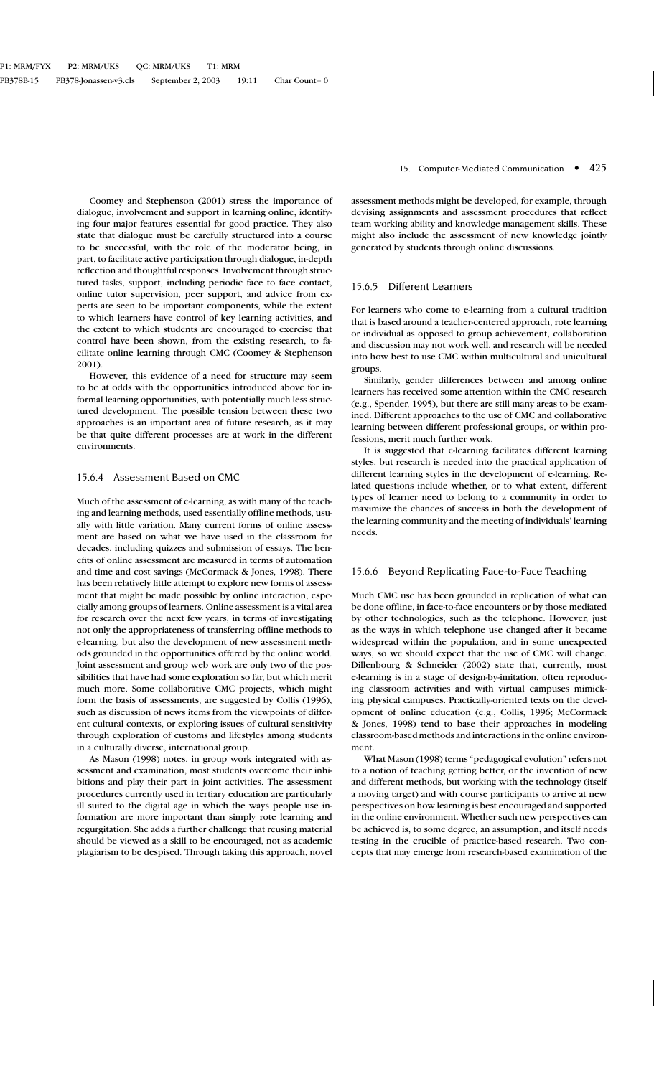Coomey and Stephenson (2001) stress the importance of dialogue, involvement and support in learning online, identifying four major features essential for good practice. They also state that dialogue must be carefully structured into a course to be successful, with the role of the moderator being, in part, to facilitate active participation through dialogue, in-depth reflection and thoughtful responses. Involvement through structured tasks, support, including periodic face to face contact, online tutor supervision, peer support, and advice from experts are seen to be important components, while the extent to which learners have control of key learning activities, and the extent to which students are encouraged to exercise that control have been shown, from the existing research, to facilitate online learning through CMC (Coomey & Stephenson 2001).

However, this evidence of a need for structure may seem to be at odds with the opportunities introduced above for informal learning opportunities, with potentially much less structured development. The possible tension between these two approaches is an important area of future research, as it may be that quite different processes are at work in the different environments.

## 15.6.4 Assessment Based on CMC

Much of the assessment of e-learning, as with many of the teaching and learning methods, used essentially offline methods, usually with little variation. Many current forms of online assessment are based on what we have used in the classroom for decades, including quizzes and submission of essays. The benefits of online assessment are measured in terms of automation and time and cost savings (McCormack & Jones, 1998). There has been relatively little attempt to explore new forms of assessment that might be made possible by online interaction, especially among groups of learners. Online assessment is a vital area for research over the next few years, in terms of investigating not only the appropriateness of transferring offline methods to e-learning, but also the development of new assessment methods grounded in the opportunities offered by the online world. Joint assessment and group web work are only two of the possibilities that have had some exploration so far, but which merit much more. Some collaborative CMC projects, which might form the basis of assessments, are suggested by Collis (1996), such as discussion of news items from the viewpoints of different cultural contexts, or exploring issues of cultural sensitivity through exploration of customs and lifestyles among students in a culturally diverse, international group.

As Mason (1998) notes, in group work integrated with assessment and examination, most students overcome their inhibitions and play their part in joint activities. The assessment procedures currently used in tertiary education are particularly ill suited to the digital age in which the ways people use information are more important than simply rote learning and regurgitation. She adds a further challenge that reusing material should be viewed as a skill to be encouraged, not as academic plagiarism to be despised. Through taking this approach, novel assessment methods might be developed, for example, through devising assignments and assessment procedures that reflect team working ability and knowledge management skills. These might also include the assessment of new knowledge jointly generated by students through online discussions.

## 15.6.5 Different Learners

For learners who come to e-learning from a cultural tradition that is based around a teacher-centered approach, rote learning or individual as opposed to group achievement, collaboration and discussion may not work well, and research will be needed into how best to use CMC within multicultural and unicultural groups.

Similarly, gender differences between and among online learners has received some attention within the CMC research (e.g., Spender, 1995), but there are still many areas to be examined. Different approaches to the use of CMC and collaborative learning between different professional groups, or within professions, merit much further work.

It is suggested that e-learning facilitates different learning styles, but research is needed into the practical application of different learning styles in the development of e-learning. Related questions include whether, or to what extent, different types of learner need to belong to a community in order to maximize the chances of success in both the development of the learning community and the meeting of individuals' learning needs.

## 15.6.6 Beyond Replicating Face-to-Face Teaching

Much CMC use has been grounded in replication of what can be done offline, in face-to-face encounters or by those mediated by other technologies, such as the telephone. However, just as the ways in which telephone use changed after it became widespread within the population, and in some unexpected ways, so we should expect that the use of CMC will change. Dillenbourg & Schneider (2002) state that, currently, most e-learning is in a stage of design-by-imitation, often reproducing classroom activities and with virtual campuses mimicking physical campuses. Practically-oriented texts on the development of online education (e.g., Collis, 1996; McCormack & Jones, 1998) tend to base their approaches in modeling classroom-based methods and interactions in the online environment.

What Mason (1998) terms "pedagogical evolution" refers not to a notion of teaching getting better, or the invention of new and different methods, but working with the technology (itself a moving target) and with course participants to arrive at new perspectives on how learning is best encouraged and supported in the online environment. Whether such new perspectives can be achieved is, to some degree, an assumption, and itself needs testing in the crucible of practice-based research. Two concepts that may emerge from research-based examination of the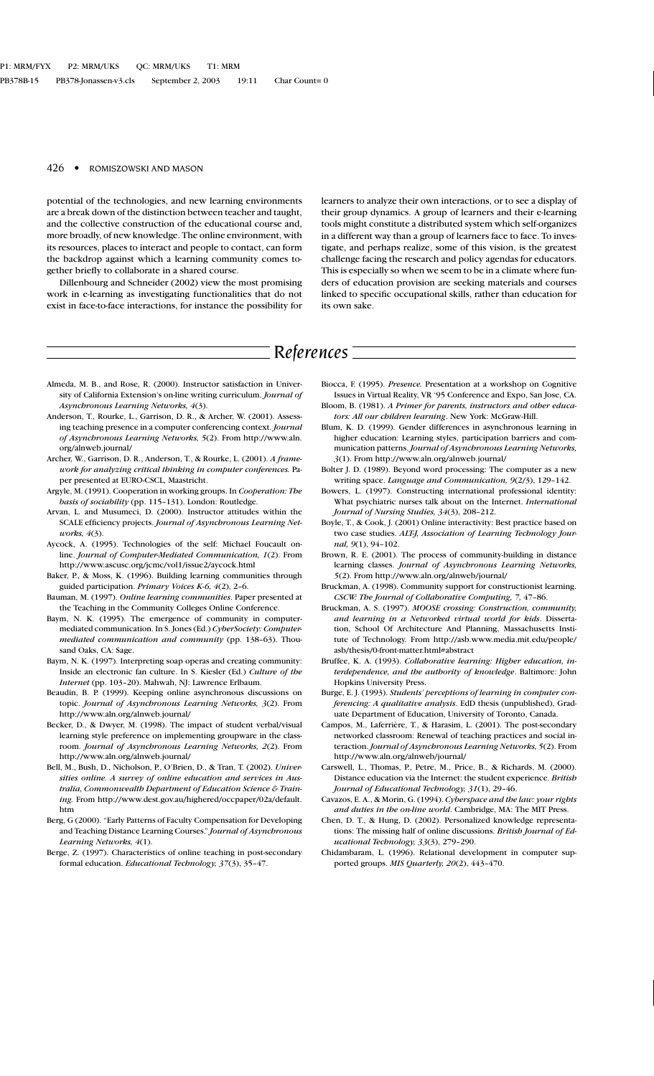potential of the technologies, and new learning environments are a break down of the distinction between teacher and taught, and the collective construction of the educational course and, more broadly, of new knowledge. The online environment, with its resources, places to interact and people to contact, can form the backdrop against which a learning community comes together briefly to collaborate in a shared course.

Dillenbourg and Schneider (2002) view the most promising work in e-learning as investigating functionalities that do not exist in face-to-face interactions, for instance the possibility for learners to analyze their own interactions, or to see a display of their group dynamics. A group of learners and their e-learning tools might constitute a distributed system which self-organizes in a different way than a group of learners face to face. To investigate, and perhaps realize, some of this vision, is the greatest challenge facing the research and policy agendas for educators. This is especially so when we seem to be in a climate where funders of education provision are seeking materials and courses linked to specific occupational skills, rather than education for its own sake.

## *References*

- Almeda, M. B., and Rose, R. (2000). Instructor satisfaction in University of California Extension's on-line writing curriculum. *Journal of Asynchronous Learning Networks, 4*(3).
- Anderson, T., Rourke, L., Garrison, D. R., & Archer, W. (2001). Assessing teaching presence in a computer conferencing context. *Journal of Asynchronous Learning Networks, 5*(2). From http://www.aln. org/alnweb.journal/
- Archer, W., Garrison, D. R., Anderson, T., & Rourke, L. (2001). *A framework for analyzing critical thinking in computer conferences.* Paper presented at EURO-CSCL, Maastricht.
- Argyle, M. (1991). Cooperation in working groups. In *Cooperation: The basis of sociability* (pp. 115–131). London: Routledge.
- Arvan, L. and Musumeci, D. (2000). Instructor attitudes within the SCALE efficiency projects. *Journal of Asynchronous Learning Networks, 4*(3).
- Aycock, A. (1995). Technologies of the self: Michael Foucault online. *Journal of Computer-Mediated Communication, 1*(2). From http://www.ascusc.org/jcmc/vol1/issue2/aycock.html
- Baker, P., & Moss, K. (1996). Building learning communities through guided participation. *Primary Voices K-6, 4*(2), 2–6.
- Bauman, M. (1997). *Online learning communities*. Paper presented at the Teaching in the Community Colleges Online Conference.
- Baym, N. K. (1995). The emergence of community in computermediated communication. In S. Jones (Ed.) *CyberSociety: Computermediated communication and community* (pp. 138–63). Thousand Oaks, CA: Sage.
- Baym, N. K. (1997). Interpreting soap operas and creating community: Inside an electronic fan culture. In S. Kiesler (Ed.) *Culture of the Internet* (pp. 103–20). Mahwah, NJ: Lawrence Erlbaum.
- Beaudin, B. P. (1999). Keeping online asynchronous discussions on topic. *Journal of Asynchronous Learning Networks, 3*(2). From http://www.aln.org/alnweb.journal/
- Becker, D., & Dwyer, M. (1998). The impact of student verbal/visual learning style preference on implementing groupware in the classroom. *Journal of Asynchronous Learning Networks, 2*(2). From http://www.aln.org/alnweb.journal/
- Bell, M., Bush, D., Nicholson, P., O'Brien, D., & Tran, T. (2002). *Universities online. A survey of online education and services in Australia, Commonwealth Department of Education Science & Training.* From http://www.dest.gov.au/highered/occpaper/02a/default. htm
- Berg, G (2000). "Early Patterns of Faculty Compensation for Developing and Teaching Distance Learning Courses." *Journal of Asynchronous Learning Networks, 4*(1).
- Berge, Z. (1997). Characteristics of online teaching in post-secondary formal education. *Educational Technology, 37*(3), 35–47.
- Biocca, F. (1995). *Presence.* Presentation at a workshop on Cognitive Issues in Virtual Reality, VR '95 Conference and Expo, San Jose, CA.
- Bloom, B. (1981). *A Primer for parents, instructors and other educators: All our children learning*. New York: McGraw-Hill.
- Blum, K. D. (1999). Gender differences in asynchronous learning in higher education: Learning styles, participation barriers and communication patterns. *Journal of Asynchronous Learning Networks, 3*(1). From http://www.aln.org/alnweb.journal/
- Bolter J. D. (1989). Beyond word processing: The computer as a new writing space. *Language and Communication, 9*(2/3), 129–142.
- Bowers, L. (1997). Constructing international professional identity: What psychiatric nurses talk about on the Internet. *International Journal of Nursing Studies, 34*(3), 208–212.
- Boyle, T., & Cook, J. (2001) Online interactivity: Best practice based on two case studies. *ALT-J, Association of Learning Technology Journal, 9*(1), 94–102.
- Brown, R. E. (2001). The process of community-building in distance learning classes. *Journal of Asynchronous Learning Networks, 5*(2). From http://www.aln.org/alnweb/journal/
- Bruckman, A. (1998). Community support for constructionist learning. *CSCW: The Journal of Collaborative Computing, 7,* 47–86.
- Bruckman, A. S. (1997). *MOOSE crossing: Construction, community, and learning in a Networked virtual world for kids*. Dissertation, School Of Architecture And Planning, Massachusetts Institute of Technology. From http://asb.www.media.mit.edu/people/ asb/thesis/0-front-matter.html#abstract
- Bruffee, K. A. (1993). *Collaborative learning: Higher education, interdependence, and the authority of knowledge*. Baltimore: John Hopkins University Press.
- Burge, E. J. (1993). *Students' perceptions of learning in computer conferencing: A qualitative analysis*. EdD thesis (unpublished), Graduate Department of Education, University of Toronto, Canada.
- Campos, M., Laferrière, T., & Harasim, L. (2001). The post-secondary networked classroom: Renewal of teaching practices and social interaction. *Journal of Asynchronous Learning Networks, 5*(2). From http://www.aln.org/alnweb/journal/
- Carswell, L., Thomas, P., Petre, M., Price, B., & Richards, M. (2000). Distance education via the Internet: the student experience. *British Journal of Educational Technology, 31*(1), 29–46.
- Cavazos, E. A., & Morin, G. (1994). *Cyberspace and the law: your rights and duties in the on-line world*. Cambridge, MA: The MIT Press.
- Chen, D. T., & Hung, D. (2002). Personalized knowledge representations: The missing half of online discussions. *British Journal of Educational Technology, 33*(3), 279–290.
- Chidambaram, L. (1996). Relational development in computer supported groups. *MIS Quarterly, 20*(2), 443–470.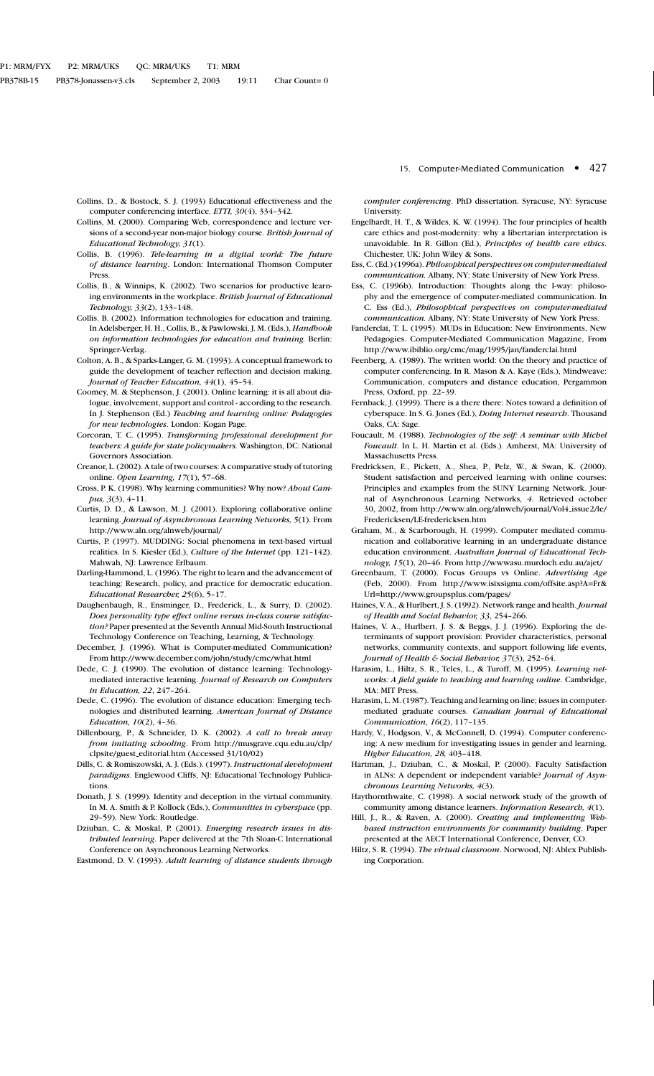- Collins, D., & Bostock, S. J. (1993) Educational effectiveness and the computer conferencing interface. *ETTI, 30*(4), 334–342.
- Collins, M. (2000). Comparing Web, correspondence and lecture versions of a second-year non-major biology course. *British Journal of Educational Technology, 31*(1).
- Collis, B. (1996). *Tele-learning in a digital world: The future of distance learning*. London: International Thomson Computer Press.
- Collis, B., & Winnips, K. (2002). Two scenarios for productive learning environments in the workplace. *British Journal of Educational Technology, 33*(2), 133–148.
- Collis. B. (2002). Information technologies for education and training. In Adelsberger, H. H., Collis, B., & Pawlowski, J. M. (Eds.), *Handbook on information technologies for education and training.* Berlin: Springer-Verlag.
- Colton, A. B., & Sparks-Langer, G. M. (1993). A conceptual framework to guide the development of teacher reflection and decision making. *Journal of Teacher Education, 44*(1), 45–54.
- Coomey, M. & Stephenson, J. (2001). Online learning: it is all about dialogue, involvement, support and control - according to the research. In J. Stephenson (Ed.) *Teaching and learning online: Pedagogies for new technologies*. London: Kogan Page.
- Corcoran, T. C. (1995). *Transforming professional development for teachers: A guide for state policymakers.* Washington, DC: National Governors Association.
- Creanor, L. (2002). A tale of two courses: A comparative study of tutoring online. *Open Learning, 17*(1), 57–68.
- Cross, P. K. (1998). Why learning communities? Why now? *About Campus, 3*(3), 4–11.
- Curtis, D. D., & Lawson, M. J. (2001). Exploring collaborative online learning. *Journal of Asynchronous Learning Networks, 5*(1). From http://www.aln.org/alnweb/journal/
- Curtis, P. (1997). MUDDING: Social phenomena in text-based virtual realities. In S. Kiesler (Ed.), *Culture of the Internet* (pp. 121–142). Mahwah, NJ: Lawrence Erlbaum.
- Darling-Hammond, L. (1996). The right to learn and the advancement of teaching: Research, policy, and practice for democratic education. *Educational Researcher, 25*(6), 5–17.
- Daughenbaugh, R., Ensminger, D., Frederick, L., & Surry, D. (2002). *Does personality type effect online versus in-class course satisfaction?* Paper presented at the Seventh Annual Mid-South Instructional Technology Conference on Teaching, Learning, & Technology.
- December, J. (1996). What is Computer-mediated Communication? From http://www.december.com/john/study/cmc/what.html
- Dede, C. J. (1990). The evolution of distance learning: Technologymediated interactive learning. *Journal of Research on Computers in Education, 22*, 247–264.
- Dede, C. (1996). The evolution of distance education: Emerging technologies and distributed learning. *American Journal of Distance Education, 10*(2), 4–36.
- Dillenbourg, P., & Schneider, D. K. (2002). *A call to break away from imitating schooling*. From http://musgrave.cqu.edu.au/clp/ clpsite/guest editorial.htm (Accessed 31/10/02)
- Dills, C. & Romiszowski, A. J. (Eds.). (1997). *Instructional development paradigms*. Englewood Cliffs, NJ: Educational Technology Publications.
- Donath, J. S. (1999). Identity and deception in the virtual community. In M. A. Smith & P. Kollock (Eds.), *Communities in cyberspace* (pp. 29–59). New York: Routledge.
- Dziuban, C. & Moskal, P. (2001). *Emerging research issues in distributed learning*. Paper delivered at the 7th Sloan-C International Conference on Asynchronous Learning Networks.

Eastmond, D. V. (1993). *Adult learning of distance students through*

*computer conferencing*. PhD dissertation. Syracuse, NY: Syracuse University.

- Engelhardt, H. T., & Wildes, K. W. (1994). The four principles of health care ethics and post-modernity: why a libertarian interpretation is unavoidable. In R. Gillon (Ed.), *Principles of health care ethics*. Chichester, UK: John Wiley & Sons.
- Ess, C. (Ed.) (1996a). *Philosophical perspectives on computer-mediated communication.* Albany, NY: State University of New York Press.
- Ess, C. (1996b). Introduction: Thoughts along the I-way: philosophy and the emergence of computer-mediated communication. In C. Ess (Ed.), *Philosophical perspectives on computer-mediated communication.* Albany, NY: State University of New York Press.
- Fanderclai, T. L. (1995). MUDs in Education: New Environments, New Pedagogies. Computer-Mediated Communication Magazine, From http://www.ibiblio.org/cmc/mag/1995/jan/fanderclai.html
- Feenberg, A. (1989). The written world: On the theory and practice of computer conferencing. In R. Mason & A. Kaye (Eds.), Mindweave: Communication, computers and distance education, Pergammon Press, Oxford, pp. 22–39.
- Fernback, J. (1999). There is a there there: Notes toward a definition of cyberspace. In S. G. Jones (Ed.), *Doing Internet research*. Thousand Oaks, CA: Sage.
- Foucault, M. (1988). *Technologies of the self: A seminar with Michel Foucault*. In L. H. Martin et al. (Eds.). Amherst, MA: University of Massachusetts Press.
- Fredricksen, E., Pickett, A., Shea, P., Pelz, W., & Swan, K. (2000). Student satisfaction and perceived learning with online courses: Principles and examples from the SUNY Learning Network. Journal of Asynchronous Learning Networks, *4*. Retrieved october 30, 2002, from http://www.aln.org/alnweb/journal/Vol4 issue2/le/ Fredericksen/LE-fredericksen.htm
- Graham, M., & Scarborough, H. (1999). Computer mediated communication and collaborative learning in an undergraduate distance education environment. *Australian Journal of Educational Technology, 15*(1), 20–46. From http://wwwasu.murdoch.edu.au/ajet/
- Greenbaum, T. (2000). Focus Groups vs Online. *Advertising Age* (Feb, 2000). From http://www.isixsigma.com/offsite.asp?A=Fr& Url=http://www.groupsplus.com/pages/
- Haines, V. A., & Hurlbert, J. S. (1992). Network range and health. *Journal of Health and Social Behavior, 33*, 254–266.
- Haines, V. A., Hurlbert, J. S. & Beggs, J. J. (1996). Exploring the determinants of support provision: Provider characteristics, personal networks, community contexts, and support following life events, *Journal of Health & Social Behavior, 37*(3), 252–64.
- Harasim, L., Hiltz, S. R., Teles, L., & Turoff, M. (1995). *Learning networks: A field guide to teaching and learning online*. Cambridge, MA: MIT Press.
- Harasim, L. M. (1987). Teaching and learning on-line; issues in computermediated graduate courses. *Canadian Journal of Educational Communication, 16*(2), 117–135.
- Hardy, V., Hodgson, V., & McConnell, D. (1994). Computer conferencing: A new medium for investigating issues in gender and learning. *Higher Education, 28,* 403–418.
- Hartman, J., Dziuban, C., & Moskal, P. (2000). Faculty Satisfaction in ALNs: A dependent or independent variable? *Journal of Asynchronous Learning Networks, 4*(3).
- Haythornthwaite, C. (1998). A social network study of the growth of community among distance learners. *Information Research, 4*(1).
- Hill, J., R., & Raven, A. (2000). *Creating and implementing Webbased instruction environments for community building*. Paper presented at the AECT International Conference, Denver, CO.
- Hiltz, S. R. (1994). *The virtual classroom*. Norwood, NJ: Ablex Publishing Corporation.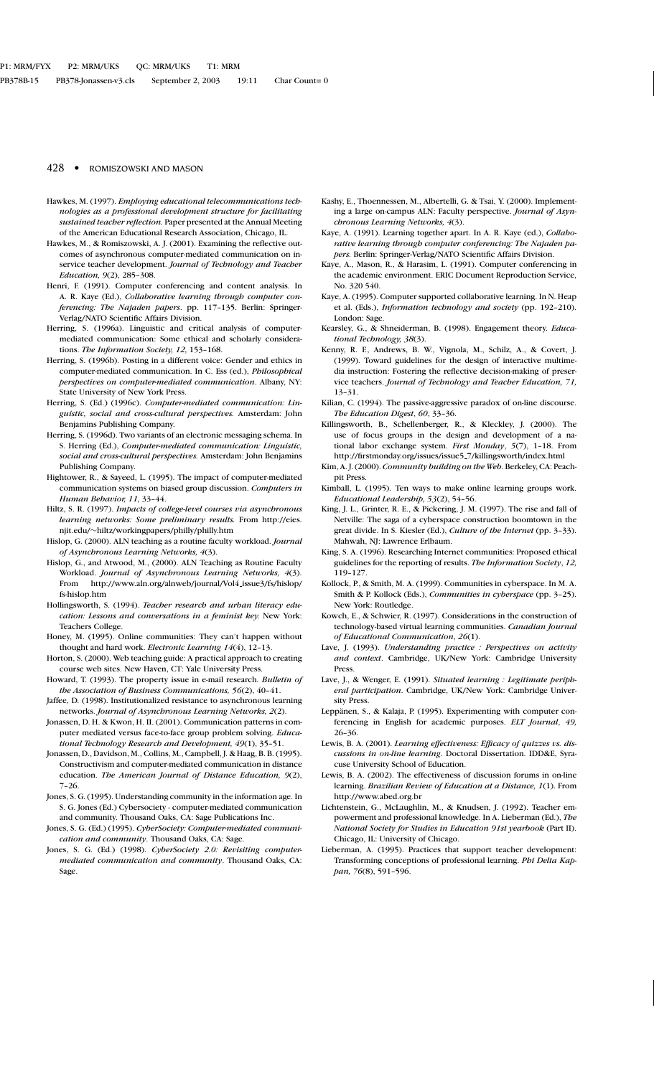#### 428 • ROMISZOWSKI AND MASON

- Hawkes, M. (1997). *Employing educational telecommunications technologies as a professional development structure for facilitating sustained teacher reflection.* Paper presented at the Annual Meeting of the American Educational Research Association, Chicago, IL.
- Hawkes, M., & Romiszowski, A. J. (2001). Examining the reflective outcomes of asynchronous computer-mediated communication on inservice teacher development. *Journal of Technology and Teacher Education, 9*(2), 285–308.
- Henri, F. (1991). Computer conferencing and content analysis. In A. R. Kaye (Ed.), *Collaborative learning through computer conferencing: The Najaden papers*. pp. 117–135. Berlin: Springer-Verlag/NATO Scientific Affairs Division.
- Herring, S. (1996a). Linguistic and critical analysis of computermediated communication: Some ethical and scholarly considerations. *The Information Society, 12,* 153–168.
- Herring, S. (1996b). Posting in a different voice: Gender and ethics in computer-mediated communication. In C. Ess (ed.), *Philosophical perspectives on computer-mediated communication*. Albany, NY: State University of New York Press.
- Herring, S. (Ed.) (1996c). *Computer-mediated communication: Linguistic, social and cross-cultural perspectives.* Amsterdam: John Benjamins Publishing Company.
- Herring, S. (1996d). Two variants of an electronic messaging schema. In S. Herring (Ed.), *Computer-mediated communication: Linguistic, social and cross-cultural perspectives.* Amsterdam: John Benjamins Publishing Company.
- Hightower, R., & Sayeed, L. (1995). The impact of computer-mediated communication systems on biased group discussion. *Computers in Human Behavior, 11,* 33–44.
- Hiltz, S. R. (1997). *Impacts of college-level courses via asynchronous learning networks: Some preliminary results.* From http://eies. njit.edu/∼hiltz/workingpapers/philly/philly.htm
- Hislop, G. (2000). ALN teaching as a routine faculty workload. *Journal of Asynchronous Learning Networks, 4*(3).
- Hislop, G., and Atwood, M., (2000). ALN Teaching as Routine Faculty Workload. *Journal of Asynchronous Learning Networks, 4*(3). From http://www.aln.org/alnweb/journal/Vol4 issue3/fs/hislop/ fs-hislop.htm
- Hollingsworth, S. (1994). *Teacher research and urban literacy education: Lessons and conversations in a feminist key.* New York: Teachers College.
- Honey, M. (1995). Online communities: They can't happen without thought and hard work. *Electronic Learning 14*(4), 12–13.
- Horton, S. (2000). Web teaching guide: A practical approach to creating course web sites. New Haven, CT: Yale University Press.
- Howard, T. (1993). The property issue in e-mail research. *Bulletin of the Association of Business Communications, 56*(2), 40–41.
- Jaffee, D. (1998). Institutionalized resistance to asynchronous learning networks. *Journal of Asynchronous Learning Networks, 2*(2).
- Jonassen, D. H. & Kwon, H. II. (2001). Communication patterns in computer mediated versus face-to-face group problem solving. *Educational Technology Research and Development, 49*(1), 35–51.
- Jonassen, D., Davidson, M., Collins, M., Campbell, J. & Haag, B. B. (1995). Constructivism and computer-mediated communication in distance education. *The American Journal of Distance Education, 9*(2), 7–26.
- Jones, S. G. (1995). Understanding community in the information age. In S. G. Jones (Ed.) Cybersociety - computer-mediated communication and community. Thousand Oaks, CA: Sage Publications Inc.
- Jones, S. G. (Ed.) (1995). *CyberSociety: Computer-mediated communication and community*. Thousand Oaks, CA: Sage.
- Jones, S. G. (Ed.) (1998). *CyberSociety 2.0: Revisiting computermediated communication and community*. Thousand Oaks, CA: Sage.
- Kashy, E., Thoennessen, M., Albertelli, G. & Tsai, Y. (2000). Implementing a large on-campus ALN: Faculty perspective. *Journal of Asynchronous Learning Networks, 4*(3).
- Kaye, A. (1991). Learning together apart. In A. R. Kaye (ed.), *Collaborative learning through computer conferencing: The Najaden papers.* Berlin: Springer-Verlag/NATO Scientific Affairs Division.
- Kaye, A., Mason, R., & Harasim, L. (1991). Computer conferencing in the academic environment. ERIC Document Reproduction Service, No. 320 540.
- Kaye, A. (1995). Computer supported collaborative learning. In N. Heap et al. (Eds.), *Information technology and society* (pp. 192–210). London: Sage.
- Kearsley, G., & Shneiderman, B. (1998). Engagement theory. *Educational Technology, 38*(3).
- Kenny, R. F., Andrews, B. W., Vignola, M., Schilz, A., & Covert, J. (1999). Toward guidelines for the design of interactive multimedia instruction: Fostering the reflective decision-making of preservice teachers. *Journal of Technology and Teacher Education, 71,* 13–31.
- Kilian, C. (1994). The passive-aggressive paradox of on-line discourse. *The Education Digest*, *60*, 33–36.
- Killingsworth, B., Schellenberger, R., & Kleckley, J. (2000). The use of focus groups in the design and development of a national labor exchange system. *First Monday*, *5*(7), 1–18. From http://firstmonday.org/issues/issue5 7/killingsworth/index.html
- Kim, A. J. (2000). *Community building on the Web*. Berkeley, CA: Peachpit Press.
- Kimball, L. (1995). Ten ways to make online learning groups work. *Educational Leadership, 53*(2), 54–56.
- King, J. L., Grinter, R. E., & Pickering, J. M. (1997). The rise and fall of Netville: The saga of a cyberspace construction boomtown in the great divide. In S. Kiesler (Ed.), *Culture of the Internet* (pp. 3–33). Mahwah, NJ: Lawrence Erlbaum.
- King, S. A. (1996). Researching Internet communities: Proposed ethical guidelines for the reporting of results. *The Information Society*, *12,* 119–127.
- Kollock, P., & Smith, M. A. (1999). Communities in cyberspace. In M. A. Smith & P. Kollock (Eds.), *Communities in cyberspace* (pp. 3–25). New York: Routledge.
- Kowch, E., & Schwier, R. (1997). Considerations in the construction of technology-based virtual learning communities. *Canadian Journal of Educational Communication*, *26*(1).
- Lave, J. (1993). *Understanding practice : Perspectives on activity and context*. Cambridge, UK/New York: Cambridge University Press.
- Lave, J., & Wenger, E. (1991). *Situated learning : Legitimate peripheral participation*. Cambridge, UK/New York: Cambridge University Press.
- Leppänen, S., & Kalaja, P. (1995). Experimenting with computer conferencing in English for academic purposes. *ELT Journal*, *49,* 26–36.
- Lewis, B. A. (2001). *Learning effectiveness: Efficacy of quizzes vs. discussions in on-line learning*. Doctoral Dissertation. IDD&E, Syracuse University School of Education.
- Lewis, B. A. (2002). The effectiveness of discussion forums in on-line learning. *Brazilian Review of Education at a Distance, 1*(1). From http://www.abed.org.br
- Lichtenstein, G., McLaughlin, M., & Knudsen, J. (1992). Teacher empowerment and professional knowledge. In A. Lieberman (Ed.), *The National Society for Studies in Education 91st yearbook* (Part II). Chicago, IL: University of Chicago.
- Lieberman, A. (1995). Practices that support teacher development: Transforming conceptions of professional learning. *Phi Delta Kappan, 76*(8), 591–596.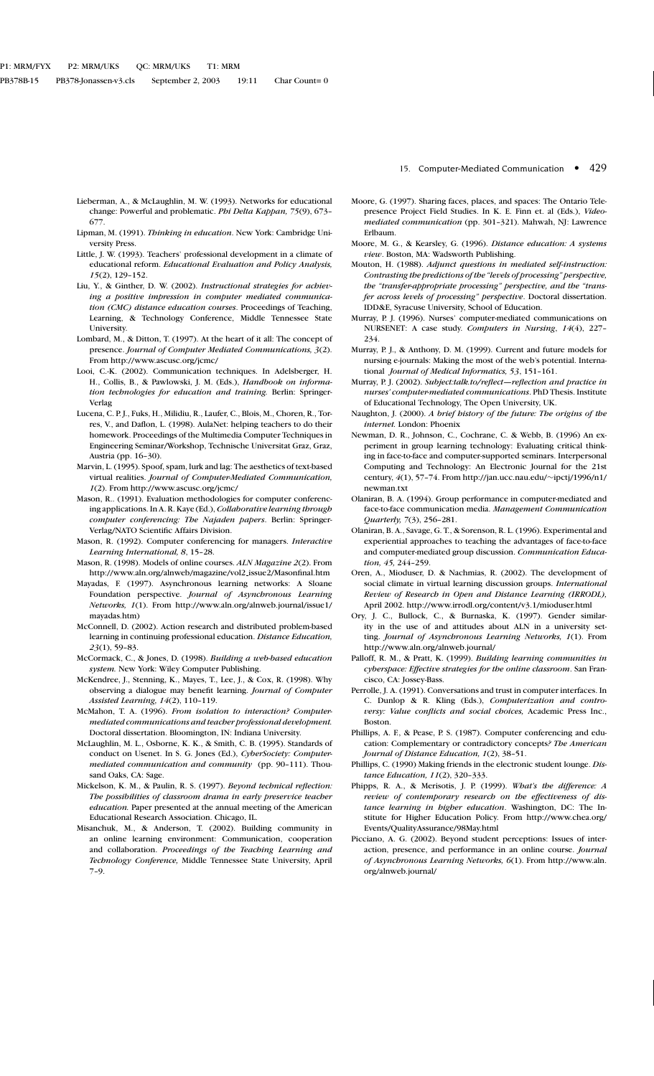- Lieberman, A., & McLaughlin, M. W. (1993). Networks for educational change: Powerful and problematic. *Phi Delta Kappan, 75*(9), 673– 677.
- Lipman, M. (1991). *Thinking in education*. New York: Cambridge University Press.
- Little, J. W. (1993). Teachers' professional development in a climate of educational reform. *Educational Evaluation and Policy Analysis, 15*(2), 129–152.
- Liu, Y., & Ginther, D. W. (2002). *Instructional strategies for achieving a positive impression in computer mediated communication (CMC) distance education courses*. Proceedings of Teaching, Learning, & Technology Conference, Middle Tennessee State University.
- Lombard, M., & Ditton, T. (1997). At the heart of it all: The concept of presence. *Journal of Computer Mediated Communications, 3*(2). From http://www.ascusc.org/jcmc/
- Looi, C.-K. (2002). Communication techniques. In Adelsberger, H. H., Collis, B., & Pawlowski, J. M. (Eds.), *Handbook on information technologies for education and training.* Berlin: Springer-Verlag
- Lucena, C. P. J., Fuks, H., Milidiu, R., Laufer, C., Blois, M., Choren, R., Torres, V., and Daflon, L. (1998). AulaNet: helping teachers to do their homework. Proceedings of the Multimedia Computer Techniques in Engineering Seminar/Workshop, Technische Universitat Graz, Graz, Austria (pp. 16–30).
- Marvin, L. (1995). Spoof, spam, lurk and lag: The aesthetics of text-based virtual realities. *Journal of Computer-Mediated Communication, 1*(2). From http://www.ascusc.org/jcmc/
- Mason, R.. (1991). Evaluation methodologies for computer conferencing applications. In A. R. Kaye (Ed.), *Collaborative learning through computer conferencing: The Najaden papers*. Berlin: Springer-Verlag/NATO Scientific Affairs Division.
- Mason, R. (1992). Computer conferencing for managers. *Interactive Learning International, 8*, 15–28.
- Mason, R. (1998). Models of online courses. *ALN Magazine 2*(2). From http://www.aln.org/alnweb/magazine/vol2 issue2/Masonfinal.htm
- Mayadas, F. (1997). Asynchronous learning networks: A Sloane Foundation perspective. *Journal of Asynchronous Learning Networks, 1*(1). From http://www.aln.org/alnweb.journal/issue1/ mayadas.htm)
- McConnell, D. (2002). Action research and distributed problem-based learning in continuing professional education. *Distance Education, 23*(1), 59–83.
- McCormack, C., & Jones, D. (1998). *Building a web-based education system.* New York: Wiley Computer Publishing.
- McKendree, J., Stenning, K., Mayes, T., Lee, J., & Cox, R. (1998). Why observing a dialogue may benefit learning. *Journal of Computer Assisted Learning, 14*(2), 110–119.
- McMahon, T. A. (1996). *From isolation to interaction? Computermediated communications and teacher professional development.* Doctoral dissertation. Bloomington, IN: Indiana University.
- McLaughlin, M. L., Osborne, K. K., & Smith, C. B. (1995). Standards of conduct on Usenet. In S. G. Jones (Ed.), *CyberSociety: Computermediated communication and community* (pp. 90–111). Thousand Oaks, CA: Sage.
- Mickelson, K. M., & Paulin, R. S. (1997). *Beyond technical reflection: The possibilities of classroom drama in early preservice teacher education.* Paper presented at the annual meeting of the American Educational Research Association. Chicago, IL.
- Misanchuk, M., & Anderson, T. (2002). Building community in an online learning environment: Communication, cooperation and collaboration. *Proceedings of the Teaching Learning and Technology Conference,* Middle Tennessee State University, April 7–9.
- Moore, G. (1997). Sharing faces, places, and spaces: The Ontario Telepresence Project Field Studies. In K. E. Finn et. al (Eds.), *Videomediated communication* (pp. 301–321). Mahwah, NJ: Lawrence Erlbaum.
- Moore, M. G., & Kearsley, G. (1996). *Distance education: A systems view*. Boston, MA: Wadsworth Publishing.
- Mouton, H. (1988). *Adjunct questions in mediated self-instruction: Contrasting the predictions of the "levels of processing" perspective, the "transfer-appropriate processing" perspective, and the "transfer across levels of processing" perspective*. Doctoral dissertation. IDD&E, Syracuse University, School of Education.
- Murray, P. J. (1996). Nurses' computer-mediated communications on NURSENET: A case study. *Computers in Nursing*, *14*(4), 227– 234.
- Murray, P. J., & Anthony, D. M. (1999). Current and future models for nursing e-journals: Making the most of the web's potential. International *Journal of Medical Informatics, 53*, 151–161.
- Murray, P. J. (2002). *Subject:talk.to/reflect—reflection and practice in nurses' computer-mediated communications*. PhD Thesis. Institute of Educational Technology, The Open University, UK.
- Naughton, J. (2000). *A brief history of the future: The origins of the internet.* London: Phoenix
- Newman, D. R., Johnson, C., Cochrane, C. & Webb, B. (1996) An experiment in group learning technology: Evaluating critical thinking in face-to-face and computer-supported seminars. Interpersonal Computing and Technology: An Electronic Journal for the 21st century, *4*(1), 57–74. From http://jan.ucc.nau.edu/∼ipctj/1996/n1/ newman.txt
- Olaniran, B. A. (1994). Group performance in computer-mediated and face-to-face communication media. *Management Communication Quarterly, 7*(3), 256–281.
- Olaniran, B. A., Savage, G. T., & Sorenson, R. L. (1996). Experimental and experiential approaches to teaching the advantages of face-to-face and computer-mediated group discussion. *Communication Education, 45,* 244–259.
- Oren, A., Mioduser, D. & Nachmias, R. (2002). The development of social climate in virtual learning discussion groups. *International Review of Research in Open and Distance Learning (IRRODL),* April 2002. http://www.irrodl.org/content/v3.1/mioduser.html
- Ory, J. C., Bullock, C., & Burnaska, K. (1997). Gender similarity in the use of and attitudes about ALN in a university setting. *Journal of Asynchronous Learning Networks, 1*(1). From http://www.aln.org/alnweb.journal/
- Palloff, R. M., & Pratt, K. (1999). *Building learning communities in cyberspace: Effective strategies for the online classroom*. San Francisco, CA: Jossey-Bass.
- Perrolle, J. A. (1991). Conversations and trust in computer interfaces. In C. Dunlop & R. Kling (Eds.), *Computerization and controversy: Value conflicts and social choices,* Academic Press Inc., Boston.
- Phillips, A. F., & Pease, P. S. (1987). Computer conferencing and education: Complementary or contradictory concepts*? The American Journal of Distance Education, 1*(2), 38–51.
- Phillips, C. (1990) Making friends in the electronic student lounge. *Distance Education, 11*(2), 320–333.
- Phipps, R. A., & Merisotis, J. P. (1999). *What's the difference: A review of contemporary research on the effectiveness of distance learning in higher education*. Washington, DC: The Institute for Higher Education Policy. From http://www.chea.org/ Events/QualityAssurance/98May.html
- Picciano, A. G. (2002). Beyond student perceptions: Issues of interaction, presence, and performance in an online course. *Journal of Asynchronous Learning Networks, 6*(1). From http://www.aln. org/alnweb.journal/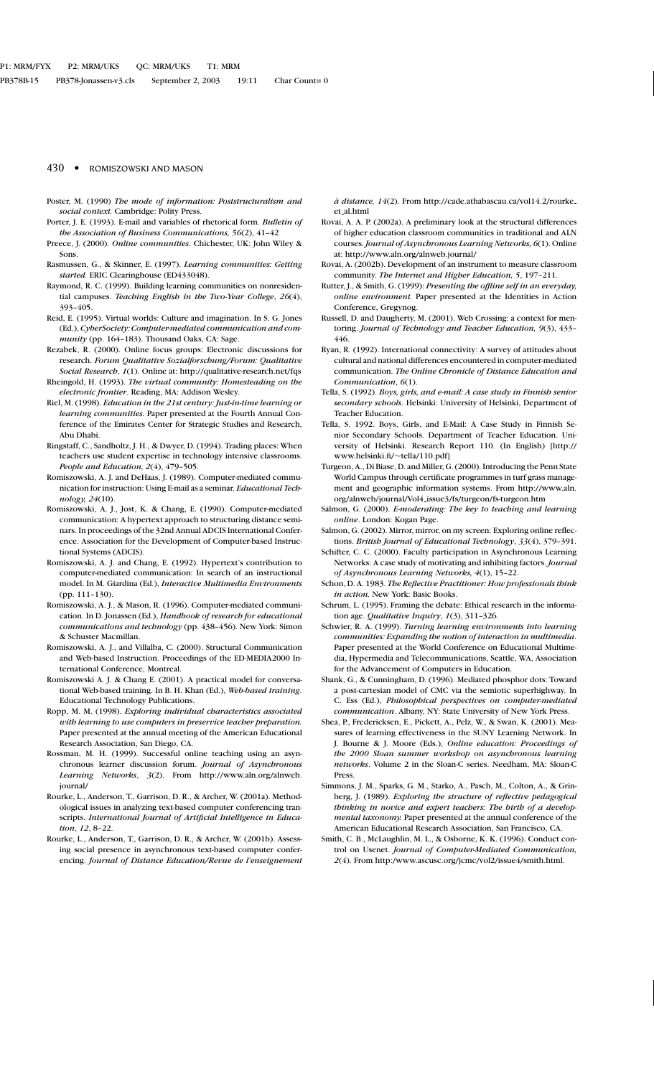- Poster, M. (1990) *The mode of information: Poststructuralism and social context.* Cambridge: Polity Press.
- Porter, J. E. (1993). E-mail and variables of rhetorical form. *Bulletin of the Association of Business Communications, 56*(2), 41–42
- Preece, J. (2000). *Online communities*. Chichester, UK: John Wiley & Sons.
- Rasmussen, G., & Skinner, E. (1997). *Learning communities: Getting started.* ERIC Clearinghouse (ED433048).
- Raymond, R. C. (1999). Building learning communities on nonresidential campuses. *Teaching English in the Two-Year College*, *26*(4), 393–405.
- Reid, E. (1995). Virtual worlds: Culture and imagination. In S. G. Jones (Ed.), *CyberSociety: Computer-mediated communication and community* (pp. 164–183). Thousand Oaks, CA: Sage.
- Rezabek, R. (2000). Online focus groups: Electronic discussions for research. *Forum Qualitative Sozialforschung/Forum: Qualitative Social Research*, *1*(1). Online at: http://qualitative-research.net/fqs
- Rheingold, H. (1993). *The virtual community: Homesteading on the electronic frontier*. Reading, MA: Addison Wesley.
- Riel, M. (1998). *Education in the 21st century: Just-in-time learning or learning communities.* Paper presented at the Fourth Annual Conference of the Emirates Center for Strategic Studies and Research, Abu Dhabi.
- Ringstaff, C., Sandholtz, J. H., & Dwyer, D. (1994). Trading places: When teachers use student expertise in technology intensive classrooms. *People and Education, 2*(4), 479–505.
- Romiszowski, A. J. and DeHaas, J. (1989). Computer-mediated communication for instruction: Using E-mail as a seminar. *Educational Technology, 24*(10).
- Romiszowski, A. J., Jost, K. & Chang, E. (1990). Computer-mediated communication: A hypertext approach to structuring distance seminars. In proceedings of the 32nd Annual ADCIS International Conference. Association for the Development of Computer-based Instructional Systems (ADCIS).
- Romiszowski, A. J. and Chang, E. (1992). Hypertext's contribution to computer-mediated communication: In search of an instructional model. In M. Giardina (Ed.), *Interactive Multimedia Environments* (pp. 111–130).
- Romiszowski, A. J., & Mason, R. (1996). Computer-mediated communication. In D. Jonassen (Ed.), *Handbook of research for educational communications and technology* (pp. 438–456). New York: Simon & Schuster Macmillan.
- Romiszowski, A. J., and Villalba, C. (2000). Structural Communication and Web-based Instruction. Proceedings of the ED-MEDIA2000 International Conference, Montreal.
- Romiszowski A. J. & Chang E. (2001). A practical model for conversational Web-based training. In B. H. Khan (Ed.), *Web-based training*. Educational Technology Publications.
- Ropp, M. M. (1998). *Exploring individual characteristics associated with learning to use computers in preservice teacher preparation.* Paper presented at the annual meeting of the American Educational Research Association, San Diego, CA.
- Rossman, M. H. (1999). Successful online teaching using an asynchronous learner discussion forum. *Journal of Asynchronous Learning Networks*, *3*(2). From http://www.aln.org/alnweb. journal/
- Rourke, L., Anderson, T., Garrison, D. R., & Archer, W. (2001a). Methodological issues in analyzing text-based computer conferencing transcripts. *International Journal of Artificial Intelligence in Education*, *12*, 8–22.
- Rourke, L., Anderson, T., Garrison, D. R., & Archer, W. (2001b). Assessing social presence in asynchronous text-based computer conferencing. *Journal of Distance Education/Revue de l'enseignement*
- *a distance, 14 `* (2). From http://cade.athabascau.ca/vol14.2/rourke et al.html
- Rovai, A. A. P. (2002a). A preliminary look at the structural differences of higher education classroom communities in traditional and ALN courses.*Journal of Asynchronous Learning Networks, 6*(1). Online at: http://www.aln.org/alnweb.journal/
- Rovai, A. (2002b). Development of an instrument to measure classroom community. *The Internet and Higher Education, 5*, 197–211.
- Rutter, J., & Smith, G. (1999): *Presenting the offline self in an everyday, online environment.* Paper presented at the Identities in Action Conference, Gregynog.
- Russell, D. and Daugherty, M. (2001). Web Crossing: a context for mentoring. *Journal of Technology and Teacher Education, 9*(3), 433– 446.
- Ryan, R. (1992). International connectivity: A survey of attitudes about cultural and national differences encountered in computer-mediated communication. *The Online Chronicle of Distance Education and Communication*, *6*(1).
- Tella, S. (1992). *Boys, girls, and e-mail: A case study in Finnish senior secondary schools*. Helsinki: University of Helsinki, Department of Teacher Education.
- Tella, S. 1992. Boys, Girls, and E-Mail: A Case Study in Finnish Senior Secondary Schools. Department of Teacher Education. University of Helsinki. Research Report 110. (In English) [http:// www.helsinki.fi/∼tella/110.pdf]
- Turgeon, A., Di Biase, D. and Miller, G. (2000). Introducing the Penn State World Campus through certificate programmes in turf grass management and geographic information systems. From http://www.aln. org/alnweb/journal/Vol4 issue3/fs/turgeon/fs-turgeon.htm
- Salmon, G. (2000). *E-moderating: The key to teaching and learning online*. London: Kogan Page.
- Salmon, G. (2002). Mirror, mirror, on my screen: Exploring online reflections. *British Journal of Educational Technology*, *33*(4), 379–391.
- Schifter, C. C. (2000). Faculty participation in Asynchronous Learning Networks: A case study of motivating and inhibiting factors. *Journal of Asynchronous Learning Networks, 4*(1), 15–22.
- Schon, D. A. 1983. *The Reflective Practitioner: How professionals think in action.* New York: Basic Books.
- Schrum, L. (1995). Framing the debate: Ethical research in the information age. *Qualitative Inquiry*, *1*(3), 311–326.
- Schwier, R. A. (1999). *Turning learning environments into learning communities: Expanding the notion of interaction in multimedia*. Paper presented at the World Conference on Educational Multimedia, Hypermedia and Telecommunications, Seattle, WA, Association for the Advancement of Computers in Education.
- Shank, G., & Cunningham, D. (1996). Mediated phosphor dots: Toward a post-cartesian model of CMC via the semiotic superhighway. In C. Ess (Ed.), *Philosophical perspectives on computer-mediated communication*. Albany, NY: State University of New York Press.
- Shea, P., Fredericksen, E., Pickett, A., Pelz, W., & Swan, K. (2001). Measures of learning effectiveness in the SUNY Learning Network. In J. Bourne & J. Moore (Eds.), *Online education: Proceedings of the 2000 Sloan summer workshop on asynchronous learning networks*. Volume 2 in the Sloan-C series. Needham, MA: Sloan-C Press.
- Simmons, J. M., Sparks, G. M., Starko, A., Pasch, M., Colton, A., & Grinberg, J. (1989). *Exploring the structure of reflective pedagogical thinking in novice and expert teachers: The birth of a developmental taxonomy.* Paper presented at the annual conference of the American Educational Research Association, San Francisco, CA.
- Smith, C. B., McLaughlin, M. L., & Osborne, K. K. (1996). Conduct control on Usenet. *Journal of Computer-Mediated Communication, 2*(4). From http:/www.ascusc.org/jcmc/vol2/issue4/smith.html.